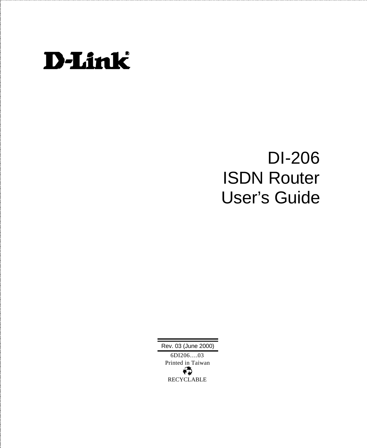

# DI-206 ISDN Router User's Guide

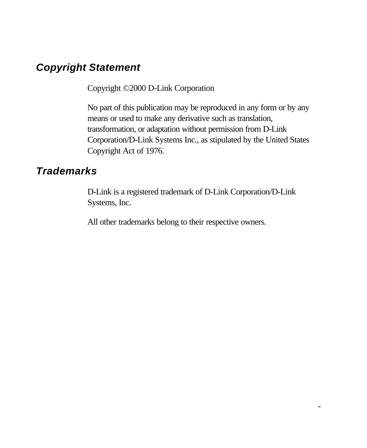## *Copyright Statement*

Copyright ©2000 D-Link Corporation

No part of this publication may be reproduced in any form or by any means or used to make any derivative such as translation, transformation, or adaptation without permission from D-Link Corporation/D-Link Systems Inc., as stipulated by the United States Copyright Act of 1976.

## *Trademarks*

D-Link is a registered trademark of D-Link Corporation/D-Link Systems, Inc.

All other trademarks belong to their respective owners.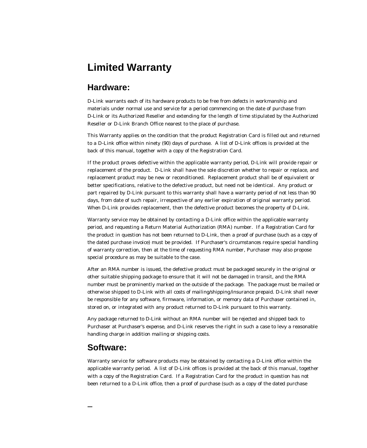## **Limited Warranty**

#### **Hardware:**

D-Link warrants each of its hardware products to be free from defects in workmanship and materials under normal use and service for a period commencing on the date of purchase from D-Link or its Authorized Reseller and extending for the length of time stipulated by the Authorized Reseller or D-Link Branch Office nearest to the place of purchase.

This Warranty applies on the condition that the product Registration Card is filled out and returned to a D-Link office within ninety (90) days of purchase. A list of D-Link offices is provided at the back of this manual, together with a copy of the Registration Card.

If the product proves defective within the applicable warranty period, D-Link will provide repair or replacement of the product. D-Link shall have the sole discretion whether to repair or replace, and replacement product may be new or reconditioned. Replacement product shall be of equivalent or better specifications, relative to the defective product, but need not be identical. Any product or part repaired by D-Link pursuant to this warranty shall have a warranty period of not less than 90 days, from date of such repair, irrespective of any earlier expiration of original warranty period. When D-Link provides replacement, then the defective product becomes the property of D-Link.

Warranty service may be obtained by contacting a D-Link office within the applicable warranty period, and requesting a Return Material Authorization (RMA) number. If a Registration Card for the product in question has not been returned to D-Link, then a proof of purchase (such as a copy of the dated purchase invoice) must be provided. If Purchaser's circumstances require special handling of warranty correction, then at the time of requesting RMA number, Purchaser may also propose special procedure as may be suitable to the case.

After an RMA number is issued, the defective product must be packaged securely in the original or other suitable shipping package to ensure that it will not be damaged in transit, and the RMA number must be prominently marked on the outside of the package. The package must be mailed or otherwise shipped to D-Link with all costs of mailing/shipping/insurance prepaid. D-Link shall never be responsible for any software, firmware, information, or memory data of Purchaser contained in, stored on, or integrated with any product returned to D-Link pursuant to this warranty.

Any package returned to D-Link without an RMA number will be rejected and shipped back to Purchaser at Purchaser's expense, and D-Link reserves the right in such a case to levy a reasonable handling charge in addition mailing or shipping costs.

#### **Software:**

Warranty service for software products may be obtained by contacting a D-Link office within the applicable warranty period. A list of D-Link offices is provided at the back of this manual, together with a copy of the Registration Card. If a Registration Card for the product in question has not been returned to a D-Link office, then a proof of purchase (such as a copy of the dated purchase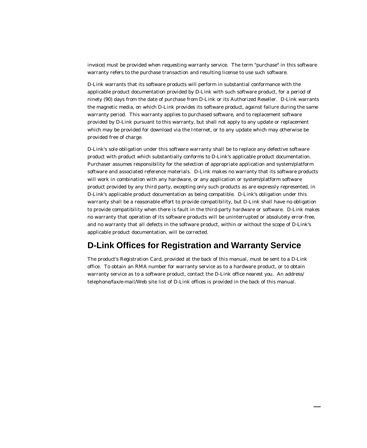invoice) must be provided when requesting warranty service. The term "purchase" in this software warranty refers to the purchase transaction and resulting license to use such software.

D-Link warrants that its software products will perform in substantial conformance with the applicable product documentation provided by D-Link with such software product, for a period of ninety (90) days from the date of purchase from D-Link or its Authorized Reseller. D-Link warrants the magnetic media, on which D-Link provides its software product, against failure during the same warranty period. This warranty applies to purchased software, and to replacement software provided by D-Link pursuant to this warranty, but shall not apply to any update or replacement which may be provided for download via the Internet, or to any update which may otherwise be provided free of charge.

D-Link's sole obligation under this software warranty shall be to replace any defective software product with product which substantially conforms to D-Link's applicable product documentation. Purchaser assumes responsibility for the selection of appropriate application and system/platform software and associated reference materials. D-Link makes no warranty that its software products will work in combination with any hardware, or any application or system/platform software product provided by any third party, excepting only such products as are expressly represented, in D-Link's applicable product documentation as being compatible. D-Link's obligation under this warranty shall be a reasonable effort to provide compatibility, but D-Link shall have no obligation to provide compatibility when there is fault in the third-party hardware or software. D-Link makes no warranty that operation of its software products will be uninterrupted or absolutely error-free, and no warranty that all defects in the software product, within or without the scope of D-Link's applicable product documentation, will be corrected.

#### **D-Link Offices for Registration and Warranty Service**

The product's Registration Card, provided at the back of this manual, must be sent to a D-Link office. To obtain an RMA number for warranty service as to a hardware product, or to obtain warranty service as to a software product, contact the D-Link office nearest you. An address/ telephone/fax/e-mail/Web site list of D-Link offices is provided in the back of this manual.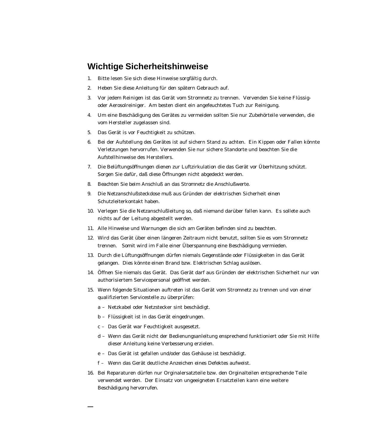#### **Wichtige Sicherheitshinweise**

- 1. Bitte lesen Sie sich diese Hinweise sorgfältig durch.
- 2. Heben Sie diese Anleitung für den spätern Gebrauch auf.
- 3. Vor jedem Reinigen ist das Gerät vom Stromnetz zu trennen. Vervenden Sie keine Flüssigoder Aerosolreiniger. Am besten dient ein angefeuchtetes Tuch zur Reinigung.
- 4. Um eine Beschädigung des Gerätes zu vermeiden sollten Sie nur Zubehörteile verwenden, die vom Hersteller zugelassen sind.
- 5. Das Gerät is vor Feuchtigkeit zu schützen.
- 6. Bei der Aufstellung des Gerätes ist auf sichern Stand zu achten. Ein Kippen oder Fallen könnte Verletzungen hervorrufen. Verwenden Sie nur sichere Standorte und beachten Sie die Aufstellhinweise des Herstellers.
- 7. Die Belüftungsöffnungen dienen zur Luftzirkulation die das Gerät vor Überhitzung schützt. Sorgen Sie dafür, daß diese Öffnungen nicht abgedeckt werden.
- 8. Beachten Sie beim Anschluß an das Stromnetz die Anschlußwerte.
- 9. Die Netzanschlußsteckdose muß aus Gründen der elektrischen Sicherheit einen Schutzleiterkontakt haben.
- 10. Verlegen Sie die Netzanschlußleitung so, daß niemand darüber fallen kann. Es sollete auch nichts auf der Leitung abgestellt werden.
- 11. Alle Hinweise und Warnungen die sich am Geräten befinden sind zu beachten.
- 12. Wird das Gerät über einen längeren Zeitraum nicht benutzt, sollten Sie es vom Stromnetz trennen. Somit wird im Falle einer Überspannung eine Beschädigung vermieden.
- 13. Durch die Lüftungsöffnungen dürfen niemals Gegenstände oder Flüssigkeiten in das Gerät gelangen. Dies könnte einen Brand bzw. Elektrischen Schlag auslösen.
- 14. Öffnen Sie niemals das Gerät. Das Gerät darf aus Gründen der elektrischen Sicherheit nur von authorisiertem Servicepersonal geöffnet werden.
- 15. Wenn folgende Situationen auftreten ist das Gerät vom Stromnetz zu trennen und von einer qualifizierten Servicestelle zu überprüfen:
	- a Netzkabel oder Netzstecker sint beschädigt.
	- b Flüssigkeit ist in das Gerät eingedrungen.
	- c Das Gerät war Feuchtigkeit ausgesetzt.
	- d Wenn das Gerät nicht der Bedienungsanleitung ensprechend funktioniert oder Sie mit Hilfe dieser Anleitung keine Verbesserung erzielen.
	- e Das Gerät ist gefallen und/oder das Gehäuse ist beschädigt.
	- f Wenn das Gerät deutliche Anzeichen eines Defektes aufweist.
- 16. Bei Reparaturen dürfen nur Orginalersatzteile bzw. den Orginalteilen entsprechende Teile verwendet werden. Der Einsatz von ungeeigneten Ersatzteilen kann eine weitere Beschädigung hervorrufen.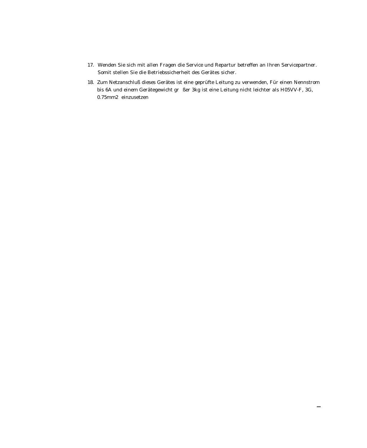- 17. Wenden Sie sich mit allen Fragen die Service und Repartur betreffen an Ihren Servicepartner. Somit stellen Sie die Betriebssicherheit des Gerätes sicher.
- 18. Zum Netzanschluß dieses Gerätes ist eine geprüfte Leitung zu verwenden, Für einen Nennstrom bis 6A und einem Gerätegewicht gr $\,$ ßer 3kg ist eine Leitung nicht leichter als H05VV-F, 3G, 0.75mm2 einzusetzen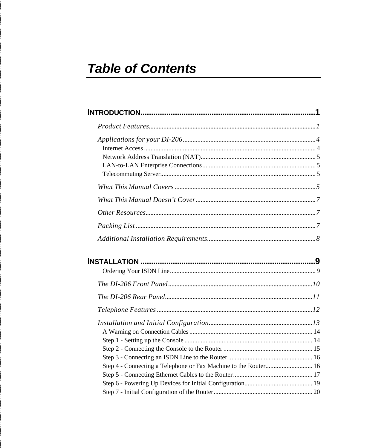# **Table of Contents**

| Step 4 - Connecting a Telephone or Fax Machine to the Router 16 |  |  |  |
|-----------------------------------------------------------------|--|--|--|
|                                                                 |  |  |  |
|                                                                 |  |  |  |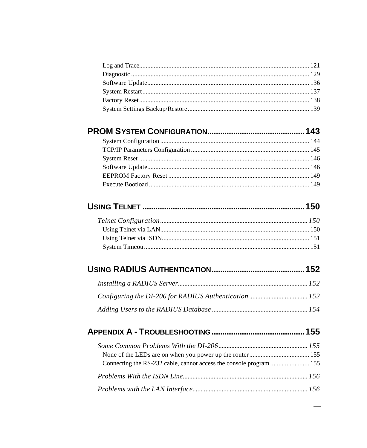#### 

## 

## 

##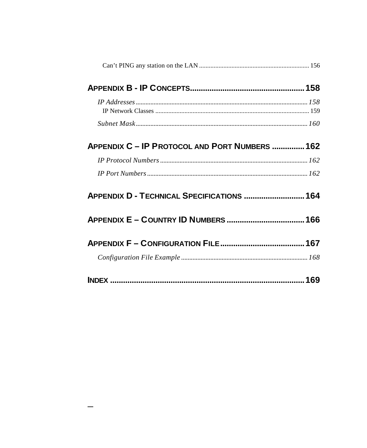| APPENDIX C - IP PROTOCOL AND PORT NUMBERS  162 |  |
|------------------------------------------------|--|
|                                                |  |
|                                                |  |
| APPENDIX D - TECHNICAL SPECIFICATIONS  164     |  |
|                                                |  |
|                                                |  |
|                                                |  |
|                                                |  |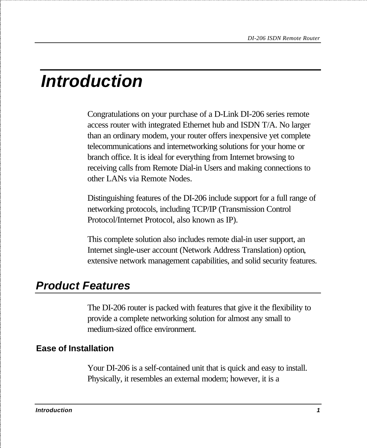# *Introduction*

Congratulations on your purchase of a D-Link DI-206 series remote access router with integrated Ethernet hub and ISDN T/A. No larger than an ordinary modem, your router offers inexpensive yet complete telecommunications and internetworking solutions for your home or branch office. It is ideal for everything from Internet browsing to receiving calls from Remote Dial-in Users and making connections to other LANs via Remote Nodes.

Distinguishing features of the DI-206 include support for a full range of networking protocols, including TCP/IP (Transmission Control Protocol/Internet Protocol, also known as IP).

This complete solution also includes remote dial-in user support, an Internet single-user account (Network Address Translation) option, extensive network management capabilities, and solid security features.

# *Product Features*

The DI-206 router is packed with features that give it the flexibility to provide a complete networking solution for almost any small to medium-sized office environment.

### **Ease of Installation**

Your DI-206 is a self-contained unit that is quick and easy to install. Physically, it resembles an external modem; however, it is a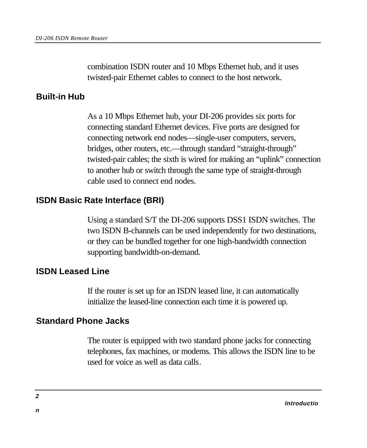combination ISDN router and 10 Mbps Ethernet hub, and it uses twisted-pair Ethernet cables to connect to the host network.

#### **Built-in Hub**

As a 10 Mbps Ethernet hub, your DI-206 provides six ports for connecting standard Ethernet devices. Five ports are designed for connecting network end nodes—single-user computers, servers, bridges, other routers, etc.—through standard "straight-through" twisted-pair cables; the sixth is wired for making an "uplink" connection to another hub or switch through the same type of straight-through cable used to connect end nodes.

#### **ISDN Basic Rate Interface (BRI)**

Using a standard S/T the DI-206 supports DSS1 ISDN switches. The two ISDN B-channels can be used independently for two destinations, or they can be bundled together for one high-bandwidth connection supporting bandwidth-on-demand.

#### **ISDN Leased Line**

If the router is set up for an ISDN leased line, it can automatically initialize the leased-line connection each time it is powered up.

#### **Standard Phone Jacks**

The router is equipped with two standard phone jacks for connecting telephones, fax machines, or modems. This allows the ISDN line to be used for voice as well as data calls.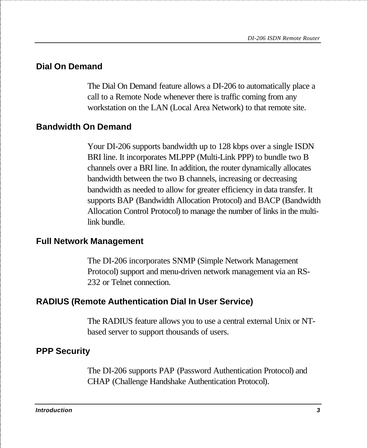### **Dial On Demand**

The Dial On Demand feature allows a DI-206 to automatically place a call to a Remote Node whenever there is traffic coming from any workstation on the LAN (Local Area Network) to that remote site.

### **Bandwidth On Demand**

Your DI-206 supports bandwidth up to 128 kbps over a single ISDN BRI line. It incorporates MLPPP (Multi-Link PPP) to bundle two B channels over a BRI line. In addition, the router dynamically allocates bandwidth between the two B channels, increasing or decreasing bandwidth as needed to allow for greater efficiency in data transfer. It supports BAP (Bandwidth Allocation Protocol) and BACP (Bandwidth Allocation Control Protocol) to manage the number of links in the multilink bundle.

#### **Full Network Management**

The DI-206 incorporates SNMP (Simple Network Management Protocol) support and menu-driven network management via an RS-232 or Telnet connection.

### **RADIUS (Remote Authentication Dial In User Service)**

The RADIUS feature allows you to use a central external Unix or NTbased server to support thousands of users.

### **PPP Security**

The DI-206 supports PAP (Password Authentication Protocol) and CHAP (Challenge Handshake Authentication Protocol).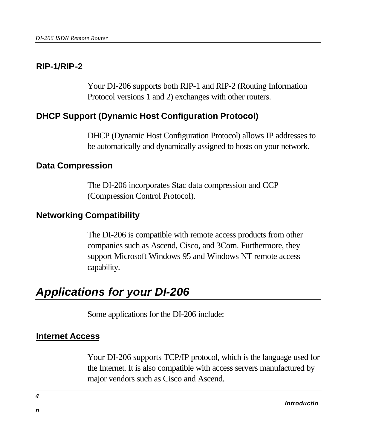#### **RIP-1/RIP-2**

Your DI-206 supports both RIP-1 and RIP-2 (Routing Information Protocol versions 1 and 2) exchanges with other routers.

#### **DHCP Support (Dynamic Host Configuration Protocol)**

DHCP (Dynamic Host Configuration Protocol) allows IP addresses to be automatically and dynamically assigned to hosts on your network.

#### **Data Compression**

The DI-206 incorporates Stac data compression and CCP (Compression Control Protocol).

#### **Networking Compatibility**

The DI-206 is compatible with remote access products from other companies such as Ascend, Cisco, and 3Com. Furthermore, they support Microsoft Windows 95 and Windows NT remote access capability.

# *Applications for your DI-206*

Some applications for the DI-206 include:

#### **Internet Access**

Your DI-206 supports TCP/IP protocol, which is the language used for the Internet. It is also compatible with access servers manufactured by major vendors such as Cisco and Ascend.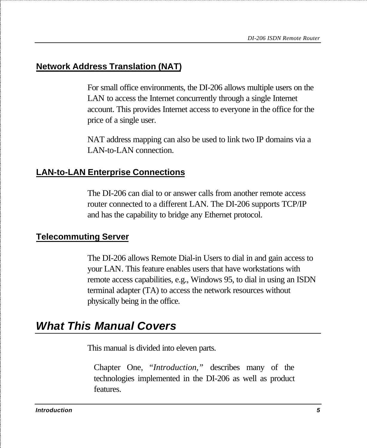#### **Network Address Translation (NAT)**

For small office environments, the DI-206 allows multiple users on the LAN to access the Internet concurrently through a single Internet account. This provides Internet access to everyone in the office for the price of a single user.

NAT address mapping can also be used to link two IP domains via a LAN-to-LAN connection.

#### **LAN-to-LAN Enterprise Connections**

The DI-206 can dial to or answer calls from another remote access router connected to a different LAN. The DI-206 supports TCP/IP and has the capability to bridge any Ethernet protocol.

#### **Telecommuting Server**

The DI-206 allows Remote Dial-in Users to dial in and gain access to your LAN. This feature enables users that have workstations with remote access capabilities, e.g., Windows 95, to dial in using an ISDN terminal adapter (TA) to access the network resources without physically being in the office.

## *What This Manual Covers*

This manual is divided into eleven parts.

Chapter One, "*Introduction,"* describes many of the technologies implemented in the DI-206 as well as product features.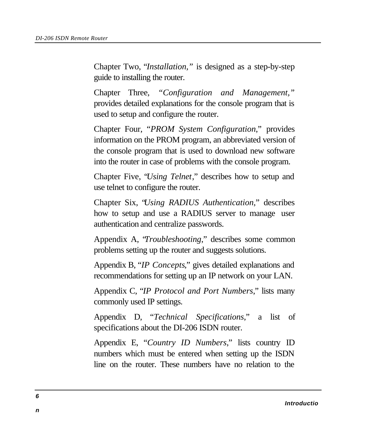Chapter Two, "*Installation,"* is designed as a step-by-step guide to installing the router.

Chapter Three, *"Configuration and Management,"* provides detailed explanations for the console program that is used to setup and configure the router.

Chapter Four, "*PROM System Configuration*," provides information on the PROM program, an abbreviated version of the console program that is used to download new software into the router in case of problems with the console program.

Chapter Five, "*Using Telnet*," describes how to setup and use telnet to configure the router.

Chapter Six, "*Using RADIUS Authentication*," describes how to setup and use a RADIUS server to manage user authentication and centralize passwords.

Appendix A, "*Troubleshooting*," describes some common problems setting up the router and suggests solutions.

Appendix B, "*IP Concepts*," gives detailed explanations and recommendations for setting up an IP network on your LAN.

Appendix C, "*IP Protocol and Port Numbers*," lists many commonly used IP settings.

Appendix D, "*Technical Specifications*," a list of specifications about the DI-206 ISDN router.

Appendix E, "*Country ID Numbers*," lists country ID numbers which must be entered when setting up the ISDN line on the router. These numbers have no relation to the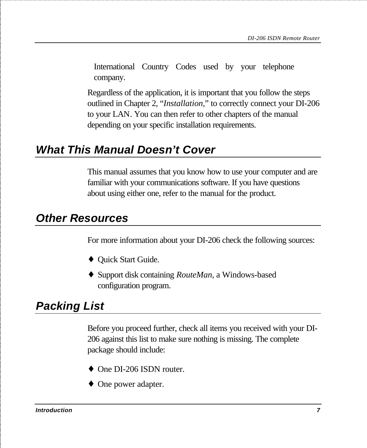International Country Codes used by your telephone company.

Regardless of the application, it is important that you follow the steps outlined in Chapter 2, "*Installation*," to correctly connect your DI-206 to your LAN. You can then refer to other chapters of the manual depending on your specific installation requirements.

## *What This Manual Doesn't Cover*

This manual assumes that you know how to use your computer and are familiar with your communications software. If you have questions about using either one, refer to the manual for the product.

## *Other Resources*

For more information about your DI-206 check the following sources:

- ♦ Quick Start Guide.
- ♦ Support disk containing *RouteMan*, a Windows-based configuration program.

# *Packing List*

Before you proceed further, check all items you received with your DI-206 against this list to make sure nothing is missing. The complete package should include:

- One DI-206 ISDN router.
- One power adapter.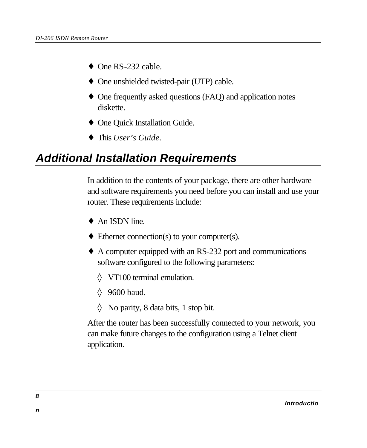- $\bullet$  One RS-232 cable.
- ♦ One unshielded twisted-pair (UTP) cable.
- ♦ One frequently asked questions (FAQ) and application notes diskette.
- ♦ One Quick Installation Guide.
- ♦ This *User's Guide*.

# *Additional Installation Requirements*

In addition to the contents of your package, there are other hardware and software requirements you need before you can install and use your router. These requirements include:

- $\triangle$  An ISDN line.
- $\blacklozenge$  Ethernet connection(s) to your computer(s).
- ♦ A computer equipped with an RS-232 port and communications software configured to the following parameters:
	- ◊ VT100 terminal emulation.
	- ◊ 9600 baud.
	- ◊ No parity, 8 data bits, 1 stop bit.

After the router has been successfully connected to your network, you can make future changes to the configuration using a Telnet client application.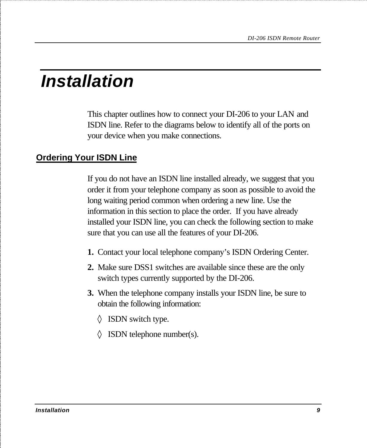# *Installation*

This chapter outlines how to connect your DI-206 to your LAN and ISDN line. Refer to the diagrams below to identify all of the ports on your device when you make connections.

## **Ordering Your ISDN Line**

If you do not have an ISDN line installed already, we suggest that you order it from your telephone company as soon as possible to avoid the long waiting period common when ordering a new line. Use the information in this section to place the order. If you have already installed your ISDN line, you can check the following section to make sure that you can use all the features of your DI-206.

- **1.** Contact your local telephone company's ISDN Ordering Center.
- **2.** Make sure DSS1 switches are available since these are the only switch types currently supported by the DI-206.
- **3.** When the telephone company installs your ISDN line, be sure to obtain the following information:
	- ◊ ISDN switch type.
	- $\Diamond$  ISDN telephone number(s).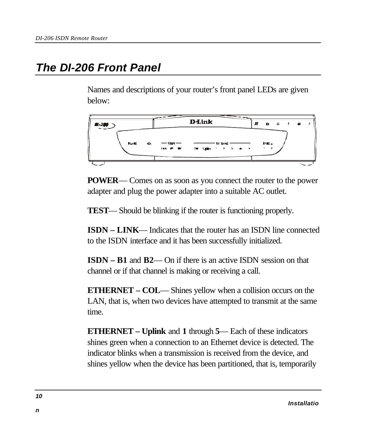# *The DI-206 Front Panel*

Names and descriptions of your router's front panel LEDs are given below:



**POWER**— Comes on as soon as you connect the router to the power adapter and plug the power adapter into a suitable AC outlet.

**TEST**— Should be blinking if the router is functioning properly.

**ISDN – LINK**— Indicates that the router has an ISDN line connected to the ISDN interface and it has been successfully initialized.

**ISDN – B1** and **B2**— On if there is an active ISDN session on that channel or if that channel is making or receiving a call.

**ETHERNET – COL**— Shines yellow when a collision occurs on the LAN, that is, when two devices have attempted to transmit at the same time.

**ETHERNET – Uplink** and **1** through **5**— Each of these indicators shines green when a connection to an Ethernet device is detected. The indicator blinks when a transmission is received from the device, and shines yellow when the device has been partitioned, that is, temporarily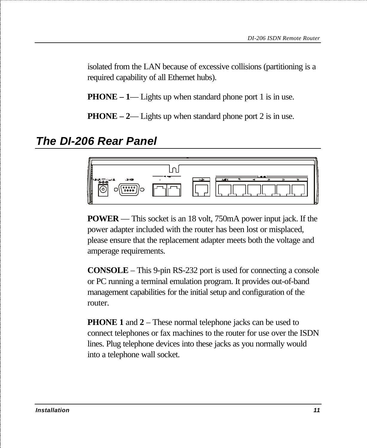isolated from the LAN because of excessive collisions (partitioning is a required capability of all Ethernet hubs).

**PHONE – 1— Lights up when standard phone port 1 is in use.** 

**PHONE – 2— Lights up when standard phone port 2 is in use.** 

## *The DI-206 Rear Panel*



**POWER** — This socket is an 18 volt, 750mA power input jack. If the power adapter included with the router has been lost or misplaced, please ensure that the replacement adapter meets both the voltage and amperage requirements.

**CONSOLE** – This 9-pin RS-232 port is used for connecting a console or PC running a terminal emulation program. It provides out-of-band management capabilities for the initial setup and configuration of the router.

**PHONE 1** and 2 – These normal telephone jacks can be used to connect telephones or fax machines to the router for use over the ISDN lines. Plug telephone devices into these jacks as you normally would into a telephone wall socket.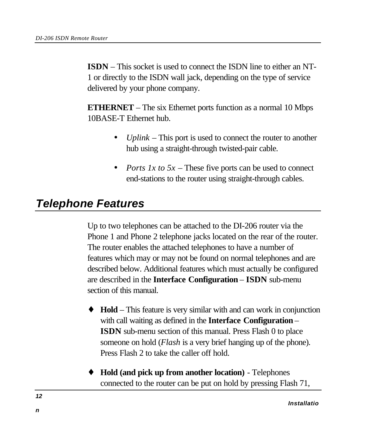**ISDN** – This socket is used to connect the ISDN line to either an NT-1 or directly to the ISDN wall jack, depending on the type of service delivered by your phone company.

**ETHERNET** – The six Ethernet ports function as a normal 10 Mbps 10BASE-T Ethernet hub.

- *Uplink* This port is used to connect the router to another hub using a straight-through twisted-pair cable.
- *Ports 1x to 5x* These five ports can be used to connect end-stations to the router using straight-through cables.

# *Telephone Features*

Up to two telephones can be attached to the DI-206 router via the Phone 1 and Phone 2 telephone jacks located on the rear of the router. The router enables the attached telephones to have a number of features which may or may not be found on normal telephones and are described below. Additional features which must actually be configured are described in the **Interface Configuration** *–* **ISDN** sub-menu section of this manual.

- **Hold** This feature is very similar with and can work in conjunction with call waiting as defined in the **Interface Configuration** – **ISDN** sub-menu section of this manual. Press Flash 0 to place someone on hold (*Flash* is a very brief hanging up of the phone). Press Flash 2 to take the caller off hold.
- **Hold (and pick up from another location)** Telephones connected to the router can be put on hold by pressing Flash 71,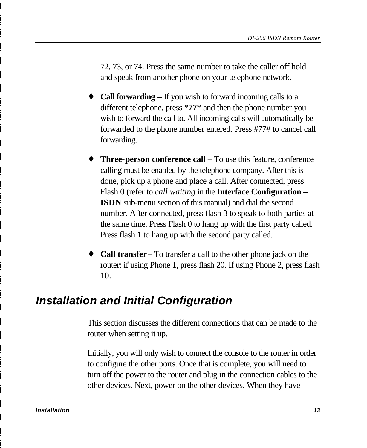72, 73, or 74. Press the same number to take the caller off hold and speak from another phone on your telephone network.

- **Call forwarding** If you wish to forward incoming calls to a different telephone, press \***77**\* and then the phone number you wish to forward the call to. All incoming calls will automatically be forwarded to the phone number entered. Press #77# to cancel call forwarding.
- **Three-person conference call** To use this feature, conference calling must be enabled by the telephone company. After this is done, pick up a phone and place a call. After connected, press Flash 0 (refer to *call waiting* in the **Interface Configuration – ISDN** *s*ub-menu section of this manual) and dial the second number. After connected, press flash 3 to speak to both parties at the same time. Press Flash 0 to hang up with the first party called. Press flash 1 to hang up with the second party called.
- **Call transfer** To transfer a call to the other phone jack on the router: if using Phone 1, press flash 20. If using Phone 2, press flash 10.

# *Installation and Initial Configuration*

This section discusses the different connections that can be made to the router when setting it up.

Initially, you will only wish to connect the console to the router in order to configure the other ports. Once that is complete, you will need to turn off the power to the router and plug in the connection cables to the other devices. Next, power on the other devices. When they have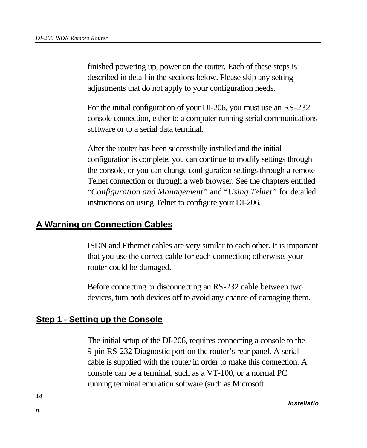finished powering up, power on the router. Each of these steps is described in detail in the sections below. Please skip any setting adjustments that do not apply to your configuration needs.

For the initial configuration of your DI-206, you must use an RS-232 console connection, either to a computer running serial communications software or to a serial data terminal.

After the router has been successfully installed and the initial configuration is complete, you can continue to modify settings through the console, or you can change configuration settings through a remote Telnet connection or through a web browser. See the chapters entitled "*Configuration and Management"* and "*Using Telnet"* for detailed instructions on using Telnet to configure your DI-206.

#### **A Warning on Connection Cables**

ISDN and Ethernet cables are very similar to each other. It is important that you use the correct cable for each connection; otherwise, your router could be damaged.

Before connecting or disconnecting an RS-232 cable between two devices, turn both devices off to avoid any chance of damaging them.

### **Step 1 - Setting up the Console**

The initial setup of the DI-206, requires connecting a console to the 9-pin RS-232 Diagnostic port on the router's rear panel. A serial cable is supplied with the router in order to make this connection. A console can be a terminal, such as a VT-100, or a normal PC running terminal emulation software (such as Microsoft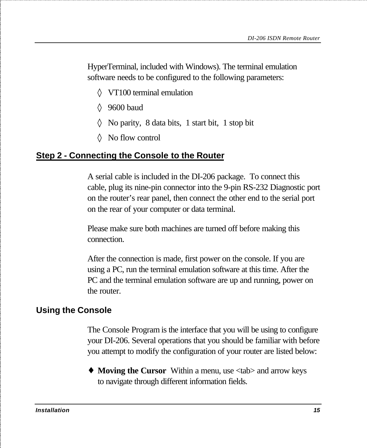HyperTerminal, included with Windows). The terminal emulation software needs to be configured to the following parameters:

- ◊ VT100 terminal emulation
- ◊ 9600 baud
- ◊ No parity, 8 data bits, 1 start bit, 1 stop bit
- ◊ No flow control

#### **Step 2 - Connecting the Console to the Router**

A serial cable is included in the DI-206 package. To connect this cable, plug its nine-pin connector into the 9-pin RS-232 Diagnostic port on the router's rear panel, then connect the other end to the serial port on the rear of your computer or data terminal.

Please make sure both machines are turned off before making this connection.

After the connection is made, first power on the console. If you are using a PC, run the terminal emulation software at this time. After the PC and the terminal emulation software are up and running, power on the router.

### **Using the Console**

The Console Program is the interface that you will be using to configure your DI-206. Several operations that you should be familiar with before you attempt to modify the configuration of your router are listed below:

♦ **Moving the Cursor** Within a menu, use <tab> and arrow keys to navigate through different information fields.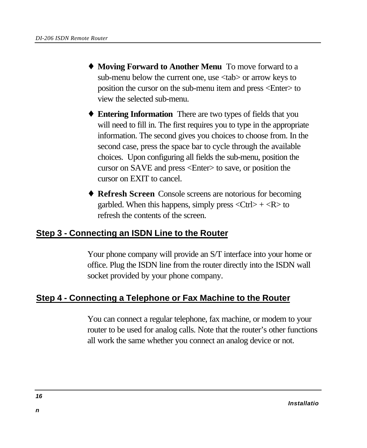- ♦ **Moving Forward to Another Menu** To move forward to a sub-menu below the current one, use <tab> or arrow keys to position the cursor on the sub-menu item and press <Enter> to view the selected sub-menu.
- ♦ **Entering Information** There are two types of fields that you will need to fill in. The first requires you to type in the appropriate information. The second gives you choices to choose from. In the second case, press the space bar to cycle through the available choices. Upon configuring all fields the sub-menu, position the cursor on SAVE and press <Enter> to save, or position the cursor on EXIT to cancel.
- ♦ **Refresh Screen** Console screens are notorious for becoming garbled. When this happens, simply press  $\langle \text{Ctrl} \rangle + \langle \text{R} \rangle$  to refresh the contents of the screen.

### **Step 3 - Connecting an ISDN Line to the Router**

Your phone company will provide an S/T interface into your home or office. Plug the ISDN line from the router directly into the ISDN wall socket provided by your phone company.

### **Step 4 - Connecting a Telephone or Fax Machine to the Router**

You can connect a regular telephone, fax machine, or modem to your router to be used for analog calls. Note that the router's other functions all work the same whether you connect an analog device or not.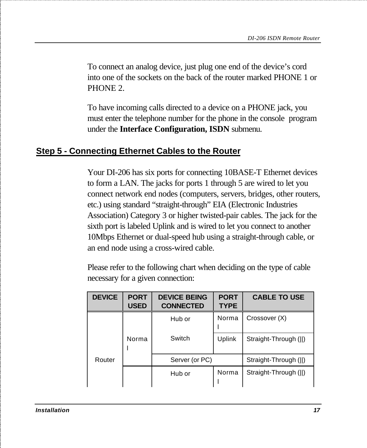To connect an analog device, just plug one end of the device's cord into one of the sockets on the back of the router marked PHONE 1 or PHONE 2.

To have incoming calls directed to a device on a PHONE jack, you must enter the telephone number for the phone in the console program under the **Interface Configuration, ISDN** submenu.

#### **Step 5 - Connecting Ethernet Cables to the Router**

Your DI-206 has six ports for connecting 10BASE-T Ethernet devices to form a LAN. The jacks for ports 1 through 5 are wired to let you connect network end nodes (computers, servers, bridges, other routers, etc.) using standard "straight-through" EIA (Electronic Industries Association) Category 3 or higher twisted-pair cables. The jack for the sixth port is labeled Uplink and is wired to let you connect to another 10Mbps Ethernet or dual-speed hub using a straight-through cable, or an end node using a cross-wired cable.

Please refer to the following chart when deciding on the type of cable necessary for a given connection:

| <b>DEVICE</b> | <b>PORT</b><br><b>USED</b> | <b>DEVICE BEING</b><br><b>CONNECTED</b> | <b>PORT</b><br><b>TYPE</b> | <b>CABLE TO USE</b>   |
|---------------|----------------------------|-----------------------------------------|----------------------------|-----------------------|
|               |                            | Hub or                                  | Norma                      | Crossover (X)         |
|               | Norma                      | Switch                                  | Uplink                     | Straight-Through (  ) |
| Router        |                            | Server (or PC)                          |                            | Straight-Through (  ) |
|               |                            | Hub or                                  | Norma                      | Straight-Through (II) |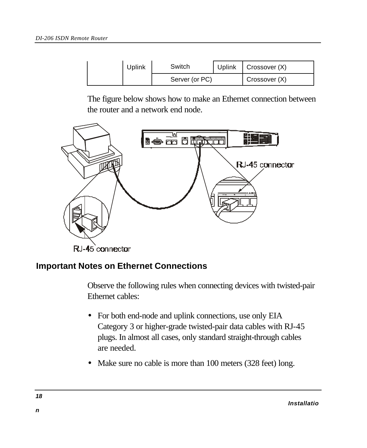| Uplink | Switch         | Uplink   Crossover (X) |
|--------|----------------|------------------------|
|        | Server (or PC) | Crossover (X)          |

The figure below shows how to make an Ethernet connection between the router and a network end node.



#### **Important Notes on Ethernet Connections**

Observe the following rules when connecting devices with twisted-pair Ethernet cables:

- For both end-node and uplink connections, use only EIA Category 3 or higher-grade twisted-pair data cables with RJ-45 plugs. In almost all cases, only standard straight-through cables are needed.
- Make sure no cable is more than 100 meters (328 feet) long.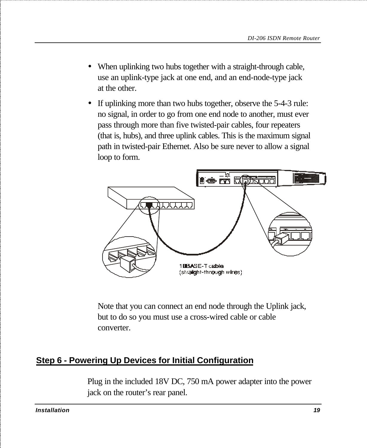- When uplinking two hubs together with a straight-through cable, use an uplink-type jack at one end, and an end-node-type jack at the other.
- If uplinking more than two hubs together, observe the 5-4-3 rule: no signal, in order to go from one end node to another, must ever pass through more than five twisted-pair cables, four repeaters (that is, hubs), and three uplink cables. This is the maximum signal path in twisted-pair Ethernet. Also be sure never to allow a signal loop to form.



Note that you can connect an end node through the Uplink jack, but to do so you must use a cross-wired cable or cable converter.

## **Step 6 - Powering Up Devices for Initial Configuration**

Plug in the included 18V DC, 750 mA power adapter into the power jack on the router's rear panel.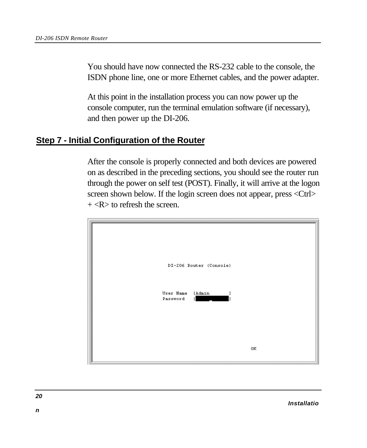You should have now connected the RS-232 cable to the console, the ISDN phone line, one or more Ethernet cables, and the power adapter.

At this point in the installation process you can now power up the console computer, run the terminal emulation software (if necessary), and then power up the DI-206.

#### **Step 7 - Initial Configuration of the Router**

After the console is properly connected and both devices are powered on as described in the preceding sections, you should see the router run through the power on self test (POST). Finally, it will arrive at the logon screen shown below. If the login screen does not appear, press <Ctrl>  $+$  <R $>$  to refresh the screen.

| DI-206 Router (Console)              |               |
|--------------------------------------|---------------|
| User Name<br>[Admin<br>Password<br>п |               |
|                                      | $0\mathrm{K}$ |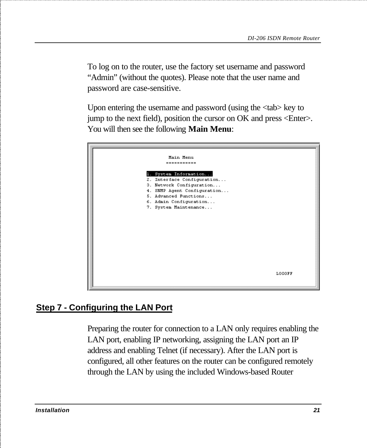To log on to the router, use the factory set username and password "Admin" (without the quotes). Please note that the user name and password are case-sensitive.

Upon entering the username and password (using the <tab> key to jump to the next field), position the cursor on OK and press <Enter>. You will then see the following **Main Menu**:



## **Step 7 - Configuring the LAN Port**

Preparing the router for connection to a LAN only requires enabling the LAN port, enabling IP networking, assigning the LAN port an IP address and enabling Telnet (if necessary). After the LAN port is configured, all other features on the router can be configured remotely through the LAN by using the included Windows-based Router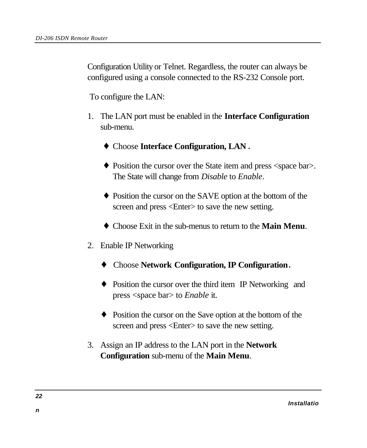Configuration Utility or Telnet. Regardless, the router can always be configured using a console connected to the RS-232 Console port.

To configure the LAN:

- 1. The LAN port must be enabled in the **Interface Configuration** sub-menu.
	- ♦ Choose **Interface Configuration, LAN**.
	- ♦ Position the cursor over the State item and press <space bar>. The State will change from *Disable* to *Enable*.
	- ♦ Position the cursor on the SAVE option at the bottom of the screen and press <Enter> to save the new setting.
	- ♦ Choose Exit in the sub-menus to return to the **Main Menu**.
- 2. Enable IP Networking
	- ♦ Choose **Network Configuration, IP Configuration**.
	- ♦ Position the cursor over the third item IP Networking and press <space bar> to *Enable* it.
	- ♦ Position the cursor on the Save option at the bottom of the screen and press  $\leq$ Enter $\geq$  to save the new setting.
- 3. Assign an IP address to the LAN port in the **Network Configuration** sub-menu of the **Main Menu**.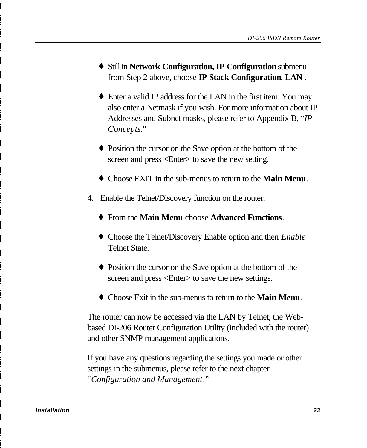- ♦ Still in **Network Configuration, IP Configuration** submenu from Step 2 above, choose **IP Stack Configuration**, **LAN**.
- ♦ Enter a valid IP address for the LAN in the first item. You may also enter a Netmask if you wish. For more information about IP Addresses and Subnet masks, please refer to Appendix B, "*IP Concepts*."
- ♦ Position the cursor on the Save option at the bottom of the screen and press <Enter> to save the new setting.
- ♦ Choose EXIT in the sub-menus to return to the **Main Menu**.
- 4. Enable the Telnet/Discovery function on the router.
	- ♦ From the **Main Menu** choose **Advanced Functions**.
	- ♦ Choose the Telnet/Discovery Enable option and then *Enable* Telnet State.
	- ♦ Position the cursor on the Save option at the bottom of the screen and press  $\leq$ Enter $>$  to save the new settings.
	- ♦ Choose Exit in the sub-menus to return to the **Main Menu**.

The router can now be accessed via the LAN by Telnet, the Webbased DI-206 Router Configuration Utility (included with the router) and other SNMP management applications.

If you have any questions regarding the settings you made or other settings in the submenus, please refer to the next chapter "*Configuration and Management*."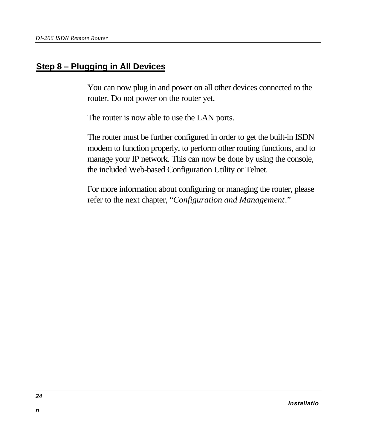#### **Step 8 – Plugging in All Devices**

You can now plug in and power on all other devices connected to the router. Do not power on the router yet.

The router is now able to use the LAN ports.

The router must be further configured in order to get the built-in ISDN modem to function properly, to perform other routing functions, and to manage your IP network. This can now be done by using the console, the included Web-based Configuration Utility or Telnet.

For more information about configuring or managing the router, please refer to the next chapter, "*Configuration and Management*."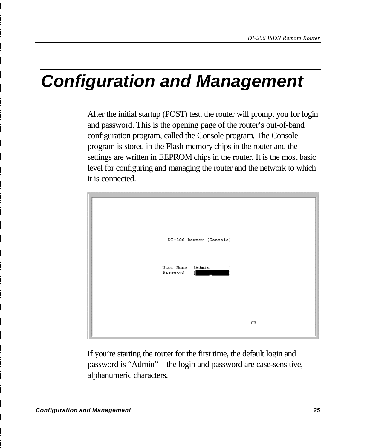# *Configuration and Management*

After the initial startup (POST) test, the router will prompt you for login and password. This is the opening page of the router's out-of-band configuration program, called the Console program. The Console program is stored in the Flash memory chips in the router and the settings are written in EEPROM chips in the router. It is the most basic level for configuring and managing the router and the network to which it is connected.



If you're starting the router for the first time, the default login and password is "Admin" – the login and password are case-sensitive, alphanumeric characters.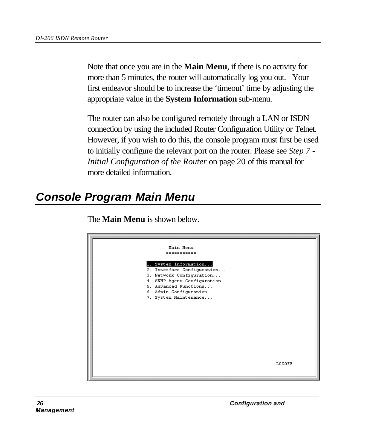Note that once you are in the **Main Menu**, if there is no activity for more than 5 minutes, the router will automatically log you out. Your first endeavor should be to increase the 'timeout' time by adjusting the appropriate value in the **System Information** sub-menu.

The router can also be configured remotely through a LAN or ISDN connection by using the included Router Configuration Utility or Telnet. However, if you wish to do this, the console program must first be used to initially configure the relevant port on the router. Please see *Step 7 - Initial Configuration of the Router* on page 20 of this manual for more detailed information.

# *Console Program Main Menu*



The **Main Menu** is shown below.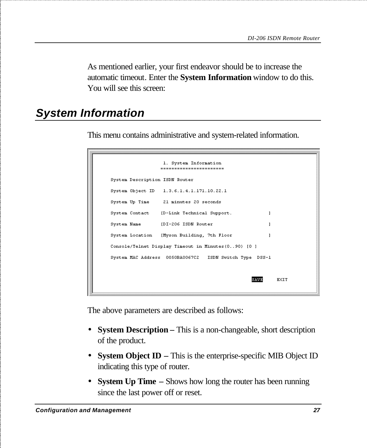As mentioned earlier, your first endeavor should be to increase the automatic timeout. Enter the **System Information** window to do this. You will see this screen:

# *System Information*

This menu contains administrative and system-related information.

```
1. System Information
                  -----------------------
System Description ISDN Router
System Object ID 1.3.6.1.4.1.171.10.22.1
System Up Time 21 minutes 20 seconds
System Contact (D-Link Technical Support.
                                                          \mathbf{I}System Name [DI-206 ISDN Router
                                                          \mathbf{1}System Location [Myson Building, 7th Floor]
                                                          \mathbf{1}Console/Telnet Display Timeout in Minutes(0..90) [0]
System MAC Address 0050BA0067C2 ISDN Switch Type DSS-1
                                                    SAVE
                                                             EXIT
```
The above parameters are described as follows:

- **System Description** This is a non-changeable, short description of the product.
- **System Object ID** This is the enterprise-specific MIB Object ID indicating this type of router.
- **System Up Time** Shows how long the router has been running since the last power off or reset.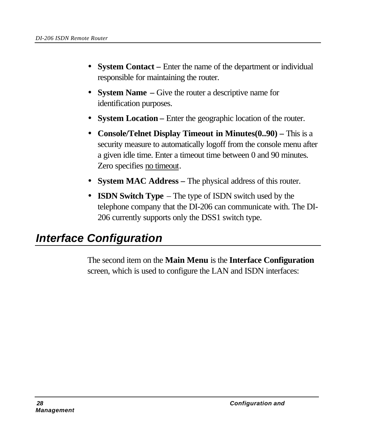- **System Contact** Enter the name of the department or individual responsible for maintaining the router.
- **System Name** Give the router a descriptive name for identification purposes.
- **System Location** Enter the geographic location of the router.
- **Console/Telnet Display Timeout in Minutes(0..90)** This is a security measure to automatically logoff from the console menu after a given idle time. Enter a timeout time between 0 and 90 minutes. Zero specifies no timeout.
- **System MAC Address** The physical address of this router.
- **ISDN Switch Type** The type of ISDN switch used by the telephone company that the DI-206 can communicate with. The DI-206 currently supports only the DSS1 switch type.

# *Interface Configuration*

The second item on the **Main Menu** is the **Interface Configuration** screen, which is used to configure the LAN and ISDN interfaces: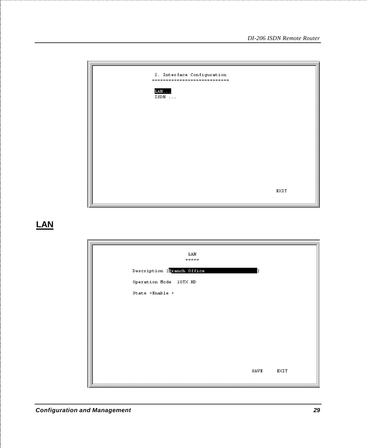| I | 2. Interface Configuration<br>----------------------------- |      |
|---|-------------------------------------------------------------|------|
|   | $LM.$<br>ISDN                                               |      |
|   |                                                             |      |
|   |                                                             |      |
|   |                                                             |      |
|   |                                                             |      |
|   |                                                             | EXIT |

### **LAN**

|                                | LAN<br>$= 1.125$           |      |      |
|--------------------------------|----------------------------|------|------|
|                                | Description [Branch Office |      |      |
|                                | Operation Mode 10TX HD     |      |      |
| State $\times$ Enable $\times$ |                            |      |      |
|                                |                            |      |      |
|                                |                            |      |      |
|                                |                            |      |      |
|                                |                            |      |      |
|                                |                            |      |      |
|                                |                            |      |      |
|                                |                            | SAVE | EXIT |

 $\mathbf{I}$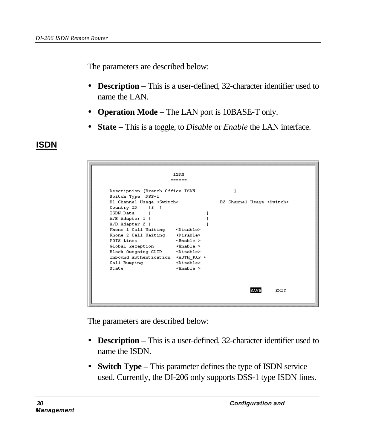The parameters are described below:

- **Description** This is a user-defined, 32-character identifier used to name the LAN.
- **Operation Mode** The LAN port is 10BASE-T only.
- **State –** This is a toggle, to *Disable* or *Enable* the LAN interface.

### **ISDN**

|                                             | ISDN                     |                                    |
|---------------------------------------------|--------------------------|------------------------------------|
|                                             | ======                   |                                    |
|                                             |                          |                                    |
| Description [Branch Office ISDN             |                          |                                    |
| Switch Type DSS-1                           |                          |                                    |
| B1 Channel Usage <switch></switch>          |                          | B2 Channel Usage <switch></switch> |
| Country ID [5]                              |                          |                                    |
| ISDN Data [                                 |                          |                                    |
| A/B Adapter 1 [                             |                          |                                    |
| A/B Adapter 2 [                             |                          |                                    |
| Phone 1 Call Waiting <disable></disable>    |                          |                                    |
| Phone 2 Call Waiting <disable></disable>    |                          |                                    |
| POTS Lines                                  | $\times$ Enable $\times$ |                                    |
| Global Reception <enable></enable>          |                          |                                    |
| Block Outgoing CLID <disable></disable>     |                          |                                    |
| Inbound Authentication <auth pap=""></auth> |                          |                                    |
| Call Bumping                                | <disable></disable>      |                                    |
| State                                       | $\times$ Enable >        |                                    |
|                                             |                          |                                    |
|                                             |                          |                                    |
|                                             |                          |                                    |
|                                             |                          | EXIT<br>SAVE                       |
|                                             |                          |                                    |

The parameters are described below:

- **Description** This is a user-defined, 32-character identifier used to name the ISDN.
- **Switch Type** This parameter defines the type of ISDN service used. Currently, the DI-206 only supports DSS-1 type ISDN lines.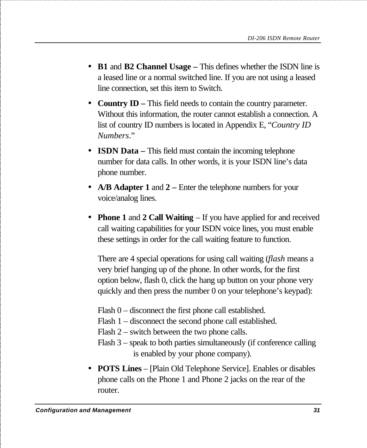- **B1** and **B2 Channel Usage** This defines whether the ISDN line is a leased line or a normal switched line. If you are not using a leased line connection, set this item to Switch.
- **Country ID** This field needs to contain the country parameter. Without this information, the router cannot establish a connection. A list of country ID numbers is located in Appendix E, "*Country ID Numbers*."
- **ISDN Data** This field must contain the incoming telephone number for data calls. In other words, it is your ISDN line's data phone number.
- **A/B Adapter 1** and 2 Enter the telephone numbers for your voice/analog lines.
- **Phone 1** and **2 Call Waiting** If you have applied for and received call waiting capabilities for your ISDN voice lines, you must enable these settings in order for the call waiting feature to function.

There are 4 special operations for using call waiting (*flash* means a very brief hanging up of the phone. In other words, for the first option below, flash 0, click the hang up button on your phone very quickly and then press the number 0 on your telephone's keypad):

- Flash 0 disconnect the first phone call established.
- Flash 1 disconnect the second phone call established.
- Flash 2 switch between the two phone calls.
- Flash 3 speak to both parties simultaneously (if conference calling is enabled by your phone company).
- **POTS Lines**  [Plain Old Telephone Service]. Enables or disables phone calls on the Phone 1 and Phone 2 jacks on the rear of the router.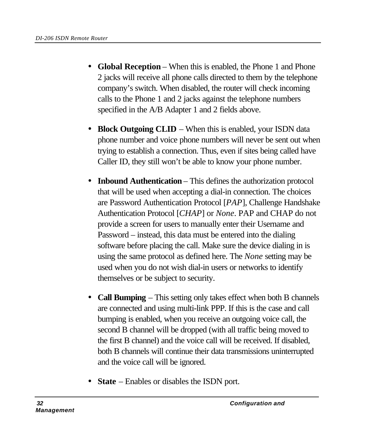- **Global Reception** When this is enabled, the Phone 1 and Phone 2 jacks will receive all phone calls directed to them by the telephone company's switch. When disabled, the router will check incoming calls to the Phone 1 and 2 jacks against the telephone numbers specified in the A/B Adapter 1 and 2 fields above.
- **Block Outgoing CLID** When this is enabled, your ISDN data phone number and voice phone numbers will never be sent out when trying to establish a connection. Thus, even if sites being called have Caller ID, they still won't be able to know your phone number.
- **Inbound Authentication** This defines the authorization protocol that will be used when accepting a dial-in connection. The choices are Password Authentication Protocol [*PAP*], Challenge Handshake Authentication Protocol [*CHAP*] or *None*. PAP and CHAP do not provide a screen for users to manually enter their Username and Password – instead, this data must be entered into the dialing software before placing the call. Make sure the device dialing in is using the same protocol as defined here. The *None* setting may be used when you do not wish dial-in users or networks to identify themselves or be subject to security.
- **Call Bumping** This setting only takes effect when both B channels are connected and using multi-link PPP. If this is the case and call bumping is enabled, when you receive an outgoing voice call, the second B channel will be dropped (with all traffic being moved to the first B channel) and the voice call will be received. If disabled, both B channels will continue their data transmissions uninterrupted and the voice call will be ignored.
- **State** Enables or disables the ISDN port.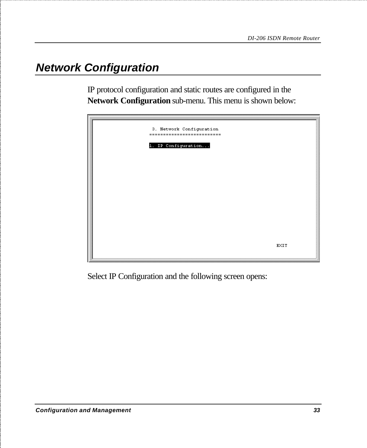# *Network Configuration*

IP protocol configuration and static routes are configured in the **Network Configuration** sub-menu. This menu is shown below:

| 3. Network Configuration<br>--------------------------- |             |
|---------------------------------------------------------|-------------|
| 1. IP Configuration                                     |             |
|                                                         |             |
|                                                         |             |
|                                                         |             |
|                                                         | <b>EXIT</b> |

Select IP Configuration and the following screen opens: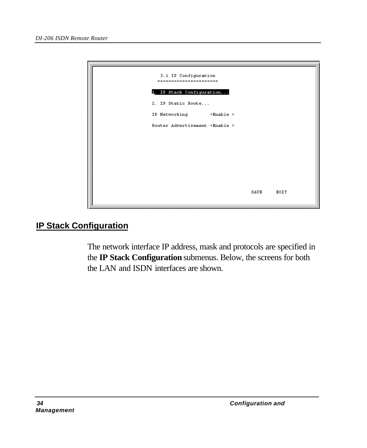

### **IP Stack Configuration**

The network interface IP address, mask and protocols are specified in the **IP Stack Configuration** submenus. Below, the screens for both the LAN and ISDN interfaces are shown.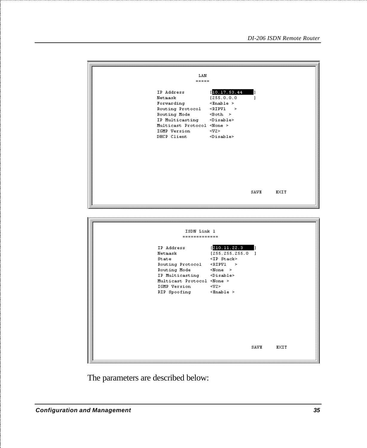| LAN<br>$= 10000000$<br>IP Address<br>Netmask<br>Forwarding<br>Routing Protocol<br>Routing Mode<br>IP Multicasting<br>Multicast Protocol <none><br/>IGMP Version<br/>DHCP Client</none> | [10.17.53.44]<br>[255.0.0.0]<br>$\times$ Enable ><br>$\le$ RIPV1 $\ge$<br>$\leq$ Both $\geq$<br><disable><br/><math>\langle V2 \rangle</math><br/><math>&lt;</math>Disable&gt;</disable>                            | ı<br>1 |      |
|----------------------------------------------------------------------------------------------------------------------------------------------------------------------------------------|---------------------------------------------------------------------------------------------------------------------------------------------------------------------------------------------------------------------|--------|------|
|                                                                                                                                                                                        |                                                                                                                                                                                                                     | SAVE   | EXIT |
| ISDN Link 1<br>-------------                                                                                                                                                           |                                                                                                                                                                                                                     |        |      |
| IP Address<br>Netmask<br>State<br>Routing Protocol<br>Routing Mode<br>IP Multicasting<br>Multicast Protocol <none><br/>IGMP Version<br/>RIP Spoofing</none>                            | [210.11.22.3]<br>[255.255.255.0]<br><ip stack=""><br/><ripv1<br>-&gt;<br/><math>&lt;</math> None &gt;<br/><disable><br/><math>\langle V2 \rangle</math><br/><math>\prec</math>Enable &gt;</disable></ripv1<br></ip> | IJ     |      |
|                                                                                                                                                                                        |                                                                                                                                                                                                                     | SAVE   | EXIT |

The parameters are described below: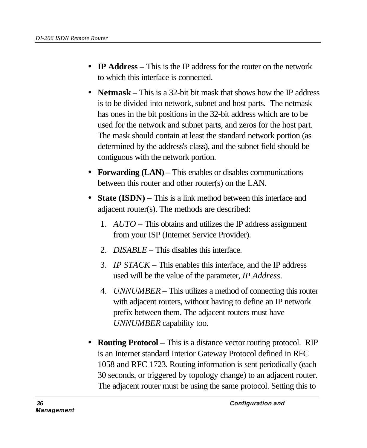- **IP Address** This is the IP address for the router on the network to which this interface is connected.
- **Netmask** This is a 32-bit bit mask that shows how the IP address is to be divided into network, subnet and host parts. The netmask has ones in the bit positions in the 32-bit address which are to be used for the network and subnet parts, and zeros for the host part. The mask should contain at least the standard network portion (as determined by the address's class), and the subnet field should be contiguous with the network portion.
- **Forwarding (LAN)** This enables or disables communications between this router and other router(s) on the LAN.
- **State (ISDN)** This is a link method between this interface and adjacent router(s). The methods are described:
	- 1. *AUTO* This obtains and utilizes the IP address assignment from your ISP (Internet Service Provider).
	- 2. *DISABLE –* This disables this interface.
	- 3. *IP STACK –* This enables this interface, and the IP address used will be the value of the parameter, *IP Address*.
	- 4. *UNNUMBER –* This utilizes a method of connecting this router with adjacent routers, without having to define an IP network prefix between them. The adjacent routers must have *UNNUMBER* capability too.
- **Routing Protocol** This is a distance vector routing protocol. RIP is an Internet standard Interior Gateway Protocol defined in RFC 1058 and RFC 1723. Routing information is sent periodically (each 30 seconds, or triggered by topology change) to an adjacent router. The adjacent router must be using the same protocol. Setting this to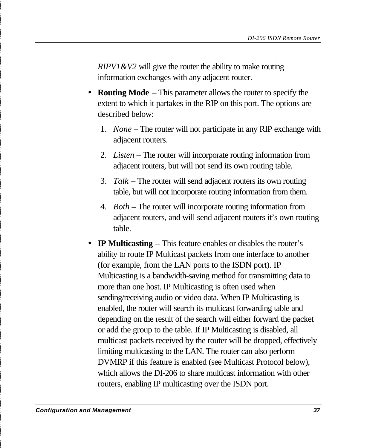*RIPV1&V2* will give the router the ability to make routing information exchanges with any adjacent router.

- **Routing Mode** This parameter allows the router to specify the extent to which it partakes in the RIP on this port. The options are described below:
	- 1. *None* The router will not participate in any RIP exchange with adjacent routers.
	- 2. *Listen* The router will incorporate routing information from adjacent routers, but will not send its own routing table.
	- 3. *Talk* The router will send adjacent routers its own routing table, but will not incorporate routing information from them.
	- 4. *Both*  The router will incorporate routing information from adjacent routers, and will send adjacent routers it's own routing table.
- **IP Multicasting** This feature enables or disables the router's ability to route IP Multicast packets from one interface to another (for example, from the LAN ports to the ISDN port). IP Multicasting is a bandwidth-saving method for transmitting data to more than one host. IP Multicasting is often used when sending/receiving audio or video data. When IP Multicasting is enabled, the router will search its multicast forwarding table and depending on the result of the search will either forward the packet or add the group to the table. If IP Multicasting is disabled, all multicast packets received by the router will be dropped, effectively limiting multicasting to the LAN. The router can also perform DVMRP if this feature is enabled (see Multicast Protocol below), which allows the DI-206 to share multicast information with other routers, enabling IP multicasting over the ISDN port.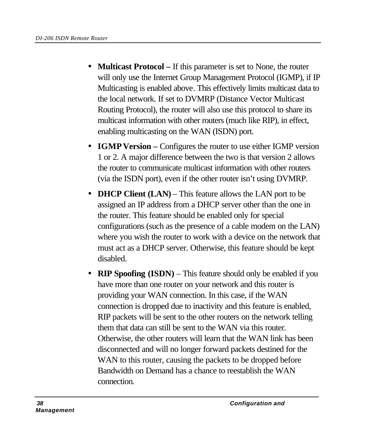- **Multicast Protocol** If this parameter is set to None, the router will only use the Internet Group Management Protocol (IGMP), if IP Multicasting is enabled above. This effectively limits multicast data to the local network. If set to DVMRP (Distance Vector Multicast Routing Protocol), the router will also use this protocol to share its multicast information with other routers (much like RIP), in effect, enabling multicasting on the WAN (ISDN) port.
- **IGMP Version** Configures the router to use either IGMP version 1 or 2. A major difference between the two is that version 2 allows the router to communicate multicast information with other routers (via the ISDN port), even if the other router isn't using DVMRP.
- **DHCP Client (LAN)** This feature allows the LAN port to be assigned an IP address from a DHCP server other than the one in the router. This feature should be enabled only for special configurations (such as the presence of a cable modem on the LAN) where you wish the router to work with a device on the network that must act as a DHCP server. Otherwise, this feature should be kept disabled.
- **RIP Spoofing (ISDN)** This feature should only be enabled if you have more than one router on your network and this router is providing your WAN connection. In this case, if the WAN connection is dropped due to inactivity and this feature is enabled, RIP packets will be sent to the other routers on the network telling them that data can still be sent to the WAN via this router. Otherwise, the other routers will learn that the WAN link has been disconnected and will no longer forward packets destined for the WAN to this router, causing the packets to be dropped before Bandwidth on Demand has a chance to reestablish the WAN connection.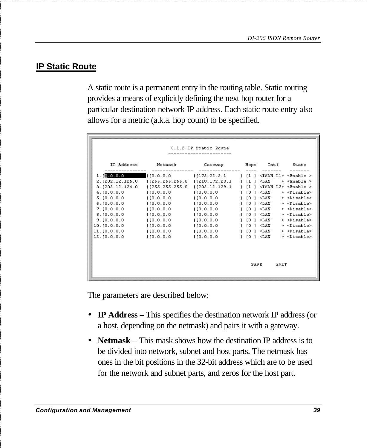#### **IP Static Route**

A static route is a permanent entry in the routing table. Static routing provides a means of explicitly defining the next hop router for a particular destination network IP address. Each static route entry also allows for a metric (a.k.a. hop count) to be specified.

| 3.1.2 IP Static Route                                                                                                                                                                 |                                                                                                                                                                                    |                                                                                                                                                     |   |                                                                                                                                        |                                                                                                                      |      |                                                                                                                                                                                                                                                                                                                                                                                                                                                          |
|---------------------------------------------------------------------------------------------------------------------------------------------------------------------------------------|------------------------------------------------------------------------------------------------------------------------------------------------------------------------------------|-----------------------------------------------------------------------------------------------------------------------------------------------------|---|----------------------------------------------------------------------------------------------------------------------------------------|----------------------------------------------------------------------------------------------------------------------|------|----------------------------------------------------------------------------------------------------------------------------------------------------------------------------------------------------------------------------------------------------------------------------------------------------------------------------------------------------------------------------------------------------------------------------------------------------------|
| IP Address                                                                                                                                                                            | Netmask                                                                                                                                                                            | Gateway                                                                                                                                             |   |                                                                                                                                        | Hops Intf                                                                                                            |      | State                                                                                                                                                                                                                                                                                                                                                                                                                                                    |
| 1.10.0.0.0<br>2. [202.12.125.0]<br>3.1202.12.124.0<br>4.10.0.0.0<br>5.10.0.0.0<br>6.10.0.0.0<br>7.10.0.0.0<br>8.10.0.0.0<br>9.10.0.0.0<br>10.10.0.0.0<br>11. [0.0.0.0]<br>12.10.0.0.0 | $[255.255.255.0]$ $[210.172.23.1]$ $[1]$<br>11255.255.255.0<br>110.0.0.0<br>110.0.0.0<br>110.0.0.0<br>1[0.0.0.0]<br>110.0.0.0<br>1[0.0.0.0]<br>110.0.0.0<br>110.0.0.0<br>110.0.0.0 | 11172.22.3.1<br>11202.12.129.1<br>110.0.0.0<br>110.0.0.0<br>110.0.0.0<br>110.0.0.0<br>110.0.0.0<br>110.0.0.0<br>110.0.0.0<br>110.0.0.0<br>110.0.0.0 | 1 | $1$ $11$ $1$<br>111<br>1101<br>$1$ $101$<br>1101<br>$1$ $101$<br>$1$ $10$ $1 \times$ LAN<br>$1$ [O $1 \leq$ LAN<br>$1$ [O ] $\leq$ LAN | $\rm < LAM$<br>$<$ LAN<br>$1$ $10$ $1 \leq$ $1 \text{AN}$<br>$1$ $10$ $1 \leq$ $50$<br>$<$ LAN<br>$<$ LAN<br>$<$ LAN |      | $\le$ ISDN L1> $\le$ Enable ><br>$>$ <enable><br/><math>\le</math>ISDN L2&gt; <math>\le</math>Enable &gt;<br/><math>&gt;</math> <disable><br/><math>&gt;</math> <disable><br/>&gt; <disable><br/>&gt; <disable><br/><math>&gt;</math> <disable><br/>&gt; <disable><br/><math>&gt;</math> <disable><br/>&gt; <disable><br/><math>&gt;</math> <disable></disable></disable></disable></disable></disable></disable></disable></disable></disable></enable> |
|                                                                                                                                                                                       |                                                                                                                                                                                    |                                                                                                                                                     |   | <b>SAVE</b>                                                                                                                            |                                                                                                                      | EXIT |                                                                                                                                                                                                                                                                                                                                                                                                                                                          |

The parameters are described below:

- **IP Address** This specifies the destination network IP address (or a host, depending on the netmask) and pairs it with a gateway.
- **Netmask** This mask shows how the destination IP address is to be divided into network, subnet and host parts. The netmask has ones in the bit positions in the 32-bit address which are to be used for the network and subnet parts, and zeros for the host part.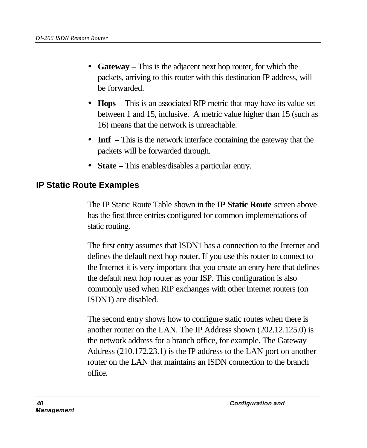- **Gateway** This is the adjacent next hop router, for which the packets, arriving to this router with this destination IP address, will be forwarded.
- **Hops** This is an associated RIP metric that may have its value set between 1 and 15, inclusive. A metric value higher than 15 (such as 16) means that the network is unreachable.
- **Intf** This is the network interface containing the gateway that the packets will be forwarded through.
- **State** This enables/disables a particular entry.

#### **IP Static Route Examples**

The IP Static Route Table shown in the **IP Static Route** screen above has the first three entries configured for common implementations of static routing.

The first entry assumes that ISDN1 has a connection to the Internet and defines the default next hop router. If you use this router to connect to the Internet it is very important that you create an entry here that defines the default next hop router as your ISP. This configuration is also commonly used when RIP exchanges with other Internet routers (on ISDN1) are disabled.

The second entry shows how to configure static routes when there is another router on the LAN. The IP Address shown (202.12.125.0) is the network address for a branch office, for example. The Gateway Address (210.172.23.1) is the IP address to the LAN port on another router on the LAN that maintains an ISDN connection to the branch office.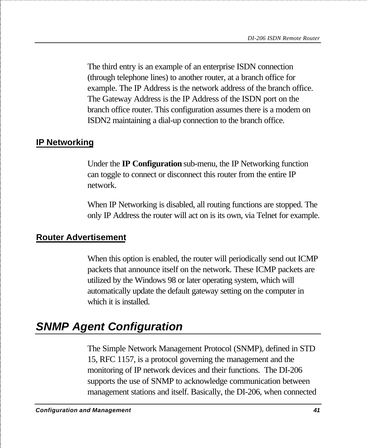The third entry is an example of an enterprise ISDN connection (through telephone lines) to another router, at a branch office for example. The IP Address is the network address of the branch office. The Gateway Address is the IP Address of the ISDN port on the branch office router. This configuration assumes there is a modem on ISDN2 maintaining a dial-up connection to the branch office.

#### **IP Networking**

Under the **IP Configuration** sub-menu, the IP Networking function can toggle to connect or disconnect this router from the entire IP network.

When IP Networking is disabled, all routing functions are stopped. The only IP Address the router will act on is its own, via Telnet for example.

#### **Router Advertisement**

When this option is enabled, the router will periodically send out ICMP packets that announce itself on the network. These ICMP packets are utilized by the Windows 98 or later operating system, which will automatically update the default gateway setting on the computer in which it is installed.

### *SNMP Agent Configuration*

The Simple Network Management Protocol (SNMP), defined in STD 15, RFC 1157, is a protocol governing the management and the monitoring of IP network devices and their functions. The DI-206 supports the use of SNMP to acknowledge communication between management stations and itself. Basically, the DI-206, when connected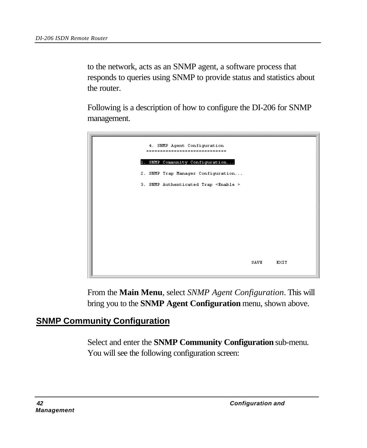to the network, acts as an SNMP agent, a software process that responds to queries using SNMP to provide status and statistics about the router.

Following is a description of how to configure the DI-206 for SNMP management.

| 4. SMMP Agent Configuration<br>----------------------------- |      |      |
|--------------------------------------------------------------|------|------|
| 1. SMMP Community Configuration                              |      |      |
| 2. SMMP Trap Manager Configuration                           |      |      |
| 3. SMMP Authenticated Trap <enable></enable>                 |      |      |
|                                                              |      |      |
|                                                              |      |      |
|                                                              |      |      |
|                                                              |      |      |
|                                                              |      |      |
|                                                              |      |      |
|                                                              | SAVE | EXIT |
|                                                              |      |      |

From the **Main Menu**, select *SNMP Agent Configuration*. This will bring you to the **SNMP Agent Configuration** menu, shown above.

### **SNMP Community Configuration**

Select and enter the **SNMP Community Configuration** sub-menu. You will see the following configuration screen: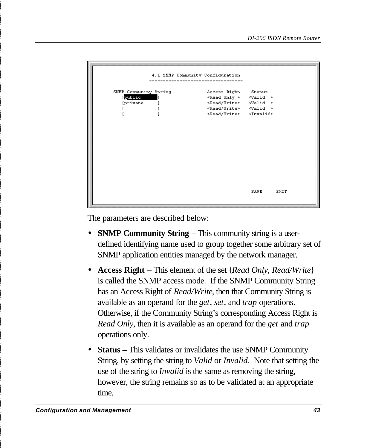|                                                     |  | 4.1 SNMP Community Configuration<br>------------------------------                                                                                                         |                             |      |
|-----------------------------------------------------|--|----------------------------------------------------------------------------------------------------------------------------------------------------------------------------|-----------------------------|------|
| SNMP Community String<br>public<br><i>[private]</i> |  | Access Right<br><read only=""><br/><read write=""> <valid><br/><read write=""> <valid><br/><read write=""> <invalid></invalid></read></valid></read></valid></read></read> | Status<br>$\langle$ Valid > |      |
|                                                     |  |                                                                                                                                                                            |                             |      |
|                                                     |  |                                                                                                                                                                            |                             |      |
|                                                     |  |                                                                                                                                                                            | SAVE                        | EXIT |

The parameters are described below:

- **SNMP Community String** This community string is a userdefined identifying name used to group together some arbitrary set of SNMP application entities managed by the network manager.
- **Access Right** This element of the set {*Read Only*, *Read/Write*} is called the SNMP access mode. If the SNMP Community String has an Access Right of *Read/Write*, then that Community String is available as an operand for the *get*, *set*, and *trap* operations. Otherwise, if the Community String's corresponding Access Right is *Read Only*, then it is available as an operand for the *get* and *trap* operations only.
- **Status** This validates or invalidates the use SNMP Community String, by setting the string to *Valid* or *Invalid*. Note that setting the use of the string to *Invalid* is the same as removing the string, however, the string remains so as to be validated at an appropriate time.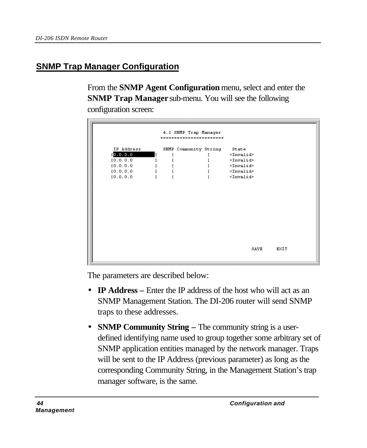#### **SNMP Trap Manager Configuration**

From the **SNMP Agent Configuration** menu, select and enter the **SNMP Trap Manager** sub-menu. You will see the following configuration screen:

| 4.2 SNMP Trap Manager<br>:::::::::::::::::::::::: |  |  |                       |                     |      |  |  |
|---------------------------------------------------|--|--|-----------------------|---------------------|------|--|--|
| IP Address                                        |  |  | SNMP Community String | State               |      |  |  |
| [0.0.0.0]                                         |  |  |                       | <invalid></invalid> |      |  |  |
| [0.0.0.0]                                         |  |  |                       | $\times$ Invalid>   |      |  |  |
| [0.0.0.0]                                         |  |  |                       | $<$ Invalid>        |      |  |  |
| [0.0.0.0]                                         |  |  |                       | $\times$ Invalid>   |      |  |  |
| [0.0.0.0]                                         |  |  |                       | $<$ Invalid>        |      |  |  |
|                                                   |  |  |                       |                     |      |  |  |
|                                                   |  |  |                       | SAVE                | EXIT |  |  |

The parameters are described below:

- **IP Address** Enter the IP address of the host who will act as an SNMP Management Station. The DI-206 router will send SNMP traps to these addresses.
- **SNMP Community String The community string is a user**defined identifying name used to group together some arbitrary set of SNMP application entities managed by the network manager. Traps will be sent to the IP Address (previous parameter) as long as the corresponding Community String, in the Management Station's trap manager software, is the same.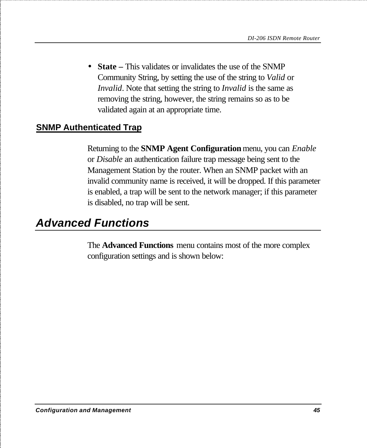• **State** – This validates or invalidates the use of the SNMP Community String, by setting the use of the string to *Valid* or *Invalid*. Note that setting the string to *Invalid* is the same as removing the string, however, the string remains so as to be validated again at an appropriate time.

#### **SNMP Authenticated Trap**

Returning to the **SNMP Agent Configuration** menu, you can *Enable* or *Disable* an authentication failure trap message being sent to the Management Station by the router. When an SNMP packet with an invalid community name is received, it will be dropped. If this parameter is enabled, a trap will be sent to the network manager; if this parameter is disabled, no trap will be sent.

# *Advanced Functions*

The **Advanced Functions** menu contains most of the more complex configuration settings and is shown below: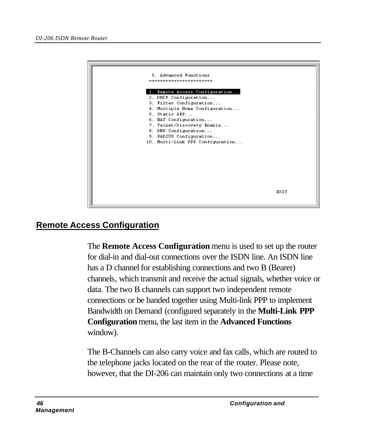| 5. Advanced Functions            |      |
|----------------------------------|------|
| --------------------             |      |
|                                  |      |
| 1. Remote Access Configuration   |      |
| 2. DHCP Configuration            |      |
| 3. Filter Configuration          |      |
| 4. Multiple Home Configuration   |      |
| 5. Static ARP                    |      |
| 6. NAT Configuration             |      |
| 7. Telnet/Discovery Enable       |      |
| 8. DNS Configuration             |      |
| 9. RADIUS Configuration          |      |
| 10. Multi-Link PPP Configuration |      |
|                                  |      |
|                                  |      |
|                                  |      |
|                                  |      |
|                                  |      |
|                                  |      |
|                                  |      |
|                                  |      |
|                                  | EXIT |
|                                  |      |
|                                  |      |

#### **Remote Access Configuration**

The **Remote Access Configuration** menu is used to set up the router for dial-in and dial-out connections over the ISDN line. An ISDN line has a D channel for establishing connections and two B (Bearer) channels, which transmit and receive the actual signals, whether voice or data. The two B channels can support two independent remote connections or be banded together using Multi-link PPP to implement Bandwidth on Demand (configured separately in the **Multi-Link PPP Configuration** menu, the last item in the **Advanced Functions** window).

The B-Channels can also carry voice and fax calls, which are routed to the telephone jacks located on the rear of the router. Please note, however, that the DI-206 can maintain only two connections at a time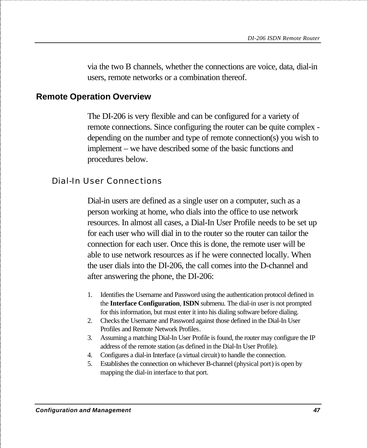via the two B channels, whether the connections are voice, data, dial-in users, remote networks or a combination thereof.

#### **Remote Operation Overview**

The DI-206 is very flexible and can be configured for a variety of remote connections. Since configuring the router can be quite complex depending on the number and type of remote connection(s) you wish to implement – we have described some of the basic functions and procedures below.

#### Dial-In User Connections

Dial-in users are defined as a single user on a computer, such as a person working at home, who dials into the office to use network resources. In almost all cases, a Dial-In User Profile needs to be set up for each user who will dial in to the router so the router can tailor the connection for each user. Once this is done, the remote user will be able to use network resources as if he were connected locally. When the user dials into the DI-206, the call comes into the D-channel and after answering the phone, the DI-206:

- 1. Identifies the Username and Password using the authentication protocol defined in the **Interface Configuration**, **ISDN** submenu. The dial-in user is not prompted for this information, but must enter it into his dialing software before dialing.
- 2. Checks the Username and Password against those defined in the Dial-In User Profiles and Remote Network Profiles.
- 3. Assuming a matching Dial-In User Profile is found, the router may configure the IP address of the remote station (as defined in the Dial-In User Profile).
- 4. Configures a dial-in Interface (a virtual circuit) to handle the connection.
- 5. Establishes the connection on whichever B-channel (physical port) is open by mapping the dial-in interface to that port.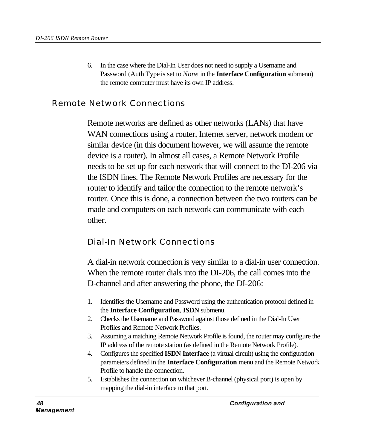6. In the case where the Dial-In User does not need to supply a Username and Password (Auth Type is set to *None* in the **Interface Configuration** submenu) the remote computer must have its own IP address.

#### Remote Network Connections

Remote networks are defined as other networks (LANs) that have WAN connections using a router, Internet server, network modem or similar device (in this document however, we will assume the remote device is a router). In almost all cases, a Remote Network Profile needs to be set up for each network that will connect to the DI-206 via the ISDN lines. The Remote Network Profiles are necessary for the router to identify and tailor the connection to the remote network's router. Once this is done, a connection between the two routers can be made and computers on each network can communicate with each other.

#### Dial-In Network Connections

A dial-in network connection is very similar to a dial-in user connection. When the remote router dials into the DI-206, the call comes into the D-channel and after answering the phone, the DI-206:

- 1. Identifies the Username and Password using the authentication protocol defined in the **Interface Configuration**, **ISDN** submenu.
- 2. Checks the Username and Password against those defined in the Dial-In User Profiles and Remote Network Profiles.
- 3. Assuming a matching Remote Network Profile is found, the router may configure the IP address of the remote station (as defined in the Remote Network Profile).
- 4. Configures the specified **ISDN Interface** (a virtual circuit) using the configuration parameters defined in the **Interface Configuration** menu and the Remote Network Profile to handle the connection.
- 5. Establishes the connection on whichever B-channel (physical port) is open by mapping the dial-in interface to that port.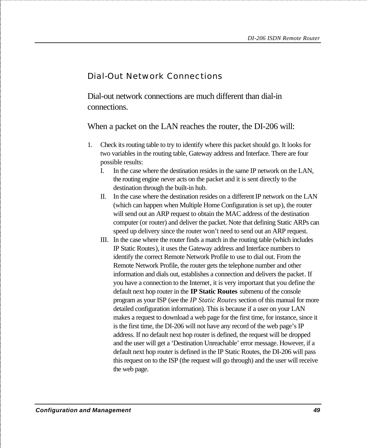#### Dial-Out Network Connections

Dial-out network connections are much different than dial-in connections.

When a packet on the LAN reaches the router, the DI-206 will:

- 1. Check its routing table to try to identify where this packet should go. It looks for two variables in the routing table, Gateway address and Interface. There are four possible results:
	- I. In the case where the destination resides in the same IP network on the LAN, the routing engine never acts on the packet and it is sent directly to the destination through the built-in hub.
	- II. In the case where the destination resides on a different IP network on the LAN (which can happen when Multiple Home Configuration is set up), the router will send out an ARP request to obtain the MAC address of the destination computer (or router) and deliver the packet. Note that defining Static ARPs can speed up delivery since the router won't need to send out an ARP request.
	- III. In the case where the router finds a match in the routing table (which includes IP Static Routes), it uses the Gateway address and Interface numbers to identify the correct Remote Network Profile to use to dial out. From the Remote Network Profile, the router gets the telephone number and other information and dials out, establishes a connection and delivers the packet. If you have a connection to the Internet, it is very important that you define the default next hop router in the **IP Static Routes** submenu of the console program as your ISP (see the *IP Static Routes* section of this manual for more detailed configuration information). This is because if a user on your LAN makes a request to download a web page for the first time, for instance, since it is the first time, the DI-206 will not have any record of the web page's IP address. If no default next hop router is defined, the request will be dropped and the user will get a 'Destination Unreachable' error message. However, if a default next hop router is defined in the IP Static Routes, the DI-206 will pass this request on to the ISP (the request will go through) and the user will receive the web page.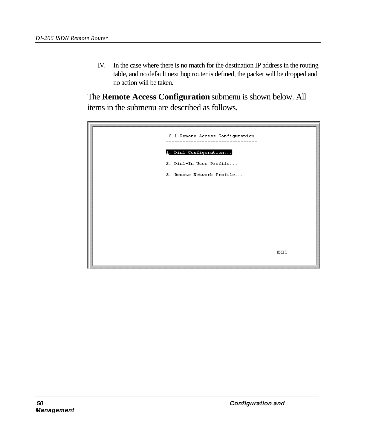IV. In the case where there is no match for the destination IP address in the routing table, and no default next hop router is defined, the packet will be dropped and no action will be taken.

The **Remote Access Configuration** submenu is shown below. All items in the submenu are described as follows.

| 5.1 Remote Access Configuration<br>================================== |             |
|-----------------------------------------------------------------------|-------------|
| 1. Dial Configuration                                                 |             |
| 2. Dial-In User Profile                                               |             |
| 3. Remote Network Profile                                             |             |
|                                                                       |             |
|                                                                       |             |
|                                                                       |             |
|                                                                       |             |
|                                                                       |             |
|                                                                       |             |
|                                                                       | <b>EXIT</b> |
|                                                                       |             |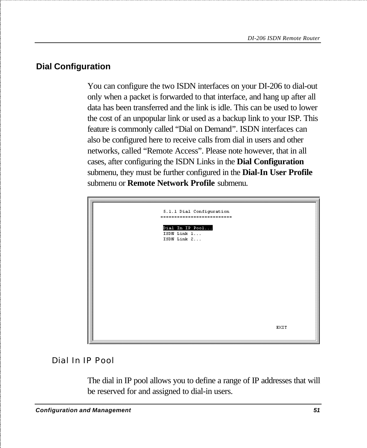### **Dial Configuration**

You can configure the two ISDN interfaces on your DI-206 to dial-out only when a packet is forwarded to that interface, and hang up after all data has been transferred and the link is idle. This can be used to lower the cost of an unpopular link or used as a backup link to your ISP. This feature is commonly called "Dial on Demand". ISDN interfaces can also be configured here to receive calls from dial in users and other networks, called "Remote Access". Please note however, that in all cases, after configuring the ISDN Links in the **Dial Configuration** submenu, they must be further configured in the **Dial-In User Profile** submenu or **Remote Network Profile** submenu.



#### Dial In IP Pool

The dial in IP pool allows you to define a range of IP addresses that will be reserved for and assigned to dial-in users.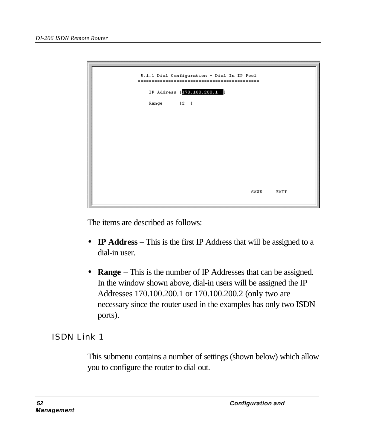| 5.1.1 Dial Configuration - Dial In IP Pool<br>----------<br>=====<br>----- |      |      |
|----------------------------------------------------------------------------|------|------|
| IP Address [170.100.200.1 ]                                                |      |      |
| Range [2]                                                                  |      |      |
|                                                                            |      |      |
|                                                                            |      |      |
|                                                                            |      |      |
|                                                                            |      |      |
|                                                                            |      |      |
|                                                                            |      |      |
|                                                                            | SAVE | EXIT |

The items are described as follows:

- **IP Address** This is the first IP Address that will be assigned to a dial-in user.
- **Range** This is the number of IP Addresses that can be assigned. In the window shown above, dial-in users will be assigned the IP Addresses 170.100.200.1 or 170.100.200.2 (only two are necessary since the router used in the examples has only two ISDN ports).

#### ISDN Link 1

This submenu contains a number of settings (shown below) which allow you to configure the router to dial out.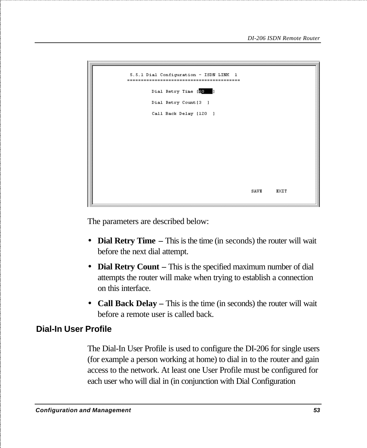

The parameters are described below:

- **Dial Retry Time** This is the time (in seconds) the router will wait before the next dial attempt.
- **Dial Retry Count** This is the specified maximum number of dial attempts the router will make when trying to establish a connection on this interface.
- **Call Back Delay** This is the time (in seconds) the router will wait before a remote user is called back.

#### **Dial-In User Profile**

The Dial-In User Profile is used to configure the DI-206 for single users (for example a person working at home) to dial in to the router and gain access to the network. At least one User Profile must be configured for each user who will dial in (in conjunction with Dial Configuration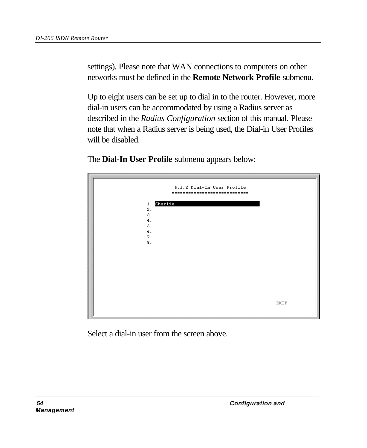settings). Please note that WAN connections to computers on other networks must be defined in the **Remote Network Profile** submenu.

Up to eight users can be set up to dial in to the router. However, more dial-in users can be accommodated by using a Radius server as described in the *Radius Configuration* section of this manual. Please note that when a Radius server is being used, the Dial-in User Profiles will be disabled.

The **Dial-In User Profile** submenu appears below:



Select a dial-in user from the screen above.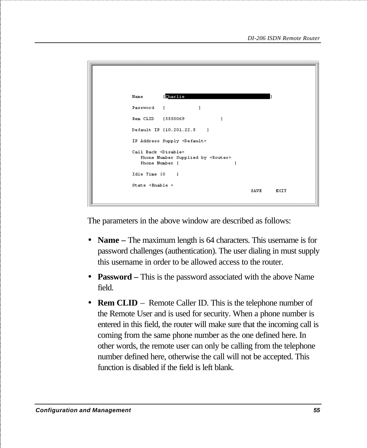```
Nome
            Charlie
Password I
                           \mathbf{1}\mathbf{I}Default IP (10.201.22.5)
                               \mathbf{1}IP Address Supply <Default>
Call Back <Disable>
   Phone Number Supplied by <Router>
   Phone Number [
                                          \overline{1}Idle Time (0)
                \blacksquareState \timesEnable >
                                                 SAVE
                                                            RXTT
```
The parameters in the above window are described as follows:

- **Name** The maximum length is 64 characters. This username is for password challenges (authentication). The user dialing in must supply this username in order to be allowed access to the router.
- **Password –** This is the password associated with the above Name field.
- **Rem CLID** Remote Caller ID. This is the telephone number of the Remote User and is used for security. When a phone number is entered in this field, the router will make sure that the incoming call is coming from the same phone number as the one defined here. In other words, the remote user can only be calling from the telephone number defined here, otherwise the call will not be accepted. This function is disabled if the field is left blank.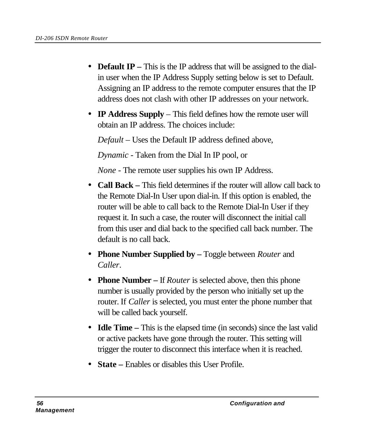- **Default IP** This is the IP address that will be assigned to the dialin user when the IP Address Supply setting below is set to Default. Assigning an IP address to the remote computer ensures that the IP address does not clash with other IP addresses on your network.
- **IP Address Supply** This field defines how the remote user will obtain an IP address. The choices include:

*Default* – Uses the Default IP address defined above,

*Dynamic* - Taken from the Dial In IP pool, or

*None* - The remote user supplies his own IP Address.

- **Call Back** This field determines if the router will allow call back to the Remote Dial-In User upon dial-in. If this option is enabled, the router will be able to call back to the Remote Dial-In User if they request it. In such a case, the router will disconnect the initial call from this user and dial back to the specified call back number. The default is no call back.
- **Phone Number Supplied by** Toggle between *Router* and *Caller*.
- **Phone Number** If *Router* is selected above, then this phone number is usually provided by the person who initially set up the router. If *Caller* is selected, you must enter the phone number that will be called back yourself.
- **Idle Time** This is the elapsed time (in seconds) since the last valid or active packets have gone through the router. This setting will trigger the router to disconnect this interface when it is reached.
- **State** Enables or disables this User Profile.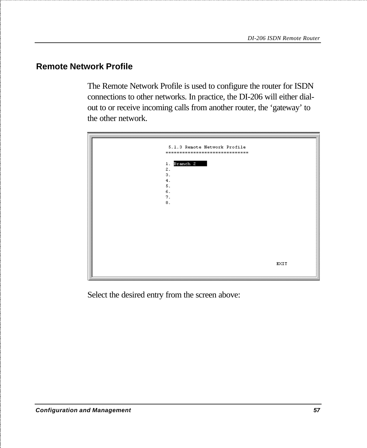#### **Remote Network Profile**

The Remote Network Profile is used to configure the router for ISDN connections to other networks. In practice, the DI-206 will either dialout to or receive incoming calls from another router, the 'gateway' to the other network.



Select the desired entry from the screen above: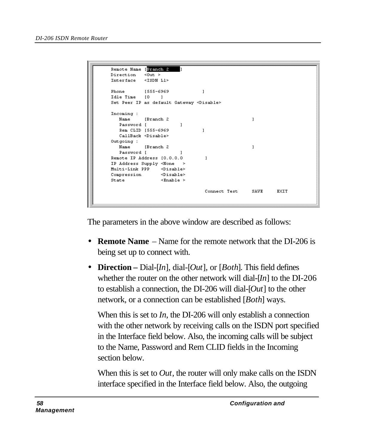```
Remote Name [Branch 2]
Direction <0ut >
Interface <ISDN L1>
Phone
         [555-6969]
                                   \mathbf{I}Idle Time [0 ]
Set Peer IP as default Gateway <Disable>
Incoming :
  Nome
            [Branch 2]
                                                      \mathbf{1}Password [
                         \mathbf{1}Rem CLID [555-6969
                                  \mathbf{1}CallBack <Disable>
Outgoing :
  Name
            [Branch 2]
                                                      \mathbf{I}Password [
Remote IP Address [0.0.0.0
                                    \overline{1}IP Address Supply <None >
Multi-Link PPP <Disable>
Compression
                 <Disable>
                  \leEnable \geState
                                    Connect Test
                                                     SAVE
                                                               EXIT
```
The parameters in the above window are described as follows:

- **Remote Name** Name for the remote network that the DI-206 is being set up to connect with.
- **Direction –** Dial-[*In*], dial-[*Out*], or [*Both*]. This field defines whether the router on the other network will dial-[*In*] to the DI-206 to establish a connection, the DI-206 will dial-[*Out*] to the other network, or a connection can be established [*Both*] ways.

When this is set to *In*, the DI-206 will only establish a connection with the other network by receiving calls on the ISDN port specified in the Interface field below. Also, the incoming calls will be subject to the Name, Password and Rem CLID fields in the Incoming section below.

When this is set to *Out*, the router will only make calls on the ISDN interface specified in the Interface field below. Also, the outgoing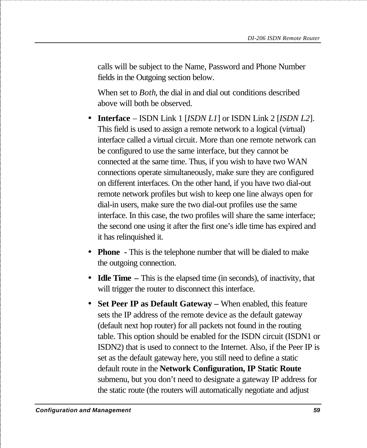calls will be subject to the Name, Password and Phone Number fields in the Outgoing section below.

When set to *Both*, the dial in and dial out conditions described above will both be observed.

- **Interface** ISDN Link 1 [*ISDN L1*] or ISDN Link 2 [*ISDN L2*]. This field is used to assign a remote network to a logical (virtual) interface called a virtual circuit. More than one remote network can be configured to use the same interface, but they cannot be connected at the same time. Thus, if you wish to have two WAN connections operate simultaneously, make sure they are configured on different interfaces. On the other hand, if you have two dial-out remote network profiles but wish to keep one line always open for dial-in users, make sure the two dial-out profiles use the same interface. In this case, the two profiles will share the same interface; the second one using it after the first one's idle time has expired and it has relinquished it.
- **Phone** This is the telephone number that will be dialed to make the outgoing connection.
- **Idle Time** This is the elapsed time (in seconds), of inactivity, that will trigger the router to disconnect this interface.
- **Set Peer IP as Default Gateway** When enabled, this feature sets the IP address of the remote device as the default gateway (default next hop router) for all packets not found in the routing table. This option should be enabled for the ISDN circuit (ISDN1 or ISDN2) that is used to connect to the Internet. Also, if the Peer IP is set as the default gateway here, you still need to define a static default route in the **Network Configuration, IP Static Route** submenu, but you don't need to designate a gateway IP address for the static route (the routers will automatically negotiate and adjust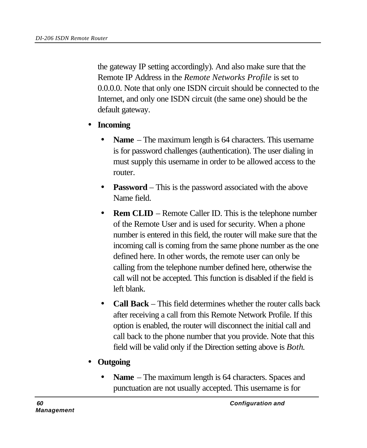the gateway IP setting accordingly). And also make sure that the Remote IP Address in the *Remote Networks Profile* is set to 0.0.0.0. Note that only one ISDN circuit should be connected to the Internet, and only one ISDN circuit (the same one) should be the default gateway.

- **Incoming**
	- **Name** The maximum length is 64 characters. This username is for password challenges (authentication). The user dialing in must supply this username in order to be allowed access to the router.
	- **Password** This is the password associated with the above Name field.
	- **Rem CLID** Remote Caller ID. This is the telephone number of the Remote User and is used for security. When a phone number is entered in this field, the router will make sure that the incoming call is coming from the same phone number as the one defined here. In other words, the remote user can only be calling from the telephone number defined here, otherwise the call will not be accepted. This function is disabled if the field is left blank.
	- **Call Back** This field determines whether the router calls back after receiving a call from this Remote Network Profile. If this option is enabled, the router will disconnect the initial call and call back to the phone number that you provide. Note that this field will be valid only if the Direction setting above is *Both*.
- **Outgoing**
	- **Name** The maximum length is 64 characters. Spaces and punctuation are not usually accepted. This username is for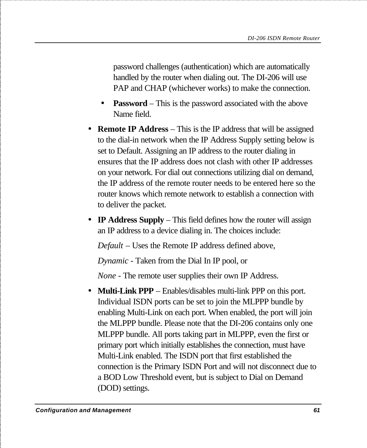password challenges (authentication) which are automatically handled by the router when dialing out. The DI-206 will use PAP and CHAP (whichever works) to make the connection.

- **Password** This is the password associated with the above Name field.
- **Remote IP Address** This is the IP address that will be assigned to the dial-in network when the IP Address Supply setting below is set to Default. Assigning an IP address to the router dialing in ensures that the IP address does not clash with other IP addresses on your network. For dial out connections utilizing dial on demand, the IP address of the remote router needs to be entered here so the router knows which remote network to establish a connection with to deliver the packet.
- **IP Address Supply** This field defines how the router will assign an IP address to a device dialing in. The choices include:

*Default* – Uses the Remote IP address defined above,

*Dynamic* - Taken from the Dial In IP pool, or

*None* - The remote user supplies their own IP Address.

• **Multi-Link PPP** – Enables/disables multi-link PPP on this port. Individual ISDN ports can be set to join the MLPPP bundle by enabling Multi-Link on each port. When enabled, the port will join the MLPPP bundle. Please note that the DI-206 contains only one MLPPP bundle. All ports taking part in MLPPP, even the first or primary port which initially establishes the connection, must have Multi-Link enabled. The ISDN port that first established the connection is the Primary ISDN Port and will not disconnect due to a BOD Low Threshold event, but is subject to Dial on Demand (DOD) settings.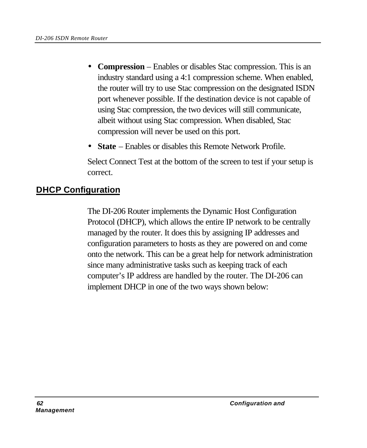- **Compression**  Enables or disables Stac compression. This is an industry standard using a 4:1 compression scheme. When enabled, the router will try to use Stac compression on the designated ISDN port whenever possible. If the destination device is not capable of using Stac compression, the two devices will still communicate, albeit without using Stac compression. When disabled, Stac compression will never be used on this port.
- **State** Enables or disables this Remote Network Profile.

Select Connect Test at the bottom of the screen to test if your setup is correct.

# **DHCP Configuration**

The DI-206 Router implements the Dynamic Host Configuration Protocol (DHCP), which allows the entire IP network to be centrally managed by the router. It does this by assigning IP addresses and configuration parameters to hosts as they are powered on and come onto the network. This can be a great help for network administration since many administrative tasks such as keeping track of each computer's IP address are handled by the router. The DI-206 can implement DHCP in one of the two ways shown below: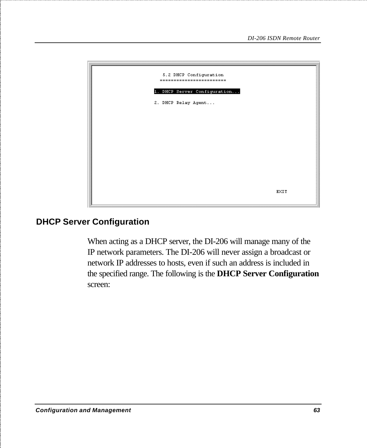

#### **DHCP Server Configuration**

When acting as a DHCP server, the DI-206 will manage many of the IP network parameters. The DI-206 will never assign a broadcast or network IP addresses to hosts, even if such an address is included in the specified range. The following is the **DHCP Server Configuration** screen: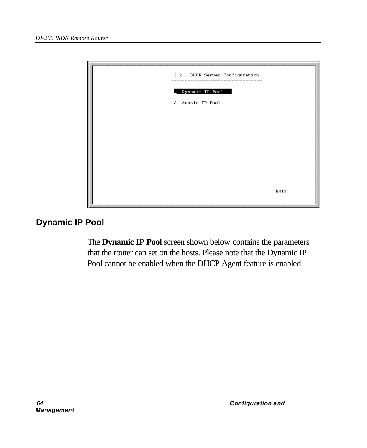

# **Dynamic IP Pool**

The **Dynamic IP Pool** screen shown below contains the parameters that the router can set on the hosts. Please note that the Dynamic IP Pool cannot be enabled when the DHCP Agent feature is enabled.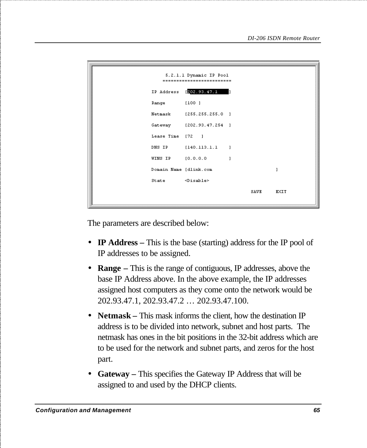| 5.2.1.1 Dynamic IP Pool<br>-------------------------- |                          |   |      |             |  |  |
|-------------------------------------------------------|--------------------------|---|------|-------------|--|--|
|                                                       | IP Address [202.93.47.1  |   |      |             |  |  |
| Range [100 ]                                          |                          |   |      |             |  |  |
|                                                       | Netmask [255.255.255.0 ] |   |      |             |  |  |
|                                                       | Gateway [202.93.47.254 ] |   |      |             |  |  |
| Lease Time [72 ]                                      |                          |   |      |             |  |  |
|                                                       | DNS IP [140.113.1.1 ]    |   |      |             |  |  |
| WINS IP [0.0.0.0                                      |                          | 1 |      |             |  |  |
| Domain Name [dlink.com                                |                          |   |      | 1           |  |  |
| State <disable></disable>                             |                          |   |      |             |  |  |
|                                                       |                          |   | SAVE | <b>EXIT</b> |  |  |

The parameters are described below:

- **IP Address** This is the base (starting) address for the IP pool of IP addresses to be assigned.
- **Range –** This is the range of contiguous, IP addresses, above the base IP Address above. In the above example, the IP addresses assigned host computers as they come onto the network would be 202.93.47.1, 202.93.47.2 … 202.93.47.100.
- **Netmask** This mask informs the client, how the destination IP address is to be divided into network, subnet and host parts. The netmask has ones in the bit positions in the 32-bit address which are to be used for the network and subnet parts, and zeros for the host part.
- **Gateway –** This specifies the Gateway IP Address that will be assigned to and used by the DHCP clients.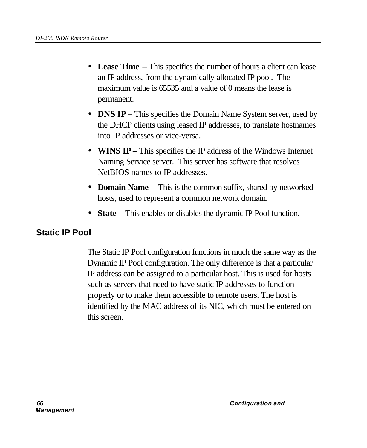- **Lease Time –** This specifies the number of hours a client can lease an IP address, from the dynamically allocated IP pool. The maximum value is 65535 and a value of 0 means the lease is permanent.
- **DNS IP** This specifies the Domain Name System server, used by the DHCP clients using leased IP addresses, to translate hostnames into IP addresses or vice-versa.
- **WINS IP** This specifies the IP address of the Windows Internet Naming Service server. This server has software that resolves NetBIOS names to IP addresses.
- **Domain Name –** This is the common suffix, shared by networked hosts, used to represent a common network domain.
- **State –** This enables or disables the dynamic IP Pool function.

## **Static IP Pool**

The Static IP Pool configuration functions in much the same way as the Dynamic IP Pool configuration. The only difference is that a particular IP address can be assigned to a particular host. This is used for hosts such as servers that need to have static IP addresses to function properly or to make them accessible to remote users. The host is identified by the MAC address of its NIC, which must be entered on this screen.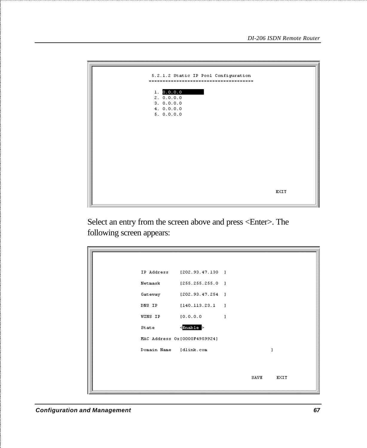

Select an entry from the screen above and press <Enter>. The following screen appears:

|                        | IP Address [202.93.47.130 ]  |      |      |
|------------------------|------------------------------|------|------|
|                        | Netmask [255.255.255.0 ]     |      |      |
| Gateway                | [202.93.47.254]              |      |      |
| DNS IP                 | [140.113.23.1]               |      |      |
| <b>WINS IP</b>         | [0.0.0.0]                    | 1    |      |
| State                  | $\leq$ Enable $>$            |      |      |
|                        | MAC Address 0x[0000F4959924] |      |      |
| Domain Name [dlink.com |                              |      | ı    |
|                        |                              |      |      |
|                        |                              | SAVE | EXIT |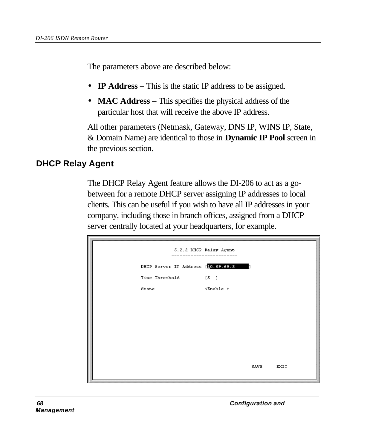The parameters above are described below:

- **IP Address** This is the static IP address to be assigned.
- **MAC Address –** This specifies the physical address of the particular host that will receive the above IP address.

All other parameters (Netmask, Gateway, DNS IP, WINS IP, State, & Domain Name) are identical to those in **Dynamic IP Pool** screen in the previous section.

### **DHCP Relay Agent**

The DHCP Relay Agent feature allows the DI-206 to act as a gobetween for a remote DHCP server assigning IP addresses to local clients. This can be useful if you wish to have all IP addresses in your company, including those in branch offices, assigned from a DHCP server centrally located at your headquarters, for example.

| 5.2.2 DHCP Relay Agent<br>$=$ $=$<br>$=$ $=$ $=$<br>-------------------- |                                     |                          |      |      |  |  |
|--------------------------------------------------------------------------|-------------------------------------|--------------------------|------|------|--|--|
|                                                                          | DHCP Server IP Address [10.69.69.3] |                          |      |      |  |  |
|                                                                          | Time Threshold<br>[5]               |                          |      |      |  |  |
|                                                                          | State                               | $\times$ Enable $\times$ |      |      |  |  |
|                                                                          |                                     |                          |      |      |  |  |
|                                                                          |                                     |                          |      |      |  |  |
|                                                                          |                                     |                          |      |      |  |  |
|                                                                          |                                     |                          |      |      |  |  |
|                                                                          |                                     |                          |      |      |  |  |
|                                                                          |                                     |                          | SAVE | EXIT |  |  |
|                                                                          |                                     |                          |      |      |  |  |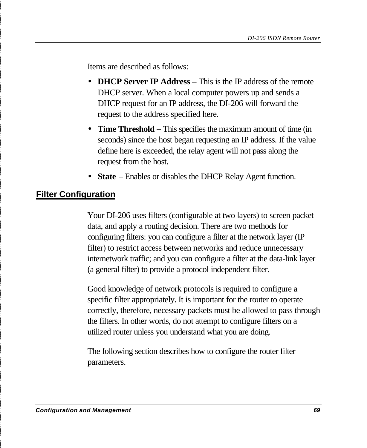Items are described as follows:

- **DHCP Server IP Address** This is the IP address of the remote DHCP server. When a local computer powers up and sends a DHCP request for an IP address, the DI-206 will forward the request to the address specified here.
- **Time Threshold –** This specifies the maximum amount of time (in seconds) since the host began requesting an IP address. If the value define here is exceeded, the relay agent will not pass along the request from the host.
- **State** Enables or disables the DHCP Relay Agent function.

#### **Filter Configuration**

Your DI-206 uses filters (configurable at two layers) to screen packet data, and apply a routing decision. There are two methods for configuring filters: you can configure a filter at the network layer (IP filter) to restrict access between networks and reduce unnecessary internetwork traffic; and you can configure a filter at the data-link layer (a general filter) to provide a protocol independent filter.

Good knowledge of network protocols is required to configure a specific filter appropriately. It is important for the router to operate correctly, therefore, necessary packets must be allowed to pass through the filters. In other words, do not attempt to configure filters on a utilized router unless you understand what you are doing.

The following section describes how to configure the router filter parameters.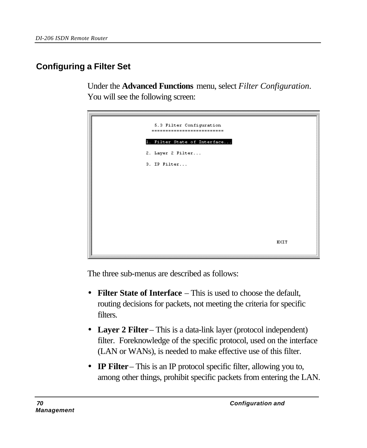# **Configuring a Filter Set**

Under the **Advanced Functions** menu, select *Filter Configuration*. You will see the following screen:



The three sub-menus are described as follows:

- **Filter State of Interface** This is used to choose the default, routing decisions for packets, not meeting the criteria for specific filters.
- **Layer 2 Filter** This is a data-link layer (protocol independent) filter. Foreknowledge of the specific protocol, used on the interface (LAN or WANs), is needed to make effective use of this filter.
- **IP Filter** This is an IP protocol specific filter, allowing you to, among other things, prohibit specific packets from entering the LAN.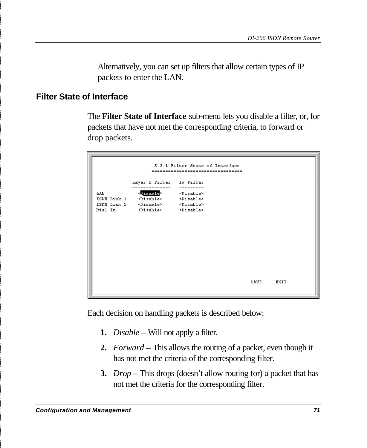Alternatively, you can set up filters that allow certain types of IP packets to enter the LAN.

#### **Filter State of Interface**

The **Filter State of Interface** sub-menu lets you disable a filter, or, for packets that have not met the corresponding criteria, to forward or drop packets.

|     |                                                     | 5.3.1 Filter State of Interface    |      |      |
|-----|-----------------------------------------------------|------------------------------------|------|------|
|     |                                                     | ---------------------------------- |      |      |
|     | Layer 2 Filter IP Filter                            |                                    |      |      |
| LAN | <disable></disable>                                 | $<$ Disable>                       |      |      |
|     | ISDN Link 1 <disable> <disable></disable></disable> |                                    |      |      |
|     | ISDN Link 2 <disable> <disable></disable></disable> |                                    |      |      |
|     | Dial-In <disable> <disable></disable></disable>     |                                    |      |      |
|     |                                                     |                                    |      |      |
|     |                                                     |                                    |      |      |
|     |                                                     |                                    |      |      |
|     |                                                     |                                    |      |      |
|     |                                                     |                                    |      |      |
|     |                                                     |                                    |      |      |
|     |                                                     |                                    |      |      |
|     |                                                     |                                    |      |      |
|     |                                                     |                                    |      |      |
|     |                                                     |                                    |      |      |
|     |                                                     |                                    | SAVE | EXIT |
|     |                                                     |                                    |      |      |
|     |                                                     |                                    |      |      |

Each decision on handling packets is described below:

- **1.** *Disable* Will not apply a filter.
- **2.** *Forward*This allows the routing of a packet, even though it has not met the criteria of the corresponding filter.
- **3.** *Drop*This drops (doesn't allow routing for) a packet that has not met the criteria for the corresponding filter.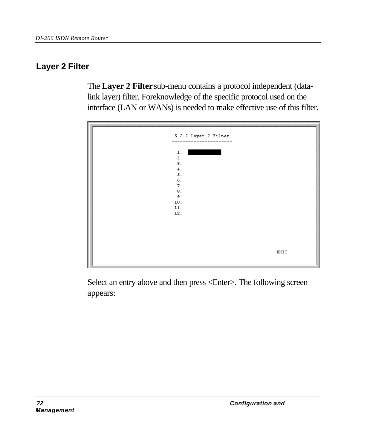## **Layer 2 Filter**

The **Layer 2 Filter** sub-menu contains a protocol independent (datalink layer) filter. Foreknowledge of the specific protocol used on the interface (LAN or WANs) is needed to make effective use of this filter.



Select an entry above and then press <Enter>. The following screen appears: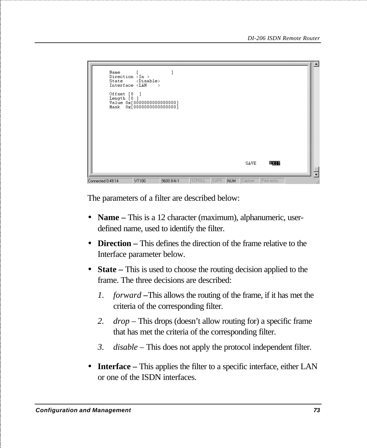```
\overline{1}Name
             Direction <In >
                            <Disable>
             State
             Interface <LAN
            Offset [0 ]<br>Length [0 ]<br>Value 0x[0000000000000000]<br>Mask 0x[000000000000000]
                                                                                                 SAVE
                                                                                                               网络山
                                                                     OLL CAPS NUM
Connected 0:49:14
                            VT100
                                             9600 8-N-1
```
The parameters of a filter are described below:

- **Name** This is a 12 character (maximum), alphanumeric, userdefined name, used to identify the filter.
- **Direction** This defines the direction of the frame relative to the Interface parameter below.
- **State** This is used to choose the routing decision applied to the frame. The three decisions are described:
	- *1. forward –*This allows the routing of the frame, if it has met the criteria of the corresponding filter.
	- *2. drop* This drops (doesn't allow routing for) a specific frame that has met the criteria of the corresponding filter.
	- *3. disable* This does not apply the protocol independent filter.
- **Interface** This applies the filter to a specific interface, either LAN or one of the ISDN interfaces.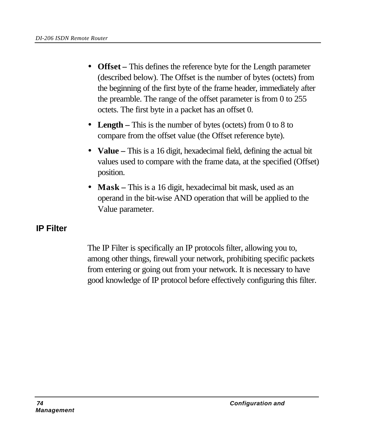- **Offset –** This defines the reference byte for the Length parameter (described below). The Offset is the number of bytes (octets) from the beginning of the first byte of the frame header, immediately after the preamble. The range of the offset parameter is from 0 to 255 octets. The first byte in a packet has an offset 0.
- **Length** This is the number of bytes (octets) from 0 to 8 to compare from the offset value (the Offset reference byte).
- **Value** This is a 16 digit, hexadecimal field, defining the actual bit values used to compare with the frame data, at the specified (Offset) position.
- **Mask** This is a 16 digit, hexadecimal bit mask, used as an operand in the bit-wise AND operation that will be applied to the Value parameter.

## **IP Filter**

The IP Filter is specifically an IP protocols filter, allowing you to, among other things, firewall your network, prohibiting specific packets from entering or going out from your network. It is necessary to have good knowledge of IP protocol before effectively configuring this filter.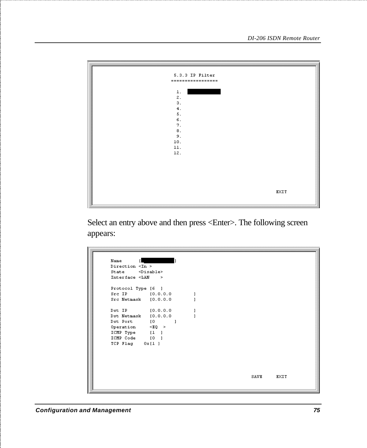| 5.3.3 IP Filter   |      |
|-------------------|------|
| ================= |      |
|                   |      |
|                   |      |
| $1$ .             |      |
| 2.                |      |
| 3.                |      |
|                   |      |
| 4.                |      |
| 5.                |      |
| 6.                |      |
| 7.                |      |
| $\,$ 8 .          |      |
| 9.                |      |
|                   |      |
| 10.               |      |
| 11.               |      |
| 12.               |      |
|                   |      |
|                   |      |
|                   |      |
|                   |      |
|                   |      |
|                   |      |
|                   |      |
|                   |      |
|                   | EXIT |
|                   |      |
|                   |      |

Select an entry above and then press <Enter>. The following screen appears:

| Name                                                                               |                  |  |      |             |
|------------------------------------------------------------------------------------|------------------|--|------|-------------|
| Direction <in></in>                                                                |                  |  |      |             |
| State <disable></disable>                                                          |                  |  |      |             |
| Interface <lan< td=""><td><math>\geq</math></td><td></td><td></td><td></td></lan<> | $\geq$           |  |      |             |
| Protocol Type [6 ]                                                                 |                  |  |      |             |
| Src IP [0.0.0.0                                                                    |                  |  |      |             |
| Src Netmask [0.0.0.0                                                               |                  |  |      |             |
| Dst IP                                                                             | [0.0.0.0]        |  |      |             |
| Dst Netmask [0.0.0.0                                                               |                  |  |      |             |
| Dst Port                                                                           | [0]<br>1         |  |      |             |
| Operation                                                                          | $\leq$ EQ $\geq$ |  |      |             |
| ICMP Type                                                                          | [1]              |  |      |             |
| ICMP Code                                                                          | [0]              |  |      |             |
| TCP Flag 0x[1]                                                                     |                  |  |      |             |
|                                                                                    |                  |  |      |             |
|                                                                                    |                  |  |      |             |
|                                                                                    |                  |  |      |             |
|                                                                                    |                  |  |      |             |
|                                                                                    |                  |  |      |             |
|                                                                                    |                  |  | SAVE | <b>EXIT</b> |
|                                                                                    |                  |  |      |             |
|                                                                                    |                  |  |      |             |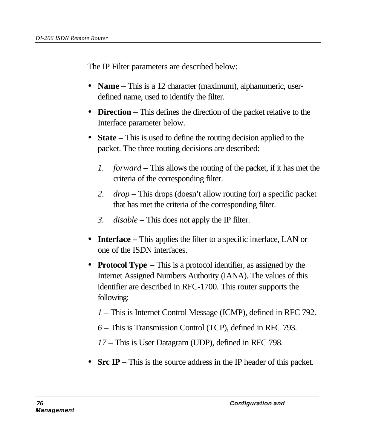The IP Filter parameters are described below:

- **Name** This is a 12 character (maximum), alphanumeric, userdefined name, used to identify the filter.
- **Direction** This defines the direction of the packet relative to the Interface parameter below.
- **State** This is used to define the routing decision applied to the packet. The three routing decisions are described:
	- *1. forward* This allows the routing of the packet, if it has met the criteria of the corresponding filter.
	- *2. drop* This drops (doesn't allow routing for) a specific packet that has met the criteria of the corresponding filter.
	- *3. disable* This does not apply the IP filter.
- **Interface –** This applies the filter to a specific interface, LAN or one of the ISDN interfaces.
- **Protocol Type** This is a protocol identifier, as assigned by the Internet Assigned Numbers Authority (IANA). The values of this identifier are described in RFC-1700. This router supports the following:
	- *1* **–** This is Internet Control Message (ICMP), defined in RFC 792.
	- *6* **–** This is Transmission Control (TCP), defined in RFC 793.
	- *17* **–** This is User Datagram (UDP), defined in RFC 798.
- **Src IP** This is the source address in the IP header of this packet.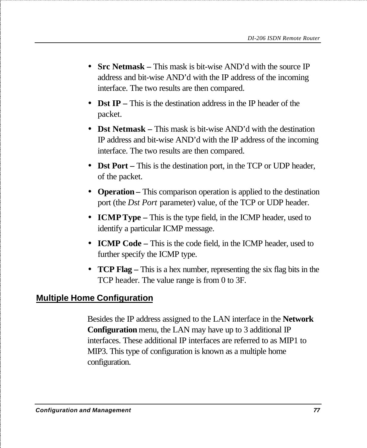- **Src Netmask** This mask is bit-wise AND'd with the source IP address and bit-wise AND'd with the IP address of the incoming interface. The two results are then compared.
- **Dst IP –** This is the destination address in the IP header of the packet.
- **Dst Netmask** This mask is bit-wise AND'd with the destination IP address and bit-wise AND'd with the IP address of the incoming interface. The two results are then compared.
- **Dst Port –** This is the destination port, in the TCP or UDP header, of the packet.
- **Operation** This comparison operation is applied to the destination port (the *Dst Port* parameter) value, of the TCP or UDP header.
- **ICMP Type –** This is the type field, in the ICMP header, used to identify a particular ICMP message.
- **ICMP Code –** This is the code field, in the ICMP header, used to further specify the ICMP type.
- **TCP Flag –** This is a hex number, representing the six flag bits in the TCP header. The value range is from 0 to 3F.

## **Multiple Home Configuration**

Besides the IP address assigned to the LAN interface in the **Network Configuration** menu, the LAN may have up to 3 additional IP interfaces. These additional IP interfaces are referred to as MIP1 to MIP3. This type of configuration is known as a multiple home configuration.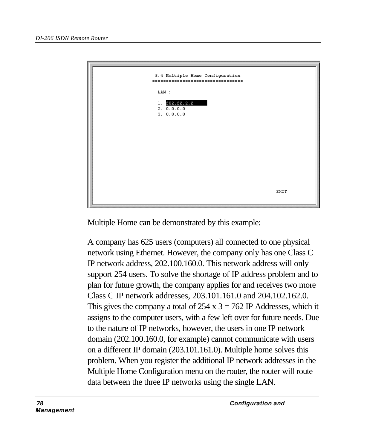

Multiple Home can be demonstrated by this example:

A company has 625 users (computers) all connected to one physical network using Ethernet. However, the company only has one Class C IP network address, 202.100.160.0. This network address will only support 254 users. To solve the shortage of IP address problem and to plan for future growth, the company applies for and receives two more Class C IP network addresses, 203.101.161.0 and 204.102.162.0. This gives the company a total of  $254 \times 3 = 762$  IP Addresses, which it assigns to the computer users, with a few left over for future needs. Due to the nature of IP networks, however, the users in one IP network domain (202.100.160.0, for example) cannot communicate with users on a different IP domain (203.101.161.0). Multiple home solves this problem. When you register the additional IP network addresses in the Multiple Home Configuration menu on the router, the router will route data between the three IP networks using the single LAN.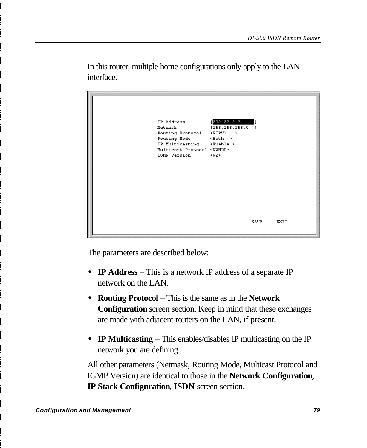202.22.2.2 IP Address  $[255, 255, 255, 0]$ Netmask Routing Protocol <RIPV1 > IP Multicasting <Enable > Multicast Protocol <DVMRP> IGMP Version  $\langle \text{W2}\rangle$ SAVE **EXIT** 

In this router, multiple home configurations only apply to the LAN interface.

The parameters are described below:

- **IP Address** This is a network IP address of a separate IP network on the LAN.
- **Routing Protocol**  This is the same as in the **Network Configuration** screen section. Keep in mind that these exchanges are made with adjacent routers on the LAN, if present.
- **IP Multicasting** This enables/disables IP multicasting on the IP network you are defining.

All other parameters (Netmask, Routing Mode, Multicast Protocol and IGMP Version) are identical to those in the **Network Configuration***,* **IP Stack Configuration***,* **ISDN** screen section.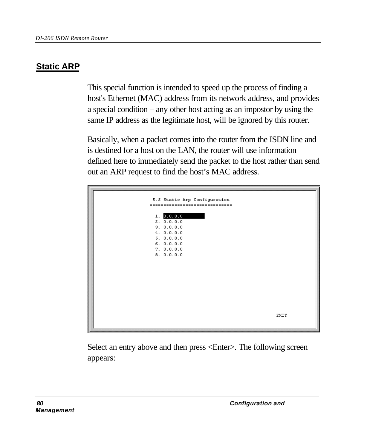# **Static ARP**

This special function is intended to speed up the process of finding a host's Ethernet (MAC) address from its network address, and provides a special condition – any other host acting as an impostor by using the same IP address as the legitimate host, will be ignored by this router.

Basically, when a packet comes into the router from the ISDN line and is destined for a host on the LAN, the router will use information defined here to immediately send the packet to the host rather than send out an ARP request to find the host's MAC address.



Select an entry above and then press <Enter>. The following screen appears: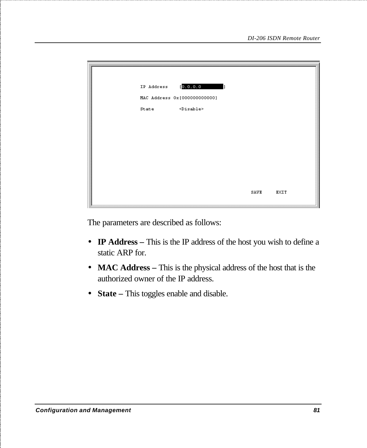| IP Address | [0, 0, 0, 0]<br>h              |      |      |
|------------|--------------------------------|------|------|
|            | MAC Address 0x [0000000000000] |      |      |
| State      | $<$ Disable>                   |      |      |
|            |                                |      |      |
|            |                                |      |      |
|            |                                |      |      |
|            |                                |      |      |
|            |                                |      |      |
|            |                                |      |      |
|            |                                | SAVE | EXIT |
|            |                                |      |      |

The parameters are described as follows:

- **IP Address** This is the IP address of the host you wish to define a static ARP for.
- **MAC Address** This is the physical address of the host that is the authorized owner of the IP address.
- **State –** This toggles enable and disable.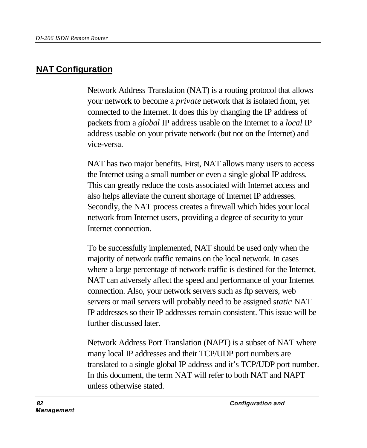# **NAT Configuration**

Network Address Translation (NAT) is a routing protocol that allows your network to become a *private* network that is isolated from, yet connected to the Internet. It does this by changing the IP address of packets from a *global* IP address usable on the Internet to a *local* IP address usable on your private network (but not on the Internet) and vice-versa.

NAT has two major benefits. First, NAT allows many users to access the Internet using a small number or even a single global IP address. This can greatly reduce the costs associated with Internet access and also helps alleviate the current shortage of Internet IP addresses. Secondly, the NAT process creates a firewall which hides your local network from Internet users, providing a degree of security to your Internet connection.

To be successfully implemented, NAT should be used only when the majority of network traffic remains on the local network. In cases where a large percentage of network traffic is destined for the Internet, NAT can adversely affect the speed and performance of your Internet connection. Also, your network servers such as ftp servers, web servers or mail servers will probably need to be assigned *static* NAT IP addresses so their IP addresses remain consistent. This issue will be further discussed later.

Network Address Port Translation (NAPT) is a subset of NAT where many local IP addresses and their TCP/UDP port numbers are translated to a single global IP address and it's TCP/UDP port number. In this document, the term NAT will refer to both NAT and NAPT unless otherwise stated.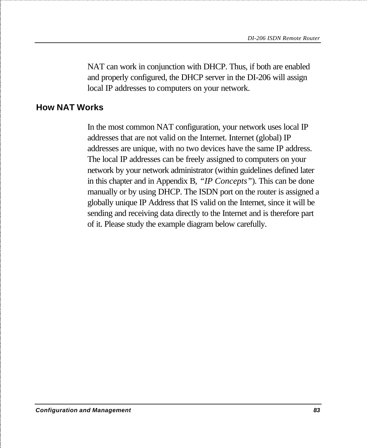NAT can work in conjunction with DHCP. Thus, if both are enabled and properly configured, the DHCP server in the DI-206 will assign local IP addresses to computers on your network.

#### **How NAT Works**

In the most common NAT configuration, your network uses local IP addresses that are not valid on the Internet. Internet (global) IP addresses are unique, with no two devices have the same IP address. The local IP addresses can be freely assigned to computers on your network by your network administrator (within guidelines defined later in this chapter and in Appendix B, *"IP Concepts"*). This can be done manually or by using DHCP. The ISDN port on the router is assigned a globally unique IP Address that IS valid on the Internet, since it will be sending and receiving data directly to the Internet and is therefore part of it. Please study the example diagram below carefully.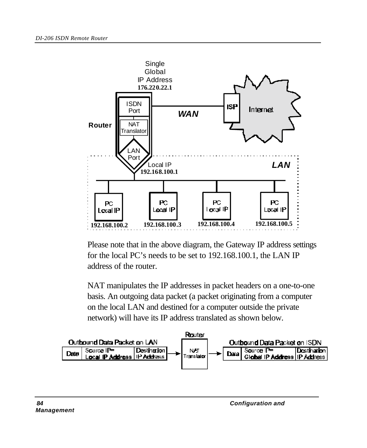

Please note that in the above diagram, the Gateway IP address settings for the local PC's needs to be set to 192.168.100.1, the LAN IP address of the router.

NAT manipulates the IP addresses in packet headers on a one-to-one basis. An outgoing data packet (a packet originating from a computer on the local LAN and destined for a computer outside the private network) will have its IP address translated as shown below.

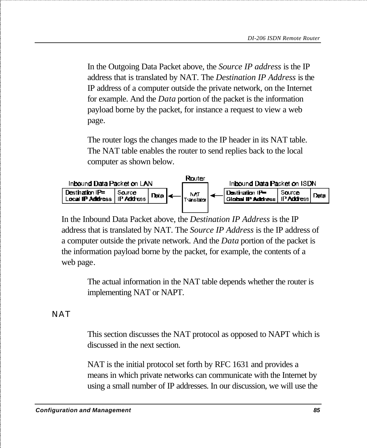In the Outgoing Data Packet above, the *Source IP address* is the IP address that is translated by NAT. The *Destination IP Address* is the IP address of a computer outside the private network, on the Internet for example. And the *Data* portion of the packet is the information payload borne by the packet, for instance a request to view a web page.

The router logs the changes made to the IP header in its NAT table. The NAT table enables the router to send replies back to the local computer as shown below.



In the Inbound Data Packet above, the *Destination IP Address* is the IP address that is translated by NAT. The *Source IP Address* is the IP address of a computer outside the private network. And the *Data* portion of the packet is the information payload borne by the packet, for example, the contents of a web page.

The actual information in the NAT table depends whether the router is implementing NAT or NAPT.

**NAT** 

This section discusses the NAT protocol as opposed to NAPT which is discussed in the next section.

NAT is the initial protocol set forth by RFC 1631 and provides a means in which private networks can communicate with the Internet by using a small number of IP addresses. In our discussion, we will use the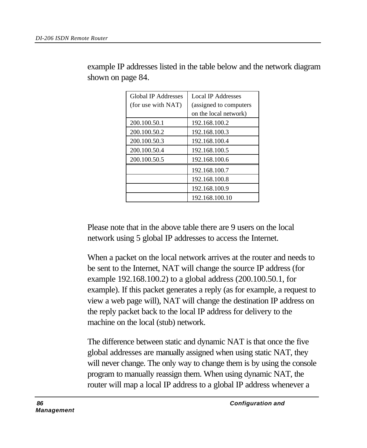| Global IP Addresses | <b>Local IP Addresses</b> |
|---------------------|---------------------------|
|                     |                           |
| (for use with NAT)  | (assigned to computers)   |
|                     | on the local network)     |
| 200.100.50.1        | 192.168.100.2             |
| 200.100.50.2        | 192.168.100.3             |
| 200.100.50.3        | 192.168.100.4             |
| 200.100.50.4        | 192.168.100.5             |
| 200.100.50.5        | 192.168.100.6             |
|                     | 192.168.100.7             |
|                     | 192.168.100.8             |
|                     | 192.168.100.9             |
|                     | 192.168.100.10            |

example IP addresses listed in the table below and the network diagram shown on page 84.

Please note that in the above table there are 9 users on the local network using 5 global IP addresses to access the Internet.

When a packet on the local network arrives at the router and needs to be sent to the Internet, NAT will change the source IP address (for example 192.168.100.2) to a global address (200.100.50.1, for example). If this packet generates a reply (as for example, a request to view a web page will), NAT will change the destination IP address on the reply packet back to the local IP address for delivery to the machine on the local (stub) network.

The difference between static and dynamic NAT is that once the five global addresses are manually assigned when using static NAT, they will never change. The only way to change them is by using the console program to manually reassign them. When using dynamic NAT, the router will map a local IP address to a global IP address whenever a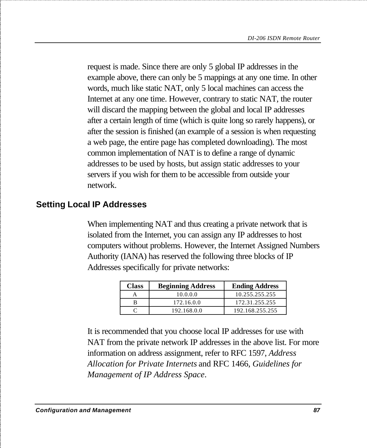request is made. Since there are only 5 global IP addresses in the example above, there can only be 5 mappings at any one time. In other words, much like static NAT, only 5 local machines can access the Internet at any one time. However, contrary to static NAT, the router will discard the mapping between the global and local IP addresses after a certain length of time (which is quite long so rarely happens), or after the session is finished (an example of a session is when requesting a web page, the entire page has completed downloading). The most common implementation of NAT is to define a range of dynamic addresses to be used by hosts, but assign static addresses to your servers if you wish for them to be accessible from outside your network.

#### **Setting Local IP Addresses**

When implementing NAT and thus creating a private network that is isolated from the Internet, you can assign any IP addresses to host computers without problems. However, the Internet Assigned Numbers Authority (IANA) has reserved the following three blocks of IP Addresses specifically for private networks:

| <b>Class</b> | <b>Beginning Address</b> | <b>Ending Address</b> |
|--------------|--------------------------|-----------------------|
|              | 10.0.0.0                 | 10.255.255.255        |
|              | 172.16.0.0               | 172.31.255.255        |
|              | 192.168.0.0              | 192.168.255.255       |

It is recommended that you choose local IP addresses for use with NAT from the private network IP addresses in the above list. For more information on address assignment, refer to RFC 1597, *Address Allocation for Private Internets* and RFC 1466, *Guidelines for Management of IP Address Space*.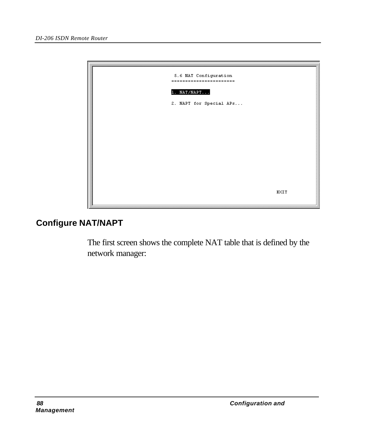

## **Configure NAT/NAPT**

The first screen shows the complete NAT table that is defined by the network manager: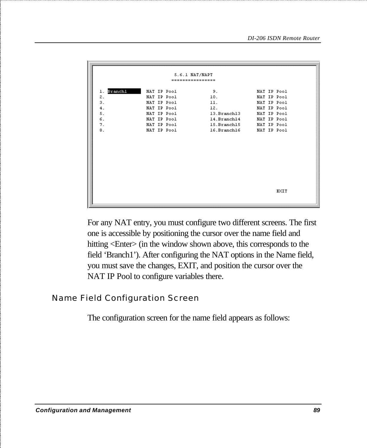| 5.6.1 NAT/NAPT   |             |  |             |             |      |  |  |
|------------------|-------------|--|-------------|-------------|------|--|--|
| ---------------- |             |  |             |             |      |  |  |
|                  |             |  |             |             |      |  |  |
| Branchl<br>ı.    | NAT IP Pool |  | 9.          | NAT IP Pool |      |  |  |
| 2.               | NAT IP Pool |  | 10.         | NAT IP Pool |      |  |  |
| 3.               | NAT IP Pool |  | 11.         | NAT IP Pool |      |  |  |
| 4.               | NAT IP Pool |  | 12.         | NAT IP Pool |      |  |  |
| 5.               | NAT IP Pool |  | 13.Branch13 | NAT IP Pool |      |  |  |
| 6.               | NAT IP Pool |  | 14.Branch14 | NAT IP Pool |      |  |  |
| 7.               | NAT IP Pool |  | 15.Branch15 | NAT IP Pool |      |  |  |
| 8.               | NAT IP Pool |  | 16.Branch16 | NAT IP Pool |      |  |  |
|                  |             |  |             |             |      |  |  |
|                  |             |  |             |             |      |  |  |
|                  |             |  |             |             |      |  |  |
|                  |             |  |             |             |      |  |  |
|                  |             |  |             |             |      |  |  |
|                  |             |  |             |             |      |  |  |
|                  |             |  |             |             |      |  |  |
|                  |             |  |             |             |      |  |  |
|                  |             |  |             |             |      |  |  |
|                  |             |  |             |             |      |  |  |
|                  |             |  |             |             | EXIT |  |  |
|                  |             |  |             |             |      |  |  |
|                  |             |  |             |             |      |  |  |

For any NAT entry, you must configure two different screens. The first one is accessible by positioning the cursor over the name field and hitting <Enter> (in the window shown above, this corresponds to the field 'Branch1'). After configuring the NAT options in the Name field, you must save the changes, EXIT, and position the cursor over the NAT IP Pool to configure variables there.

Name Field Configuration Screen

The configuration screen for the name field appears as follows: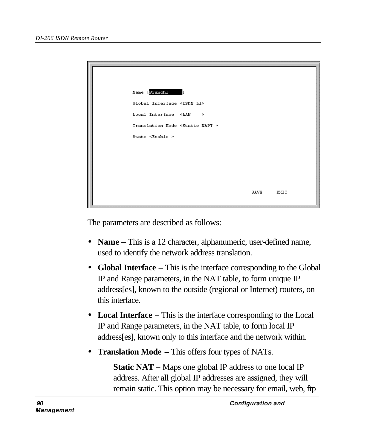| Name [Branchl]<br>1                        |      |      |
|--------------------------------------------|------|------|
| Global Interface <isdn l1=""></isdn>       |      |      |
| Local Interface $\leq$ LAN >               |      |      |
| Translation Mode <static napt=""></static> |      |      |
| State $\le$ Enable >                       |      |      |
|                                            |      |      |
|                                            |      |      |
|                                            |      |      |
|                                            |      |      |
|                                            | SAVE | EXIT |

The parameters are described as follows:

- **Name** This is a 12 character, alphanumeric, user-defined name, used to identify the network address translation.
- **Global Interface** This is the interface corresponding to the Global IP and Range parameters, in the NAT table, to form unique IP address[es], known to the outside (regional or Internet) routers, on this interface.
- **Local Interface –** This is the interface corresponding to the Local IP and Range parameters, in the NAT table, to form local IP address[es], known only to this interface and the network within.
- **Translation Mode –** This offers four types of NATs.

**Static NAT –** Maps one global IP address to one local IP address. After all global IP addresses are assigned, they will remain static. This option may be necessary for email, web, ftp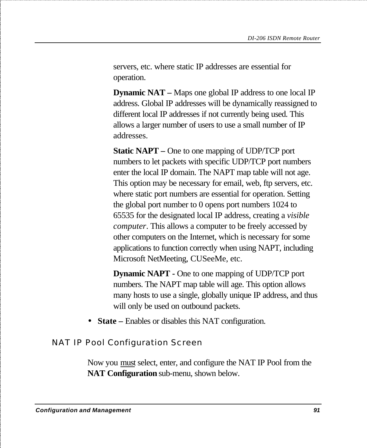servers, etc. where static IP addresses are essential for operation.

**Dynamic NAT –** Maps one global IP address to one local IP address. Global IP addresses will be dynamically reassigned to different local IP addresses if not currently being used. This allows a larger number of users to use a small number of IP addresses.

**Static NAPT –** One to one mapping of UDP/TCP port numbers to let packets with specific UDP/TCP port numbers enter the local IP domain. The NAPT map table will not age. This option may be necessary for email, web, ftp servers, etc. where static port numbers are essential for operation. Setting the global port number to 0 opens port numbers 1024 to 65535 for the designated local IP address, creating a *visible computer*. This allows a computer to be freely accessed by other computers on the Internet, which is necessary for some applications to function correctly when using NAPT, including Microsoft NetMeeting, CUSeeMe, etc.

**Dynamic NAPT -** One to one mapping of UDP/TCP port numbers. The NAPT map table will age. This option allows many hosts to use a single, globally unique IP address, and thus will only be used on outbound packets.

• **State** – Enables or disables this NAT configuration.

NAT IP Pool Configuration Screen

Now you must select, enter, and configure the NAT IP Pool from the **NAT Configuration** sub-menu, shown below.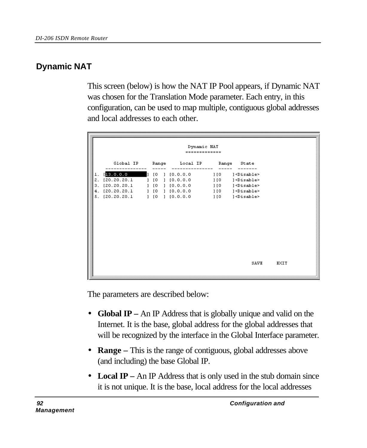# **Dynamic NAT**

This screen (below) is how the NAT IP Pool appears, if Dynamic NAT was chosen for the Translation Mode parameter. Each entry, in this configuration, can be used to map multiple, contiguous global addresses and local addresses to each other.

The parameters are described below:

- **Global IP** An IP Address that is globally unique and valid on the Internet. It is the base, global address for the global addresses that will be recognized by the interface in the Global Interface parameter.
- **Range –** This is the range of contiguous, global addresses above (and including) the base Global IP.
- **Local IP** An IP Address that is only used in the stub domain since it is not unique. It is the base, local address for the local addresses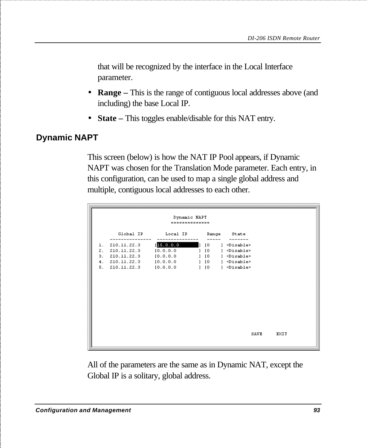that will be recognized by the interface in the Local Interface parameter.

- **Range –** This is the range of contiguous local addresses above (and including) the base Local IP.
- **State** This toggles enable/disable for this NAT entry.

## **Dynamic NAPT**

This screen (below) is how the NAT IP Pool appears, if Dynamic NAPT was chosen for the Translation Mode parameter. Each entry, in this configuration, can be used to map a single global address and multiple, contiguous local addresses to each other.

|    |                                                                                    | Dynamic NAPT<br>--------------     |                                    |                                                                                                                                                  |             |
|----|------------------------------------------------------------------------------------|------------------------------------|------------------------------------|--------------------------------------------------------------------------------------------------------------------------------------------------|-------------|
|    | Global IP                                                                          | Local IP                           |                                    | Range State                                                                                                                                      |             |
| 1. | 210.11.22.3<br>2. 210.11.22.3<br>$3. \quad 210.11.22.3$<br>4. 210.11.22.3 [0.0.0.0 | 15.0.0.0<br>[0.0.0.0]<br>[0.0.0.0] | 1 <sub>10</sub><br>1 <sub>10</sub> | ] <disable><br/>] <disable><br/>] [0 ] <disable><br/><math>1 [0]</math> <math>1</math> <math>\le</math>Disable&gt;</disable></disable></disable> |             |
|    | 5. 210.11.22.3 [0.0.0.0                                                            |                                    |                                    | ] [0 ] <disable></disable>                                                                                                                       |             |
|    |                                                                                    |                                    |                                    |                                                                                                                                                  |             |
|    |                                                                                    |                                    |                                    | <b>SAVE</b>                                                                                                                                      | <b>EXIT</b> |

All of the parameters are the same as in Dynamic NAT, except the Global IP is a solitary, global address.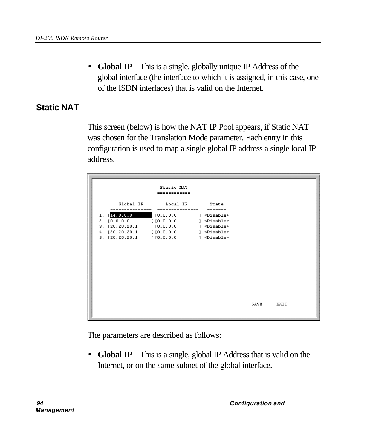• **Global IP** – This is a single, globally unique IP Address of the global interface (the interface to which it is assigned, in this case, one of the ISDN interfaces) that is valid on the Internet.

## **Static NAT**

This screen (below) is how the NAT IP Pool appears, if Static NAT was chosen for the Translation Mode parameter. Each entry in this configuration is used to map a single global IP address a single local IP address.

|                                                                                         | Static NAT<br>============                              |                                                                                                                               |      |      |  |
|-----------------------------------------------------------------------------------------|---------------------------------------------------------|-------------------------------------------------------------------------------------------------------------------------------|------|------|--|
|                                                                                         | Global IP Local IP                                      | State                                                                                                                         |      |      |  |
| $1.$ [14.0.0.0<br>2. [0.0.0.0<br>4. [20.20.20.1 ] [0.0.0.0<br>5. [20.20.20.1] [0.0.0.0] | 1[0.0.0.0]<br>1[0.0.0.0]<br>3. [20.20.20.1 ] [0.0.0.0 ] | ] <disable><br/>] <disable><br/>] <disable><br/>] <disable><br/>] <disable></disable></disable></disable></disable></disable> |      |      |  |
|                                                                                         |                                                         |                                                                                                                               | SAVE | EXIT |  |

The parameters are described as follows:

• **Global IP** – This is a single, global IP Address that is valid on the Internet, or on the same subnet of the global interface.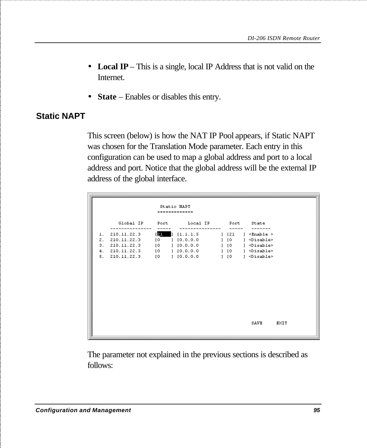- **Local IP** This is a single, local IP Address that is not valid on the Internet.
- **State** Enables or disables this entry.

# **Static NAPT**

This screen (below) is how the NAT IP Pool appears, if Static NAPT was chosen for the Translation Mode parameter. Each entry in this configuration can be used to map a global address and port to a local address and port. Notice that the global address will be the external IP address of the global interface.

|    | Static NAPT<br>-------------     |                                   |                                                |  |                                    |                                                 |      |
|----|----------------------------------|-----------------------------------|------------------------------------------------|--|------------------------------------|-------------------------------------------------|------|
|    | Global IP                        | Port                              | Local IP                                       |  |                                    | Port State                                      |      |
| 1. | 210.11.22.3                      | [21                               | 1[1.1.1.5]                                     |  | $1$ $[21]$                         | ] <enable></enable>                             |      |
| 2. | 210.11.22.3                      | $\overline{10}$                   | $1\,$ [0.0.0.0 $\,$                            |  |                                    | $1 [0]$ $1$ $\le$ Disable>                      |      |
|    | 3. 210.11.22.3                   | $\begin{bmatrix} 0 \end{bmatrix}$ | $1\,$ [0.0.0.0 $\,$                            |  | 1 <sub>10</sub>                    | ] <disable></disable>                           |      |
|    | 4. 210.11.22.3<br>5. 210.11.22.3 | $10 -$                            | $[0 \quad 1 \quad 10.0.0.0$<br>$1 \t{0.0.0.0}$ |  | 1 <sub>10</sub><br>1 <sub>10</sub> | l <disable><br/>] <disable></disable></disable> |      |
|    |                                  |                                   |                                                |  |                                    |                                                 |      |
|    |                                  |                                   |                                                |  |                                    | SAVE                                            | EXIT |

The parameter not explained in the previous sections is described as follows: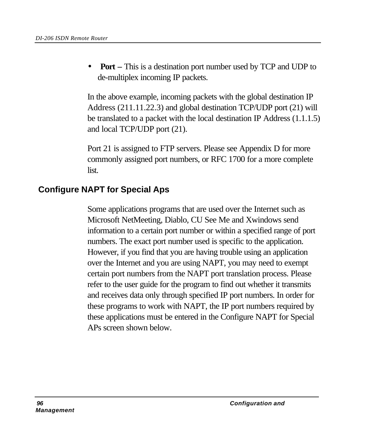• **Port –** This is a destination port number used by TCP and UDP to de-multiplex incoming IP packets.

In the above example, incoming packets with the global destination IP Address (211.11.22.3) and global destination TCP/UDP port (21) will be translated to a packet with the local destination IP Address (1.1.1.5) and local TCP/UDP port (21).

Port 21 is assigned to FTP servers. Please see Appendix D for more commonly assigned port numbers, or RFC 1700 for a more complete list.

## **Configure NAPT for Special Aps**

Some applications programs that are used over the Internet such as Microsoft NetMeeting, Diablo, CU See Me and Xwindows send information to a certain port number or within a specified range of port numbers. The exact port number used is specific to the application. However, if you find that you are having trouble using an application over the Internet and you are using NAPT, you may need to exempt certain port numbers from the NAPT port translation process. Please refer to the user guide for the program to find out whether it transmits and receives data only through specified IP port numbers. In order for these programs to work with NAPT, the IP port numbers required by these applications must be entered in the Configure NAPT for Special APs screen shown below.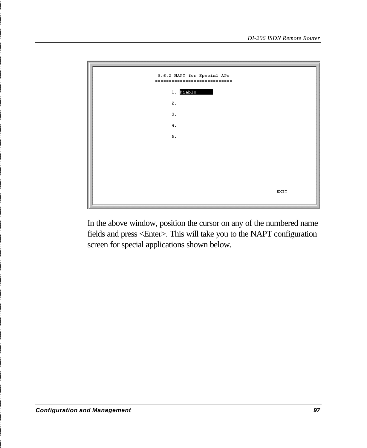

In the above window, position the cursor on any of the numbered name fields and press <Enter>. This will take you to the NAPT configuration screen for special applications shown below.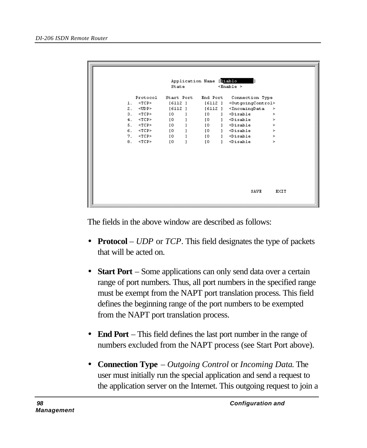|                 | State           | Application Name [Diablo | $\times$ Enable $\times$              |      |
|-----------------|-----------------|--------------------------|---------------------------------------|------|
| Protocol        | Start Port      | End Port                 | Connection Type                       |      |
| $<$ TCP><br>1.  | [6112]          | [6112]                   | <0utgoingControl>                     |      |
| $<$ UDP><br>2.  | [6112]          | [6112]                   | $<$ IncomingData                      | ×    |
| з.<br>$<$ TCP>  | $\overline{10}$ | [0]<br>1                 | $<$ Disable                           | ×    |
| $<$ TCP><br>4.  | [0]             | [O<br>1                  | <disable< td=""><td>×</td></disable<> | ×    |
| 5.<br>$~<$ TCP> | $\overline{10}$ | $\overline{10}$<br>1     | $<$ Disable                           | ×    |
| $<$ TCP><br>6.  | [0              | [O<br>ı.                 | <disable< td=""><td>×</td></disable<> | ×    |
| 7.<br>$~<$ TCP> | $\overline{10}$ | $\overline{10}$<br>ı     | $<$ Disable                           | ×    |
| $<$ TCP><br>8.  | [0]             | [0]<br>1                 | <disable< th=""><th>×</th></disable<> | ×    |
|                 |                 |                          |                                       |      |
|                 |                 |                          | SAVE                                  | EXIT |

The fields in the above window are described as follows:

- **Protocol** *UDP* or *TCP*. This field designates the type of packets that will be acted on.
- **Start Port** Some applications can only send data over a certain range of port numbers. Thus, all port numbers in the specified range must be exempt from the NAPT port translation process. This field defines the beginning range of the port numbers to be exempted from the NAPT port translation process.
- **End Port** This field defines the last port number in the range of numbers excluded from the NAPT process (see Start Port above).
- **Connection Type** *Outgoing Control* or *Incoming Data*. The user must initially run the special application and send a request to the application server on the Internet. This outgoing request to join a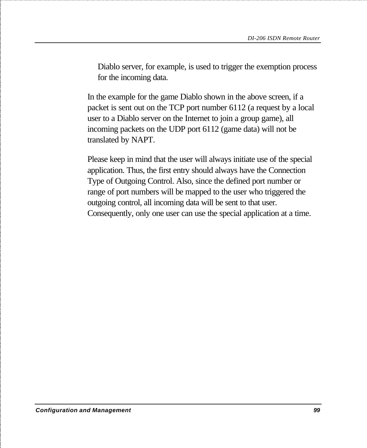Diablo server, for example, is used to trigger the exemption process for the incoming data.

In the example for the game Diablo shown in the above screen, if a packet is sent out on the TCP port number 6112 (a request by a local user to a Diablo server on the Internet to join a group game), all incoming packets on the UDP port 6112 (game data) will not be translated by NAPT.

Please keep in mind that the user will always initiate use of the special application. Thus, the first entry should always have the Connection Type of Outgoing Control. Also, since the defined port number or range of port numbers will be mapped to the user who triggered the outgoing control, all incoming data will be sent to that user. Consequently, only one user can use the special application at a time.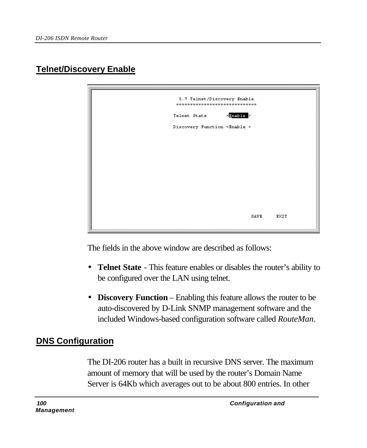# **Telnet/Discovery Enable**



The fields in the above window are described as follows:

- **Telnet State** This feature enables or disables the router's ability to be configured over the LAN using telnet.
- **Discovery Function** Enabling this feature allows the router to be auto-discovered by D-Link SNMP management software and the included Windows-based configuration software called *RouteMan*.

# **DNS Configuration**

The DI-206 router has a built in recursive DNS server. The maximum amount of memory that will be used by the router's Domain Name Server is 64Kb which averages out to be about 800 entries. In other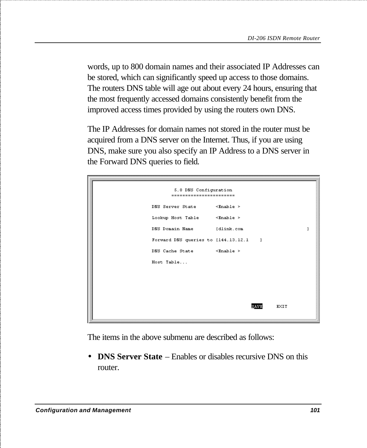words, up to 800 domain names and their associated IP Addresses can be stored, which can significantly speed up access to those domains. The routers DNS table will age out about every 24 hours, ensuring that the most frequently accessed domains consistently benefit from the improved access times provided by using the routers own DNS.

The IP Addresses for domain names not stored in the router must be acquired from a DNS server on the Internet. Thus, if you are using DNS, make sure you also specify an IP Address to a DNS server in the Forward DNS queries to field.

| 5.8 DNS Configuration<br>------------------------ |      |             |
|---------------------------------------------------|------|-------------|
| DNS Server State <enable></enable>                |      |             |
| Lookup Host Table <enable></enable>               |      |             |
| DNS Domain Name [dlink.com                        |      | ı           |
| Forward DNS queries to [144.13.12.1 ]             |      |             |
| DNS Cache State <enable></enable>                 |      |             |
| Host Table                                        |      |             |
|                                                   |      |             |
|                                                   |      |             |
|                                                   |      |             |
|                                                   | SAVE | <b>EXIT</b> |
|                                                   |      |             |

The items in the above submenu are described as follows:

• **DNS Server State** – Enables or disables recursive DNS on this router.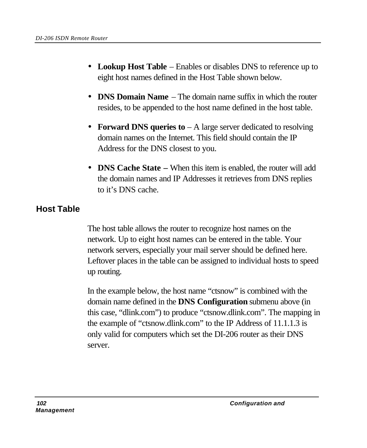- **Lookup Host Table** Enables or disables DNS to reference up to eight host names defined in the Host Table shown below.
- **DNS Domain Name** The domain name suffix in which the router resides, to be appended to the host name defined in the host table.
- **Forward DNS queries to** A large server dedicated to resolving domain names on the Internet. This field should contain the IP Address for the DNS closest to you.
- **DNS Cache State** When this item is enabled, the router will add the domain names and IP Addresses it retrieves from DNS replies to it's DNS cache.

# **Host Table**

The host table allows the router to recognize host names on the network. Up to eight host names can be entered in the table. Your network servers, especially your mail server should be defined here. Leftover places in the table can be assigned to individual hosts to speed up routing.

In the example below, the host name "ctsnow" is combined with the domain name defined in the **DNS Configuration** submenu above (in this case, "dlink.com") to produce "ctsnow.dlink.com". The mapping in the example of "ctsnow.dlink.com" to the IP Address of 11.1.1.3 is only valid for computers which set the DI-206 router as their DNS server.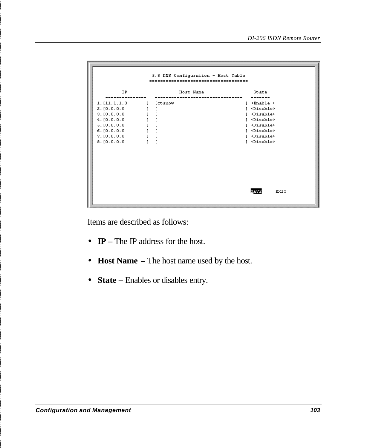| 5.8 DNS Configuration - Host Table<br>-------------------------------                                                         |              |           |  |                                                                                                                                                                                                        |             |  |
|-------------------------------------------------------------------------------------------------------------------------------|--------------|-----------|--|--------------------------------------------------------------------------------------------------------------------------------------------------------------------------------------------------------|-------------|--|
| IP.                                                                                                                           |              | Host Name |  | State                                                                                                                                                                                                  |             |  |
| 1. [11.1.1.3]<br>2. [0.0.0.0]<br>3. [0.0.0.0]<br>4. [0.0.0.0]<br>5. [0.0.0.0]<br>6. [0.0.0.0]<br>7. [0.0.0.0.<br>8. [0.0.0.0] | $\mathbf{1}$ | [ctsnow   |  | $1 \leq$ Enable ><br>] <disable><br/>] <disable><br/>] <disable><br/>] <disable><br/>] <disable><br/>] <disable><br/>] <disable></disable></disable></disable></disable></disable></disable></disable> |             |  |
|                                                                                                                               |              |           |  | SAVE                                                                                                                                                                                                   | <b>EXIT</b> |  |

Items are described as follows:

- **IP –** The IP address for the host.
- **Host Name –** The host name used by the host.
- **State –** Enables or disables entry.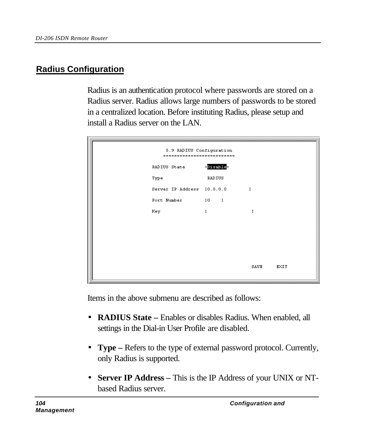# **Radius Configuration**

Radius is an authentication protocol where passwords are stored on a Radius server. Radius allows large numbers of passwords to be stored in a centralized location. Before instituting Radius, please setup and install a Radius server on the LAN.

| 5.9 RADIUS Configuration<br>--------------------------- |                     |      |      |  |  |  |  |  |  |
|---------------------------------------------------------|---------------------|------|------|--|--|--|--|--|--|
| RADIUS State                                            | <disable></disable> |      |      |  |  |  |  |  |  |
| Type                                                    | RADIUS              |      |      |  |  |  |  |  |  |
| Server IP Address [0.0.0.0                              |                     | 1    |      |  |  |  |  |  |  |
| Port Number                                             | $[0 \t 1$           |      |      |  |  |  |  |  |  |
| Key                                                     | $\mathbf{r}$        |      |      |  |  |  |  |  |  |
|                                                         |                     |      |      |  |  |  |  |  |  |
|                                                         |                     |      |      |  |  |  |  |  |  |
|                                                         |                     |      |      |  |  |  |  |  |  |
|                                                         |                     |      |      |  |  |  |  |  |  |
|                                                         |                     | SAVE | EXIT |  |  |  |  |  |  |

Items in the above submenu are described as follows:

- **RADIUS State –** Enables or disables Radius. When enabled, all settings in the Dial-in User Profile are disabled.
- **Type –** Refers to the type of external password protocol. Currently, only Radius is supported.
- **Server IP Address –** This is the IP Address of your UNIX or NTbased Radius server.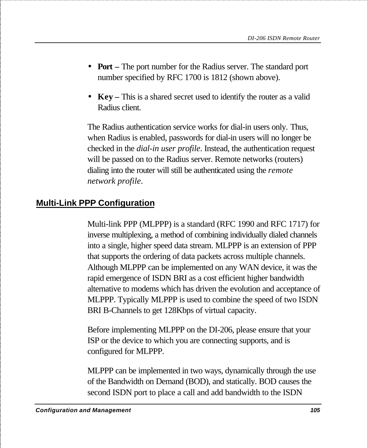- **Port –** The port number for the Radius server. The standard port number specified by RFC 1700 is 1812 (shown above).
- **Key –** This is a shared secret used to identify the router as a valid Radius client.

The Radius authentication service works for dial-in users only. Thus, when Radius is enabled, passwords for dial-in users will no longer be checked in the *dial-in user profile*. Instead, the authentication request will be passed on to the Radius server. Remote networks (routers) dialing into the router will still be authenticated using the *remote network profile*.

# **Multi-Link PPP Configuration**

Multi-link PPP (MLPPP) is a standard (RFC 1990 and RFC 1717) for inverse multiplexing, a method of combining individually dialed channels into a single, higher speed data stream. MLPPP is an extension of PPP that supports the ordering of data packets across multiple channels. Although MLPPP can be implemented on any WAN device, it was the rapid emergence of ISDN BRI as a cost efficient higher bandwidth alternative to modems which has driven the evolution and acceptance of MLPPP. Typically MLPPP is used to combine the speed of two ISDN BRI B-Channels to get 128Kbps of virtual capacity.

Before implementing MLPPP on the DI-206, please ensure that your ISP or the device to which you are connecting supports, and is configured for MLPPP.

MLPPP can be implemented in two ways, dynamically through the use of the Bandwidth on Demand (BOD), and statically. BOD causes the second ISDN port to place a call and add bandwidth to the ISDN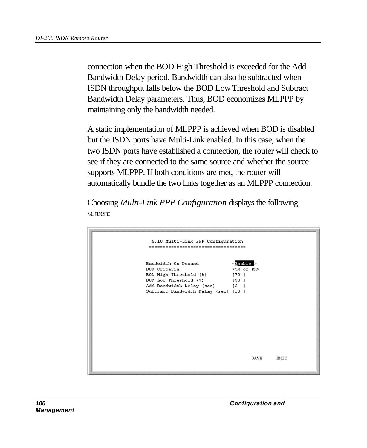connection when the BOD High Threshold is exceeded for the Add Bandwidth Delay period. Bandwidth can also be subtracted when ISDN throughput falls below the BOD Low Threshold and Subtract Bandwidth Delay parameters. Thus, BOD economizes MLPPP by maintaining only the bandwidth needed.

A static implementation of MLPPP is achieved when BOD is disabled but the ISDN ports have Multi-Link enabled. In this case, when the two ISDN ports have established a connection, the router will check to see if they are connected to the same source and whether the source supports MLPPP. If both conditions are met, the router will automatically bundle the two links together as an MLPPP connection.

Choosing *Multi-Link PPP Configuration* displays the following screen:

| 5.10 Multi-Link PPP Configuration<br>------------------------------------ |                       |                     |  |
|---------------------------------------------------------------------------|-----------------------|---------------------|--|
|                                                                           |                       |                     |  |
| Bandwidth On Demand                                                       | $\leq$ Enable $\geq$  |                     |  |
| BOD Criteria                                                              | <tx or="" rx=""></tx> |                     |  |
| BOD High Threshold (%) [70 ]                                              |                       |                     |  |
| BOD Low Threshold (%) [30 ]                                               |                       |                     |  |
| Add Bandwidth Delay (sec) [5]                                             |                       |                     |  |
| Subtract Bandwidth Delay (sec) [10 ]                                      |                       |                     |  |
|                                                                           |                       |                     |  |
|                                                                           |                       |                     |  |
|                                                                           |                       |                     |  |
|                                                                           |                       |                     |  |
|                                                                           |                       |                     |  |
|                                                                           |                       |                     |  |
|                                                                           |                       |                     |  |
|                                                                           |                       |                     |  |
|                                                                           |                       |                     |  |
|                                                                           |                       |                     |  |
|                                                                           |                       |                     |  |
|                                                                           |                       | SAVE<br><b>EXIT</b> |  |
|                                                                           |                       |                     |  |
|                                                                           |                       |                     |  |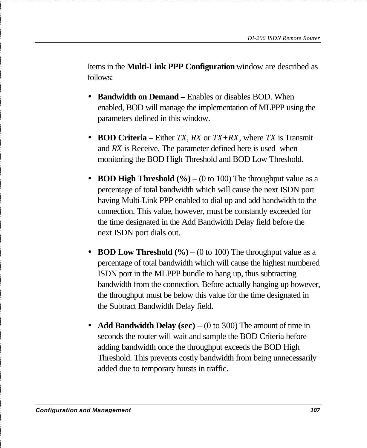Items in the **Multi-Link PPP Configuration** window are described as follows:

- **Bandwidth on Demand** Enables or disables BOD. When enabled, BOD will manage the implementation of MLPPP using the parameters defined in this window.
- **BOD Criteria**  Either *TX*, *RX* or *TX+RX*, where *TX* is Transmit and *RX* is Receive. The parameter defined here is used when monitoring the BOD High Threshold and BOD Low Threshold.
- **BOD High Threshold** (%) (0 to 100) The throughput value as a percentage of total bandwidth which will cause the next ISDN port having Multi-Link PPP enabled to dial up and add bandwidth to the connection. This value, however, must be constantly exceeded for the time designated in the Add Bandwidth Delay field before the next ISDN port dials out.
- **BOD Low Threshold**  $(\% )$  (0 to 100) The throughput value as a percentage of total bandwidth which will cause the highest numbered ISDN port in the MLPPP bundle to hang up, thus subtracting bandwidth from the connection. Before actually hanging up however, the throughput must be below this value for the time designated in the Subtract Bandwidth Delay field.
- **Add Bandwidth Delay (sec)** (0 to 300) The amount of time in seconds the router will wait and sample the BOD Criteria before adding bandwidth once the throughput exceeds the BOD High Threshold. This prevents costly bandwidth from being unnecessarily added due to temporary bursts in traffic.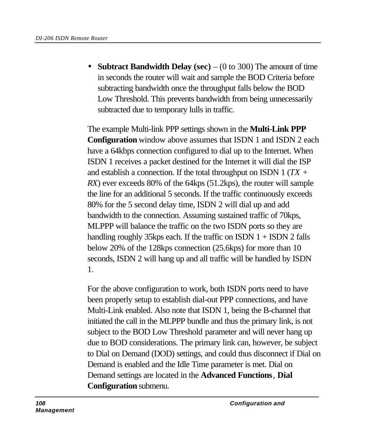• **Subtract Bandwidth Delay (sec)** – (0 to 300) The amount of time in seconds the router will wait and sample the BOD Criteria before subtracting bandwidth once the throughput falls below the BOD Low Threshold. This prevents bandwidth from being unnecessarily subtracted due to temporary lulls in traffic.

The example Multi-link PPP settings shown in the **Multi-Link PPP Configuration** window above assumes that ISDN 1 and ISDN 2 each have a 64kbps connection configured to dial up to the Internet. When ISDN 1 receives a packet destined for the Internet it will dial the ISP and establish a connection. If the total throughput on ISDN 1 (*TX + RX*) ever exceeds 80% of the 64kps (51.2kps), the router will sample the line for an additional 5 seconds. If the traffic continuously exceeds 80% for the 5 second delay time, ISDN 2 will dial up and add bandwidth to the connection. Assuming sustained traffic of 70kps, MLPPP will balance the traffic on the two ISDN ports so they are handling roughly 35kps each. If the traffic on ISDN  $1 +$  ISDN  $2$  falls below 20% of the 128kps connection (25.6kps) for more than 10 seconds, ISDN 2 will hang up and all traffic will be handled by ISDN 1.

For the above configuration to work, both ISDN ports need to have been properly setup to establish dial-out PPP connections, and have Multi-Link enabled. Also note that ISDN 1, being the B-channel that initiated the call in the MLPPP bundle and thus the primary link, is not subject to the BOD Low Threshold parameter and will never hang up due to BOD considerations. The primary link can, however, be subject to Dial on Demand (DOD) settings, and could thus disconnect if Dial on Demand is enabled and the Idle Time parameter is met. Dial on Demand settings are located in the **Advanced Functions***,* **Dial Configuration** submenu.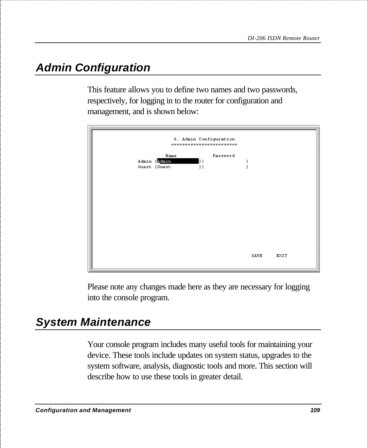# *Admin Configuration*

This feature allows you to define two names and two passwords, respectively, for logging in to the router for configuration and management, and is shown below:



Please note any changes made here as they are necessary for logging into the console program.

# *System Maintenance*

Your console program includes many useful tools for maintaining your device. These tools include updates on system status, upgrades to the system software, analysis, diagnostic tools and more. This section will describe how to use these tools in greater detail.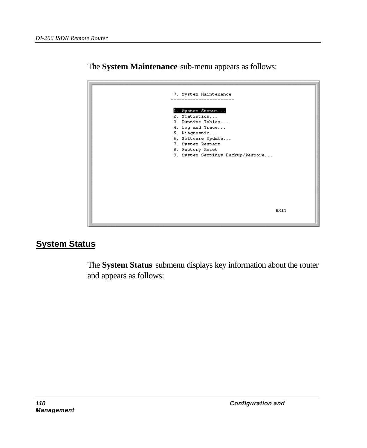

The **System Maintenance** sub-menu appears as follows:

### **System Status**

The **System Status** submenu displays key information about the router and appears as follows: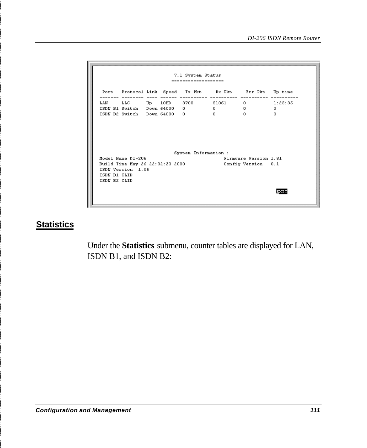7.1 System Status ------------------Port Protocol Link Speed Tx Pkt Rx Pkt Brr Pkt Up time 1.AN LLC Up 10HD 3700 51061 0 1:25:35<br>ISDN B1 Switch Down 64000 0 0 0 0<br>ISDN B2 Switch Down 64000 0 0 0 0 0 System Information : Model Name DI-206 Firmware Version 1.81 Model Name DI-206<br>Build Time May 26 22:02:23 2000 Config Version 0.1 ISDN Version 1.06 ISDN B1 CLID ISDN B2 CLID **EXIT** 

#### **Statistics**

Under the **Statistics** submenu, counter tables are displayed for LAN, ISDN B1, and ISDN B2: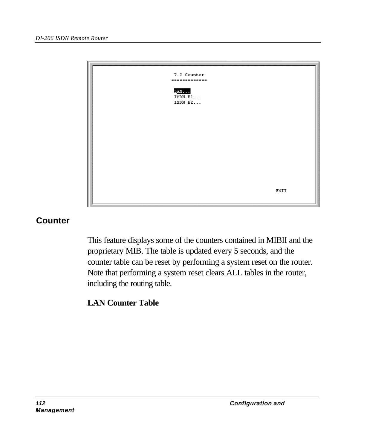

#### **Counter**

This feature displays some of the counters contained in MIBII and the proprietary MIB. The table is updated every 5 seconds, and the counter table can be reset by performing a system reset on the router. Note that performing a system reset clears ALL tables in the router, including the routing table.

# **LAN Counter Table**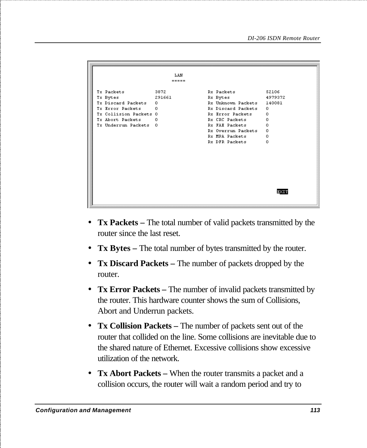```
LAN
                          = 1.1253872
                                      Rx Packets
                                                           52106
Tx Packets
                                                          4979372
Tx Bytes
                  291661
                                     Rx Bytes
Tx Discard Packets 0
                                      Rx Unknown Packets 140081
                                      Rx Discard Packets 0
Tx Error Packets 0
Tx Collision Packets 0
                                      Rx Error Packets
                                                          \overline{0}Tx Abort Packets 0
                                      Rx CRC Packets
                                                          \overline{0}Tx Underrun Packets 0
                                      Rx FAE Packets
                                                          \BoxBy Otterrun Peckets 0
                                      Rx MPA Packets
                                                          \sqrt{2}Rx DFR Packets
                                                           \circEXIT
```
- **Tx Packets** The total number of valid packets transmitted by the router since the last reset.
- **Tx Bytes –** The total number of bytes transmitted by the router.
- **Tx Discard Packets –** The number of packets dropped by the router.
- **Tx Error Packets –** The number of invalid packets transmitted by the router. This hardware counter shows the sum of Collisions, Abort and Underrun packets.
- **Tx Collision Packets –** The number of packets sent out of the router that collided on the line. Some collisions are inevitable due to the shared nature of Ethernet. Excessive collisions show excessive utilization of the network.
- **Tx Abort Packets –** When the router transmits a packet and a collision occurs, the router will wait a random period and try to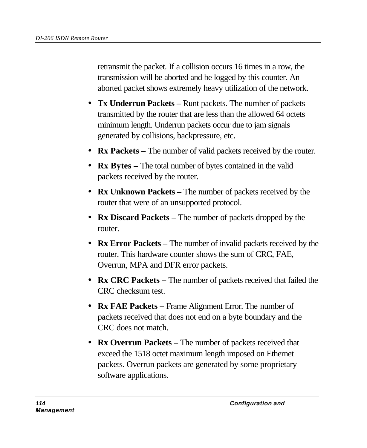retransmit the packet. If a collision occurs 16 times in a row, the transmission will be aborted and be logged by this counter. An aborted packet shows extremely heavy utilization of the network.

- **Tx Underrun Packets** Runt packets. The number of packets transmitted by the router that are less than the allowed 64 octets minimum length. Underrun packets occur due to jam signals generated by collisions, backpressure, etc.
- **Rx Packets** The number of valid packets received by the router.
- **Rx Bytes –** The total number of bytes contained in the valid packets received by the router.
- **Rx Unknown Packets** The number of packets received by the router that were of an unsupported protocol.
- **Rx Discard Packets –** The number of packets dropped by the router.
- **Rx Error Packets** The number of invalid packets received by the router. This hardware counter shows the sum of CRC, FAE, Overrun, MPA and DFR error packets.
- **Rx CRC Packets –** The number of packets received that failed the CRC checksum test.
- **Rx FAE Packets** Frame Alignment Error. The number of packets received that does not end on a byte boundary and the CRC does not match.
- **Rx Overrun Packets** The number of packets received that exceed the 1518 octet maximum length imposed on Ethernet packets. Overrun packets are generated by some proprietary software applications.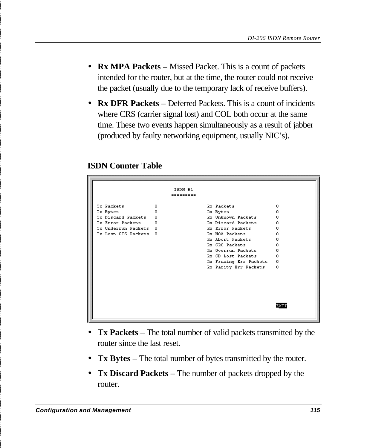- **Rx MPA Packets** Missed Packet. This is a count of packets intended for the router, but at the time, the router could not receive the packet (usually due to the temporary lack of receive buffers).
- **Rx DFR Packets** Deferred Packets. This is a count of incidents where CRS (carrier signal lost) and COL both occur at the same time. These two events happen simultaneously as a result of jabber (produced by faulty networking equipment, usually NIC's).

#### **ISDN Counter Table**

| Tx Packets                     | ISDN B1<br>=========<br>0 | <b>Rx Packets</b>              | 0        |
|--------------------------------|---------------------------|--------------------------------|----------|
|                                | n.                        |                                | n        |
| Tx Bytes<br>Tx Discard Packets | 0                         | Rx Bytes<br>Rx Unknown Packets | 0        |
| Tx Error Packets               | $\Omega$                  | Rx Discard Packets             | $\Omega$ |
| Tx Underrun Packets 0          |                           | Rx Error Packets               | 0        |
| Tx Lost CTS Packets 0          |                           | Rx NOA Packets                 | n        |
|                                |                           | Rx Abort Packets               | 0        |
|                                |                           | Rx CRC Packets                 | n        |
|                                |                           | Rx Overrun Packets             | Ω        |
|                                |                           | Rx CD Lost Packets             | n.       |
|                                |                           | Rx Framing Err Packets         | 0        |
|                                |                           | Rx Parity Err Packets          | 0        |
|                                |                           |                                |          |
|                                |                           |                                |          |

- **Tx Packets** The total number of valid packets transmitted by the router since the last reset.
- **Tx Bytes –** The total number of bytes transmitted by the router.
- **Tx Discard Packets –** The number of packets dropped by the router.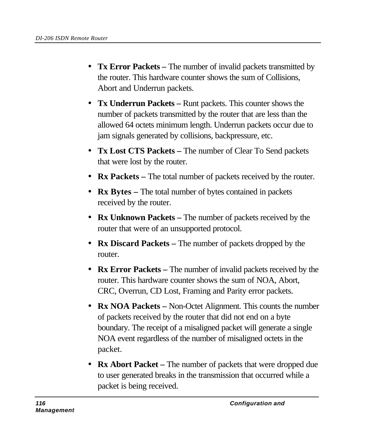- **Tx Error Packets –** The number of invalid packets transmitted by the router. This hardware counter shows the sum of Collisions, Abort and Underrun packets.
- **Tx Underrun Packets –** Runt packets. This counter shows the number of packets transmitted by the router that are less than the allowed 64 octets minimum length. Underrun packets occur due to jam signals generated by collisions, backpressure, etc.
- **Tx Lost CTS Packets** The number of Clear To Send packets that were lost by the router.
- **Rx Packets** The total number of packets received by the router.
- **Rx Bytes** The total number of bytes contained in packets received by the router.
- **Rx Unknown Packets** The number of packets received by the router that were of an unsupported protocol.
- **Rx Discard Packets –** The number of packets dropped by the router.
- **Rx Error Packets** The number of invalid packets received by the router. This hardware counter shows the sum of NOA, Abort, CRC, Overrun, CD Lost, Framing and Parity error packets.
- **Rx NOA Packets** Non-Octet Alignment. This counts the number of packets received by the router that did not end on a byte boundary. The receipt of a misaligned packet will generate a single NOA event regardless of the number of misaligned octets in the packet.
- **Rx Abort Packet** The number of packets that were dropped due to user generated breaks in the transmission that occurred while a packet is being received.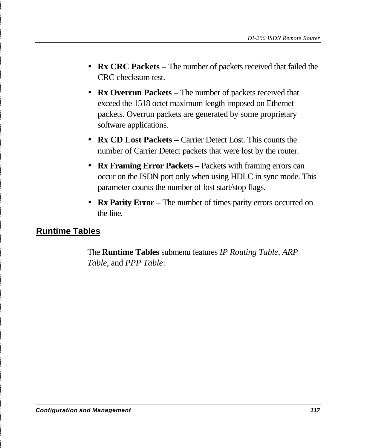- **Rx CRC Packets –** The number of packets received that failed the CRC checksum test.
- **Rx Overrun Packets** The number of packets received that exceed the 1518 octet maximum length imposed on Ethernet packets. Overrun packets are generated by some proprietary software applications.
- **Rx CD Lost Packets –** Carrier Detect Lost. This counts the number of Carrier Detect packets that were lost by the router.
- **Rx Framing Error Packets –** Packets with framing errors can occur on the ISDN port only when using HDLC in sync mode. This parameter counts the number of lost start/stop flags.
- **Rx Parity Error** The number of times parity errors occurred on the line.

## **Runtime Tables**

The **Runtime Tables** submenu features *IP Routing Table, ARP Table*, and *PPP Table*: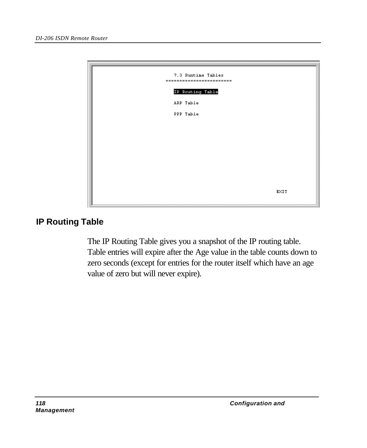

## **IP Routing Table**

The IP Routing Table gives you a snapshot of the IP routing table. Table entries will expire after the Age value in the table counts down to zero seconds (except for entries for the router itself which have an age value of zero but will never expire).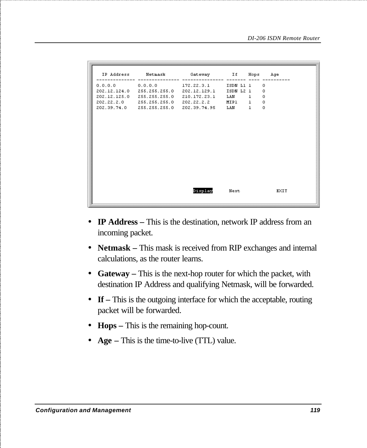| IP Address Metmask Cateway If Hops Age            |         |      |   |            |
|---------------------------------------------------|---------|------|---|------------|
| $0.0.0.0$ $0.0.0.0$ $172.22.3.1$ ISDN L1 1        |         |      |   | $^{\circ}$ |
| 202.12.124.0 255.255.255.0 202.12.129.1 ISDN L2 1 |         |      |   | $^{\circ}$ |
| 202.12.125.0 255.255.255.0 210.172.23.1 LAN 1     |         |      |   | 0          |
| 202.22.2.0 255.255.255.0 202.22.2.2 MIP1 1        |         |      |   | $\circ$    |
| 202.39.74.0 255.255.255.0 202.39.74.95 LAN        |         |      | 1 | $\Omega$   |
|                                                   |         |      |   |            |
|                                                   | Display | Next |   | EXIT       |

- **IP Address** This is the destination, network IP address from an incoming packet.
- **Netmask –** This mask is received from RIP exchanges and internal calculations, as the router learns.
- **Gateway –** This is the next-hop router for which the packet, with destination IP Address and qualifying Netmask, will be forwarded.
- **If** This is the outgoing interface for which the acceptable, routing packet will be forwarded.
- **Hops –** This is the remaining hop-count.
- **Age** This is the time-to-live (TTL) value.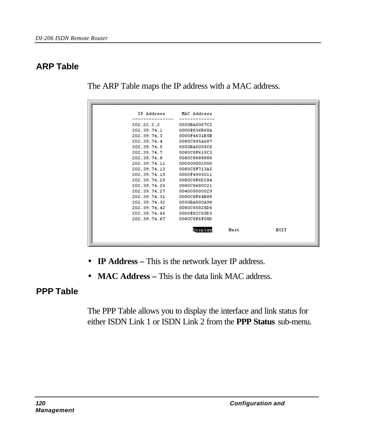# **ARP Table**

The ARP Table maps the IP address with a MAC address.

|              | IP Address MAC Address |      |  |
|--------------|------------------------|------|--|
| 202.22.2.2   | 0050BA0067C2           |      |  |
| 202 39 74 1  | 0000E836B68A           |      |  |
| 202.39.74.3  | 0000F4631B5B           |      |  |
| 202.39.74.4  | 0080C895A687           |      |  |
| 202.39.74.5  | 0050BA0005C6           |      |  |
| 202.39.74.7  | 0080C8F615C3           |      |  |
| 202.39.74.8  | 0080C8888888           |      |  |
| 202.39.74.11 | 000000002000           |      |  |
| 202.39.74.13 | 0080C8F713A5           |      |  |
| 202.39.74.19 | 0000F4905011           |      |  |
| 202.39.74.25 | 0080C8F6D284           |      |  |
| 202.39.74.26 | 0080C8680C21           |      |  |
| 202.39.74.27 | 004005000029           |      |  |
| 202.39.74.31 | 0080C8F64B88           |      |  |
| 202.39.74.32 | 0050BA000A98           |      |  |
| 202.39.74.42 | 0080C85828D6           |      |  |
| 202 39 74 66 | 0000E82C69D3           |      |  |
| 202.39.74.67 | 0080C8F6F08D           |      |  |
|              |                        |      |  |
|              | Display                | Next |  |
|              |                        |      |  |

- **IP Address** This is the network layer IP address.
- **MAC Address** This is the data link MAC address.

# **PPP Table**

The PPP Table allows you to display the interface and link status for either ISDN Link 1 or ISDN Link 2 from the **PPP Status** sub-menu.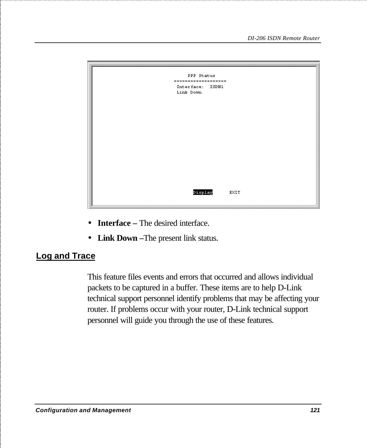

- **Interface** The desired interface.
- **Link Down –**The present link status.

#### **Log and Trace**

This feature files events and errors that occurred and allows individual packets to be captured in a buffer. These items are to help D-Link technical support personnel identify problems that may be affecting your router. If problems occur with your router, D-Link technical support personnel will guide you through the use of these features.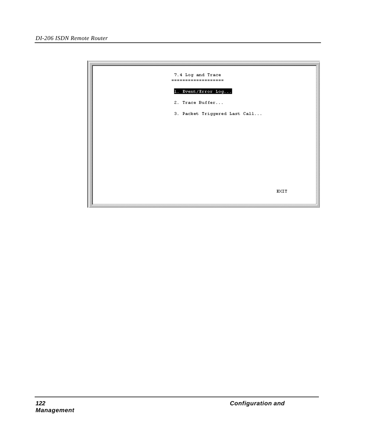| 7.4 Log and Trace<br>------------------- |      |
|------------------------------------------|------|
| 1. Event/Error Log                       |      |
| 2. Trace Buffer                          |      |
| 3. Packet Triggered Last Call            |      |
|                                          |      |
|                                          |      |
|                                          |      |
|                                          |      |
|                                          |      |
|                                          |      |
|                                          | EXIT |
|                                          |      |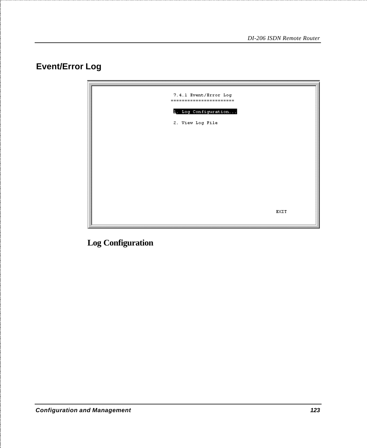# **Event/Error Log**



**Log Configuration**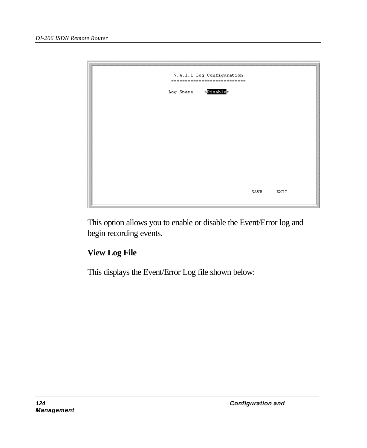

This option allows you to enable or disable the Event/Error log and begin recording events.

## **View Log File**

This displays the Event/Error Log file shown below: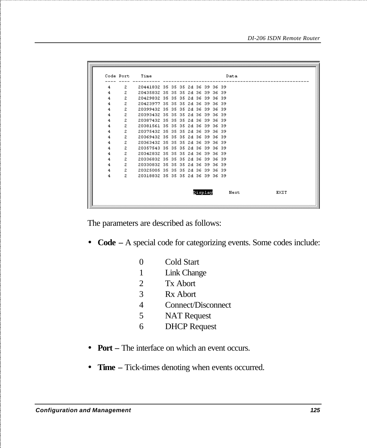|                |              | Code Port Time                   |  |  |         |  | Data                |
|----------------|--------------|----------------------------------|--|--|---------|--|---------------------|
|                |              |                                  |  |  |         |  |                     |
| $4 \quad$      | $2^{\circ}$  | 20441832 35 35 35 2d 36 39 36 39 |  |  |         |  |                     |
| $\overline{4}$ | 2            | 20435832 35 35 35 2d 36 39 36 39 |  |  |         |  |                     |
| $\overline{4}$ | $\mathbf{Z}$ | 20429832 35 35 35 2d 36 39 36 39 |  |  |         |  |                     |
| 4              | $\mathbf{Z}$ | 20423977 35 35 35 2d 36 39 36 39 |  |  |         |  |                     |
| 4              | $\mathbf{z}$ | 20399432 35 35 35 2d 36 39 36 39 |  |  |         |  |                     |
| 4              | $\mathbf{2}$ | 20393432 35 35 35 2d 36 39 36 39 |  |  |         |  |                     |
| 4              | $\mathbf{Z}$ | 20387432 35 35 35 24 36 39 36 39 |  |  |         |  |                     |
| 4              | $\mathbf{z}$ | 20381561 35 35 35 26 36 39 36 39 |  |  |         |  |                     |
| 4              | $\mathbf{z}$ | 20375432 35 35 35 2d 36 39 36 39 |  |  |         |  |                     |
| 4              | 2            | 20369432 35 35 35 2d 36 39 36 39 |  |  |         |  |                     |
| 4              | $\mathbf{Z}$ | 20363432 35 35 35 2d 36 39 36 39 |  |  |         |  |                     |
| 4              | $\mathbf{Z}$ | 20357543 35 35 35 26 36 39 36 39 |  |  |         |  |                     |
| 4              | $\mathbf{Z}$ | 20342832 35 35 35 2d 36 39 36 39 |  |  |         |  |                     |
| 4              | $\mathbf{z}$ | 20336832 35 35 35 2d 36 39 36 39 |  |  |         |  |                     |
| 4              | 2            | 20330832 35 35 35 2d 36 39 36 39 |  |  |         |  |                     |
| 4              | $\mathbf{Z}$ | 20325005 35 35 35 24 36 39 36 39 |  |  |         |  |                     |
| 4              | $2^{\circ}$  | 20318832 35 35 35 2d 36 39 36 39 |  |  |         |  |                     |
|                |              |                                  |  |  |         |  |                     |
|                |              |                                  |  |  |         |  |                     |
|                |              |                                  |  |  | Display |  | <b>EXIT</b><br>Next |
|                |              |                                  |  |  |         |  |                     |
|                |              |                                  |  |  |         |  |                     |

The parameters are described as follows:

• **Code –** A special code for categorizing events. Some codes include:

| 0 | Cold Start          |
|---|---------------------|
| 1 | Link Change         |
| 2 | <b>Tx Abort</b>     |
| 3 | Rx Abort            |
| 4 | Connect/Disconnect  |
| 5 | <b>NAT Request</b>  |
| 6 | <b>DHCP</b> Request |
|   |                     |

- **Port** The interface on which an event occurs.
- **Time** Tick-times denoting when events occurred.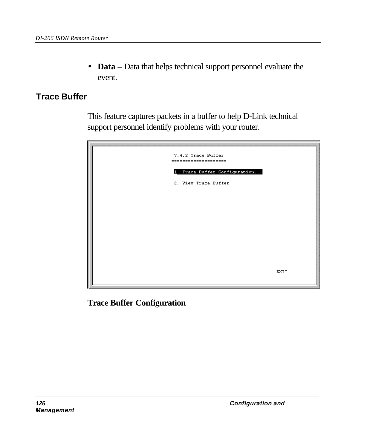• **Data –** Data that helps technical support personnel evaluate the event.

### **Trace Buffer**

This feature captures packets in a buffer to help D-Link technical support personnel identify problems with your router.

| 7.4.2 Trace Buffer<br>--------------------- |             |
|---------------------------------------------|-------------|
| 1. Trace Buffer Configuration               |             |
| 2. View Trace Buffer                        |             |
|                                             |             |
|                                             |             |
|                                             |             |
|                                             |             |
|                                             |             |
|                                             | <b>EXIT</b> |
|                                             |             |

**Trace Buffer Configuration**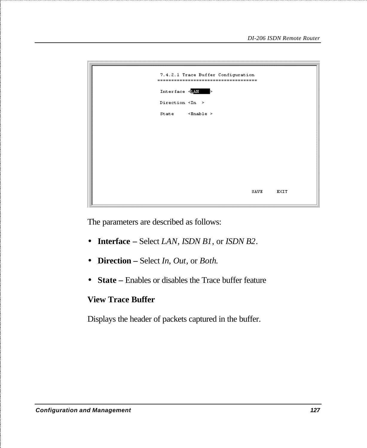

The parameters are described as follows:

- **Interface** Select *LAN*, *ISDN B1*, or *ISDN B2*.
- **Direction** Select *In*, *Out*, or *Both*.
- **State** Enables or disables the Trace buffer feature

#### **View Trace Buffer**

Displays the header of packets captured in the buffer.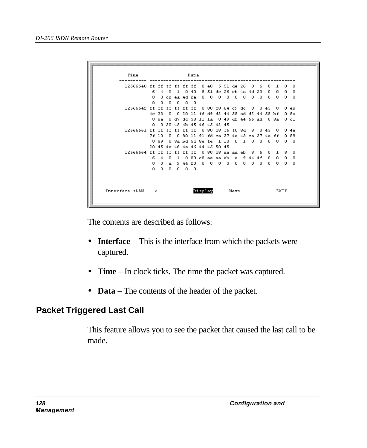| Time                                           |       |         |               |            |            | Data |  |            |                                                        |                                                                  |                       |       |     |                                       |       |                                             |    |        |
|------------------------------------------------|-------|---------|---------------|------------|------------|------|--|------------|--------------------------------------------------------|------------------------------------------------------------------|-----------------------|-------|-----|---------------------------------------|-------|---------------------------------------------|----|--------|
| 12566640 ff ff ff ff ff ff                     |       |         |               |            |            |      |  | 0.40       |                                                        |                                                                  | 5 51 de 26            |       | 8   | 6                                     | 0.    | ı.                                          | 8  | n.     |
|                                                | 6.    | 4       | -n            | 1.         | Ω.         | 40   |  |            |                                                        |                                                                  |                       |       |     | 5 51 de 26 cb 4a 4d 23                | n.    | Ω.                                          | n. | n.     |
|                                                | Ω.    |         | 0 cb 4a 4d 2e |            |            |      |  | $0\quad 0$ |                                                        | $0\quad 0$                                                       | 0                     | - 0   | 0   | Ω.                                    | Ω.    | О.                                          | л. | n.     |
|                                                | 0.    | 0.      | $\Omega$      | Ω.         | - 0        | - 0  |  |            |                                                        |                                                                  |                       |       |     |                                       |       |                                             |    |        |
| 12566642 ff ff ff ff ff ff                     |       |         |               |            |            |      |  |            |                                                        |                                                                  | 0.80c864c9dc          |       | - 8 |                                       | 0.45  | Ω.                                          |    | $0$ eb |
|                                                |       | 46.33.  | Ω.            |            |            |      |  |            |                                                        |                                                                  |                       |       |     | 0 20 11 fd d9 d2 44 55 ad d2 44 55 bf |       |                                             |    | 0.8a   |
|                                                |       | 0 8a    |               |            |            |      |  |            |                                                        |                                                                  |                       |       |     |                                       |       | 0 d7 dc 38 11 1a 0 49 d2 44 55 ad 0 8a 0 c1 |    |        |
|                                                | 0.    |         |               |            |            |      |  |            | 0 20 45 4b 45 46 45 42 45                              |                                                                  |                       |       |     |                                       |       |                                             |    |        |
| 12566661 ff ff ff ff ff ff 0 80 c8 f6 f0 8d 8  |       |         |               |            |            |      |  |            |                                                        |                                                                  |                       |       |     |                                       | 0.45  | л.                                          |    | 0.4e   |
|                                                | 7f 10 |         | Ω.            |            |            |      |  |            |                                                        |                                                                  |                       |       |     | 0 80 11 91 fd ca 27 4a 43 ca 27 4a ff |       |                                             |    | 089    |
|                                                |       | 089     |               |            |            |      |  |            | 0 3a bd 5c 8e fe 1 10<br>20 45 4e 46 4a 46 44 45 50 45 |                                                                  |                       | n 1 n |     | л.                                    | - 0 - | л.                                          |    | n n    |
| 12566664 ff ff ff ff ff ff                     |       |         |               |            |            |      |  |            |                                                        |                                                                  | $0.80c8$ aa aa eb $8$ |       |     | 6.                                    | Ω.    | -1                                          | 8. | n.     |
|                                                | 6.    | 4       | $\Omega$      | 1          |            |      |  |            | 0 80 c8 aa aa eb                                       |                                                                  | $\mathbf{a}$          | -9    | 44  | 4 f                                   | Ω.    | 0.                                          | 0  | 0      |
|                                                | Ω.    | Ω.      | a.            |            | 9 44 20    |      |  |            |                                                        | $\begin{array}{ccccccccccccccccc} 0 & 0 & 0 & 0 & 0 \end{array}$ | Ω.                    |       | n n | n.                                    | л.    | Ω.                                          | n. | n.     |
|                                                | Ω.    | $\circ$ | $\circ$       | $^{\circ}$ | $^{\circ}$ | - 0  |  |            |                                                        |                                                                  |                       |       |     |                                       |       |                                             |    |        |
| $Interface < LAN$ ><br>Display<br>EXIT<br>Next |       |         |               |            |            |      |  |            |                                                        |                                                                  |                       |       |     |                                       |       |                                             |    |        |

The contents are described as follows:

- **Interface** This is the interface from which the packets were captured.
- **Time**  In clock ticks. The time the packet was captured.
- **Data** The contents of the header of the packet.

## **Packet Triggered Last Call**

This feature allows you to see the packet that caused the last call to be made.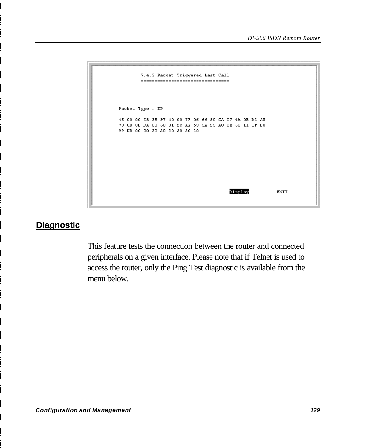```
7.4.3 Packet Triggered Last Call
        ---------------------------------
Packet Type : IP
45 00 00 28 35 97 40 00 7F 06 66 8C CA 27 4A 0B D2 AE
78 CB OB DA 00 50 01 2C AE 53 3A 23 AO CE 50 11 1F BO
99 DB 00 00 20 20 20 20 20 20
                                        Display
                                                          EXIT
```
#### **Diagnostic**

This feature tests the connection between the router and connected peripherals on a given interface. Please note that if Telnet is used to access the router, only the Ping Test diagnostic is available from the menu below.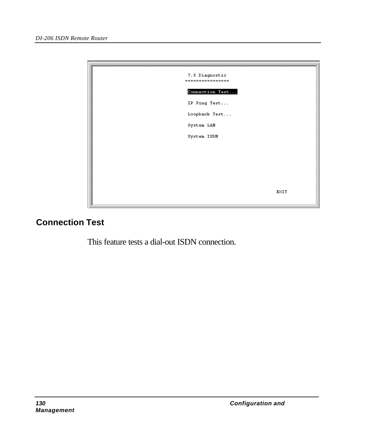

# **Connection Test**

This feature tests a dial-out ISDN connection.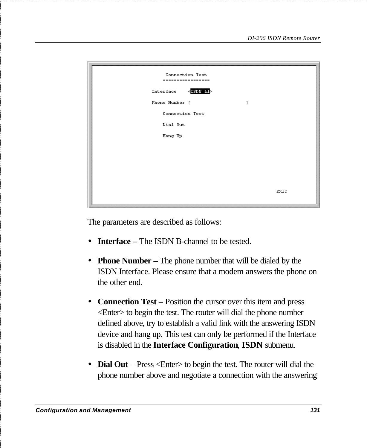| Connection Test<br>------------------ |      |
|---------------------------------------|------|
| $\leq$ ISDN L1 $>$<br>Interface       |      |
| Phone Number [<br>1                   |      |
| Connection Test                       |      |
| Dial Out                              |      |
| Hang Up                               |      |
|                                       |      |
|                                       |      |
|                                       |      |
|                                       |      |
|                                       | EXIT |

The parameters are described as follows:

- **Interface** The ISDN B-channel to be tested.
- **Phone Number** The phone number that will be dialed by the ISDN Interface. Please ensure that a modem answers the phone on the other end.
- **Connection Test** Position the cursor over this item and press <Enter> to begin the test. The router will dial the phone number defined above, try to establish a valid link with the answering ISDN device and hang up. This test can only be performed if the Interface is disabled in the **Interface Configuration**, **ISDN** submenu.
- **Dial Out** Press <Enter> to begin the test. The router will dial the phone number above and negotiate a connection with the answering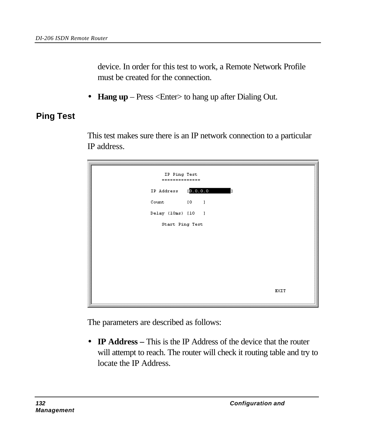device. In order for this test to work, a Remote Network Profile must be created for the connection.

• **Hang up** – Press <Enter> to hang up after Dialing Out.

# **Ping Test**

This test makes sure there is an IP network connection to a particular IP address.

| IP Ping Test<br>============== |           |      |
|--------------------------------|-----------|------|
| IP Address                     | [0.0.0.0] |      |
| $Count \t\t\t [0 \t\t]$        |           |      |
| Delay (10ms) [10 ]             |           |      |
| Start Ping Test                |           |      |
|                                |           |      |
|                                |           |      |
|                                |           |      |
|                                |           |      |
|                                |           |      |
|                                |           | EXIT |

The parameters are described as follows:

• **IP Address** – This is the IP Address of the device that the router will attempt to reach. The router will check it routing table and try to locate the IP Address.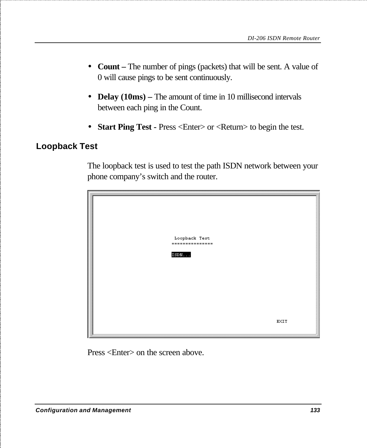- **Count** The number of pings (packets) that will be sent. A value of 0 will cause pings to be sent continuously.
- **Delay (10ms)** The amount of time in 10 millisecond intervals between each ping in the Count.
- **Start Ping Test -** Press <Enter> or <Return> to begin the test.

#### **Loopback Test**

The loopback test is used to test the path ISDN network between your phone company's switch and the router.



Press <Enter> on the screen above.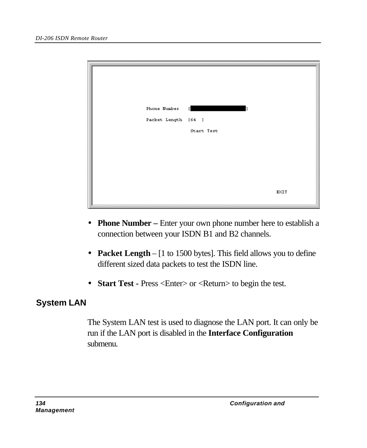| Phone Number<br>Packet Length [64 ] | $\mathbf{I}$<br>Start Test |      |
|-------------------------------------|----------------------------|------|
|                                     |                            | EXIT |

- **Phone Number** Enter your own phone number here to establish a connection between your ISDN B1 and B2 channels.
- **Packet Length** [1 to 1500 bytes]. This field allows you to define different sized data packets to test the ISDN line.
- **Start Test -** Press <Enter> or <Return> to begin the test.

### **System LAN**

The System LAN test is used to diagnose the LAN port. It can only be run if the LAN port is disabled in the **Interface Configuration** submenu.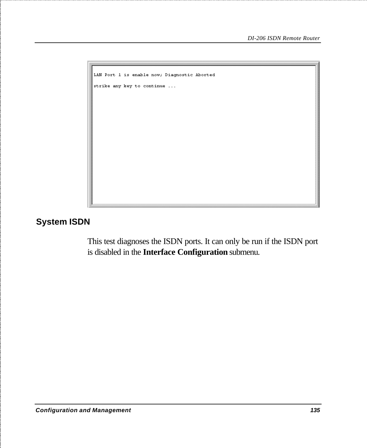```
LAN Port 1 is enable now; Diagnostic Aborted
strike any key to continue ...
```
#### **System ISDN**

This test diagnoses the ISDN ports. It can only be run if the ISDN port is disabled in the **Interface Configuration** submenu.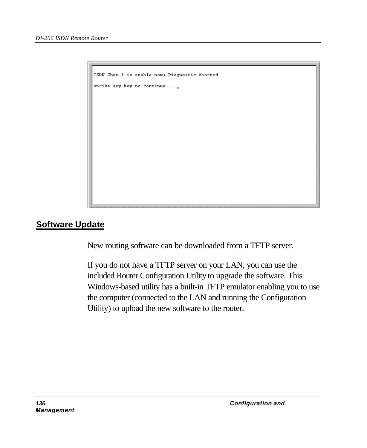ISDN Chan 1 is enable now; Diagnostic Aborted strike any key to continue  $\dots$ 

#### **Software Update**

New routing software can be downloaded from a TFTP server.

If you do not have a TFTP server on your LAN, you can use the included Router Configuration Utility to upgrade the software. This Windows-based utility has a built-in TFTP emulator enabling you to use the computer (connected to the LAN and running the Configuration Utility) to upload the new software to the router.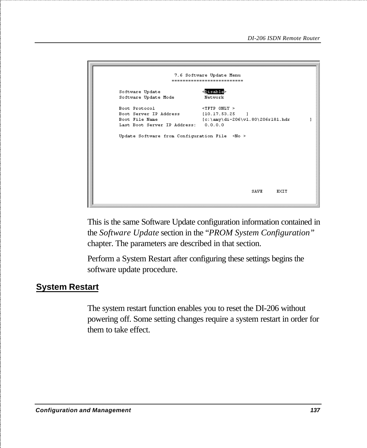```
7.6 Software Update Menu
               --------------------------
Software Update
                       <Disable>
Software Update Mode
                      Network
\mathbf{I}Last Boot Server IP Address: 0.0.0.0
Update Software from Configuration File \leq No >
                                      SAVE
                                             EXIT
```
This is the same Software Update configuration information contained in the *Software Update* section in the "*PROM System Configuration"* chapter. The parameters are described in that section.

Perform a System Restart after configuring these settings begins the software update procedure.

#### **System Restart**

The system restart function enables you to reset the DI-206 without powering off. Some setting changes require a system restart in order for them to take effect.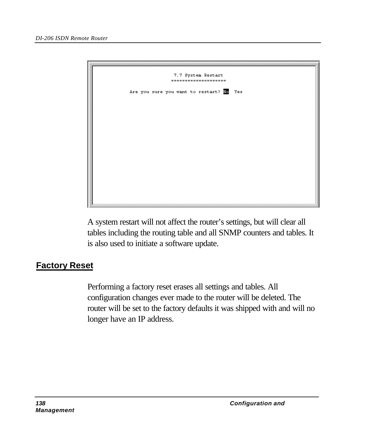

A system restart will not affect the router's settings, but will clear all tables including the routing table and all SNMP counters and tables. It is also used to initiate a software update.

## **Factory Reset**

Performing a factory reset erases all settings and tables. All configuration changes ever made to the router will be deleted. The router will be set to the factory defaults it was shipped with and will no longer have an IP address.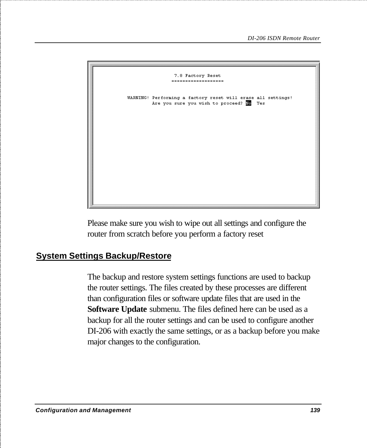

Please make sure you wish to wipe out all settings and configure the router from scratch before you perform a factory reset

### **System Settings Backup/Restore**

The backup and restore system settings functions are used to backup the router settings. The files created by these processes are different than configuration files or software update files that are used in the **Software Update** submenu. The files defined here can be used as a backup for all the router settings and can be used to configure another DI-206 with exactly the same settings, or as a backup before you make major changes to the configuration.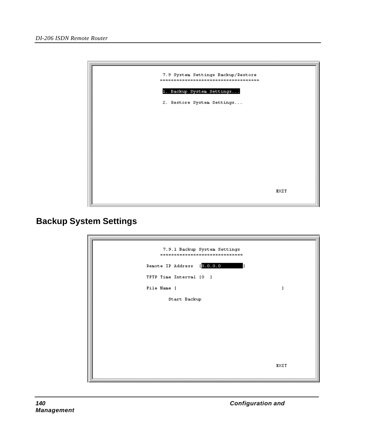

### **Backup System Settings**

| 7.9.1 Backup System Settings<br>------------------------------- |             |
|-----------------------------------------------------------------|-------------|
| Remote IP Address [0.0.0.0                                      |             |
| TFTP Time Interval [0 ]                                         |             |
| File Name [                                                     |             |
| Start Backup                                                    |             |
|                                                                 |             |
|                                                                 |             |
|                                                                 |             |
|                                                                 |             |
|                                                                 | <b>EXIT</b> |
|                                                                 |             |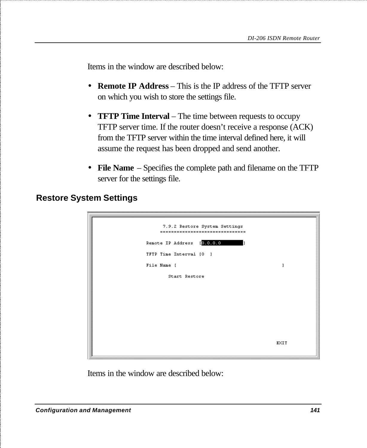Items in the window are described below:

- **Remote IP Address** This is the IP address of the TFTP server on which you wish to store the settings file.
- **TFTP Time Interval** The time between requests to occupy TFTP server time. If the router doesn't receive a response (ACK) from the TFTP server within the time interval defined here, it will assume the request has been dropped and send another.
- **File Name** Specifies the complete path and filename on the TFTP server for the settings file.

| 7.9.2 Restore System Settings<br>----------------------------<br>$=$ $=$ $=$ |      |
|------------------------------------------------------------------------------|------|
| Remote IP Address [0.0.0.0<br>h                                              |      |
| TFTP Time Interval [0 ]                                                      |      |
| File Name [                                                                  |      |
| Start Restore                                                                |      |
|                                                                              |      |
|                                                                              |      |
|                                                                              |      |
|                                                                              |      |
|                                                                              | EXIT |
|                                                                              |      |

#### **Restore System Settings**

Items in the window are described below: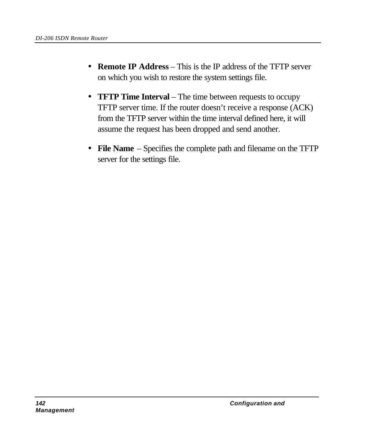- **Remote IP Address** This is the IP address of the TFTP server on which you wish to restore the system settings file.
- **TFTP Time Interval** The time between requests to occupy TFTP server time. If the router doesn't receive a response (ACK) from the TFTP server within the time interval defined here, it will assume the request has been dropped and send another.
- **File Name** Specifies the complete path and filename on the TFTP server for the settings file.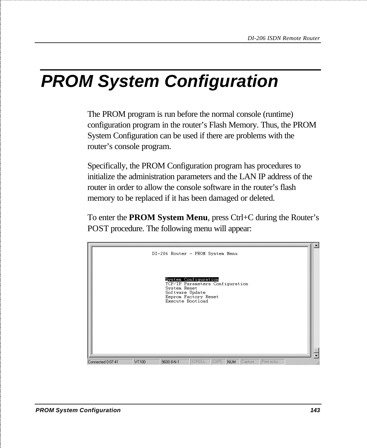## *PROM System Configuration*

The PROM program is run before the normal console (runtime) configuration program in the router's Flash Memory. Thus, the PROM System Configuration can be used if there are problems with the router's console program.

Specifically, the PROM Configuration program has procedures to initialize the administration parameters and the LAN IP address of the router in order to allow the console software in the router's flash memory to be replaced if it has been damaged or deleted.

To enter the **PROM System Menu**, press Ctrl+C during the Router's POST procedure. The following menu will appear:

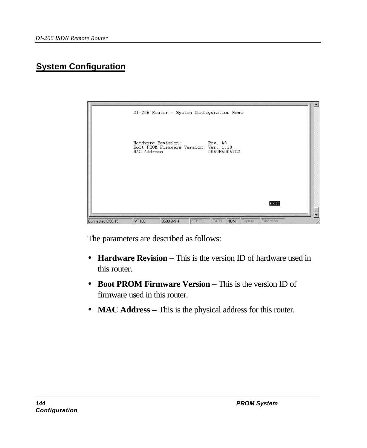## **System Configuration**



The parameters are described as follows:

- **Hardware Revision** This is the version ID of hardware used in this router.
- **Boot PROM Firmware Version –** This is the version ID of firmware used in this router.
- **MAC Address** This is the physical address for this router.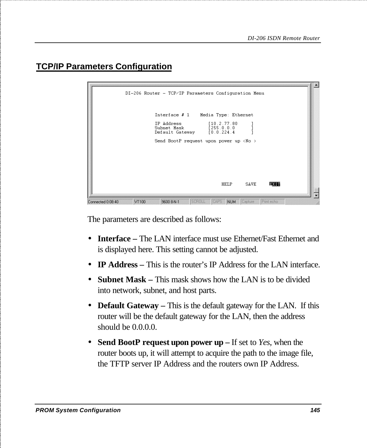## **TCP/IP Parameters Configuration**

| Interface # 1 Media Type: Ethernet<br>IP Address [10.2.77.80]<br>Subnet Mask [255.0.0.0<br>Default Gateway [0.0.224.4]<br>Send BootP request upon power up <no><br/>SAVE<br/>HELP<br/>EXTER</no> | DI-206 Router - TCP/IP Parameters Configuration Menu |  |
|--------------------------------------------------------------------------------------------------------------------------------------------------------------------------------------------------|------------------------------------------------------|--|
|                                                                                                                                                                                                  |                                                      |  |
|                                                                                                                                                                                                  |                                                      |  |
|                                                                                                                                                                                                  |                                                      |  |
|                                                                                                                                                                                                  |                                                      |  |

The parameters are described as follows:

- **Interface –** The LAN interface must use Ethernet/Fast Ethernet and is displayed here. This setting cannot be adjusted.
- **IP Address** This is the router's IP Address for the LAN interface.
- **Subnet Mask** This mask shows how the LAN is to be divided into network, subnet, and host parts.
- **Default Gateway** This is the default gateway for the LAN. If this router will be the default gateway for the LAN, then the address should be  $0.0.0.0$ .
- **Send BootP request upon power up –** If set to *Yes*, when the router boots up, it will attempt to acquire the path to the image file, the TFTP server IP Address and the routers own IP Address.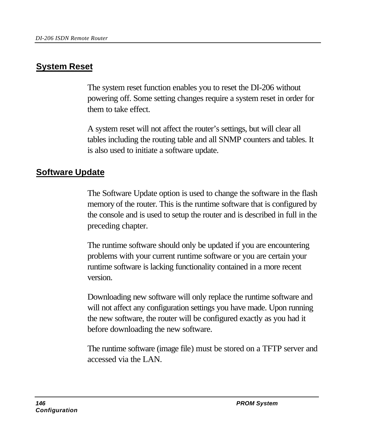### **System Reset**

The system reset function enables you to reset the DI-206 without powering off. Some setting changes require a system reset in order for them to take effect.

A system reset will not affect the router's settings, but will clear all tables including the routing table and all SNMP counters and tables. It is also used to initiate a software update.

### **Software Update**

The Software Update option is used to change the software in the flash memory of the router. This is the runtime software that is configured by the console and is used to setup the router and is described in full in the preceding chapter.

The runtime software should only be updated if you are encountering problems with your current runtime software or you are certain your runtime software is lacking functionality contained in a more recent version.

Downloading new software will only replace the runtime software and will not affect any configuration settings you have made. Upon running the new software, the router will be configured exactly as you had it before downloading the new software.

The runtime software (image file) must be stored on a TFTP server and accessed via the LAN.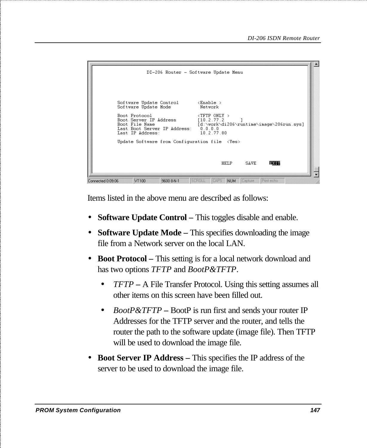| $Software Update Control \t\n\langleEnable >Software Update ModeNetworkBoot ProtocolBoot Server IP Address110.2.77.2[d:\work\di206\runtime\image\206run.sys]Boot File NameLast Boot Server IP Address: 0.0.0.010.2.77.80Last IP Address:$ |
|-------------------------------------------------------------------------------------------------------------------------------------------------------------------------------------------------------------------------------------------|
| Update Software from Configuration file <yes><br/>HELP<br/>SAVE<br/>EXTT</yes>                                                                                                                                                            |

Items listed in the above menu are described as follows:

- **Software Update Control** This toggles disable and enable.
- **Software Update Mode –** This specifies downloading the image file from a Network server on the local LAN.
- **Boot Protocol –** This setting is for a local network download and has two options *TFTP* and *BootP&TFTP*.
	- *TFTP* **–** A File Transfer Protocol. Using this setting assumes all other items on this screen have been filled out.
	- *BootP&TFTP* BootP is run first and sends your router IP Addresses for the TFTP server and the router, and tells the router the path to the software update (image file). Then TFTP will be used to download the image file.
- **Boot Server IP Address –** This specifies the IP address of the server to be used to download the image file.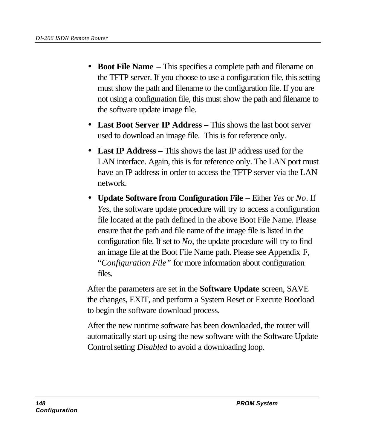- **Boot File Name –** This specifies a complete path and filename on the TFTP server. If you choose to use a configuration file, this setting must show the path and filename to the configuration file. If you are not using a configuration file, this must show the path and filename to the software update image file.
- **Last Boot Server IP Address –** This shows the last boot server used to download an image file. This is for reference only.
- **Last IP Address –** This shows the last IP address used for the LAN interface. Again, this is for reference only. The LAN port must have an IP address in order to access the TFTP server via the LAN network.
- **Update Software from Configuration File** Either *Yes* or *No*. If *Yes*, the software update procedure will try to access a configuration file located at the path defined in the above Boot File Name. Please ensure that the path and file name of the image file is listed in the configuration file. If set to *No*, the update procedure will try to find an image file at the Boot File Name path. Please see Appendix F, "*Configuration File"* for more information about configuration files.

After the parameters are set in the **Software Update** screen, SAVE the changes, EXIT, and perform a System Reset or Execute Bootload to begin the software download process.

After the new runtime software has been downloaded, the router will automatically start up using the new software with the Software Update Control setting *Disabled* to avoid a downloading loop.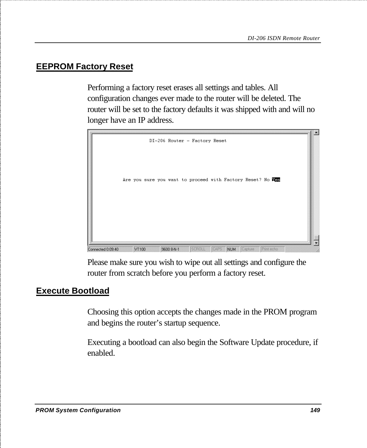#### **EEPROM Factory Reset**

Performing a factory reset erases all settings and tables. All configuration changes ever made to the router will be deleted. The router will be set to the factory defaults it was shipped with and will no longer have an IP address.



Please make sure you wish to wipe out all settings and configure the router from scratch before you perform a factory reset.

### **Execute Bootload**

Choosing this option accepts the changes made in the PROM program and begins the router's startup sequence.

Executing a bootload can also begin the Software Update procedure, if enabled.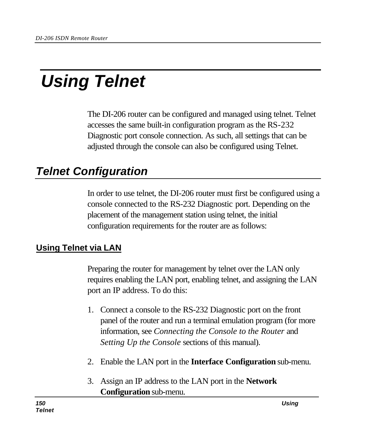# *Using Telnet*

The DI-206 router can be configured and managed using telnet. Telnet accesses the same built-in configuration program as the RS-232 Diagnostic port console connection. As such, all settings that can be adjusted through the console can also be configured using Telnet.

## *Telnet Configuration*

In order to use telnet, the DI-206 router must first be configured using a console connected to the RS-232 Diagnostic port. Depending on the placement of the management station using telnet, the initial configuration requirements for the router are as follows:

### **Using Telnet via LAN**

Preparing the router for management by telnet over the LAN only requires enabling the LAN port, enabling telnet, and assigning the LAN port an IP address. To do this:

- 1. Connect a console to the RS-232 Diagnostic port on the front panel of the router and run a terminal emulation program (for more information, see *Connecting the Console to the Router* and *Setting Up the Console* sections of this manual).
- 2. Enable the LAN port in the **Interface Configuration** sub-menu.
- 3. Assign an IP address to the LAN port in the **Network Configuration** sub-menu.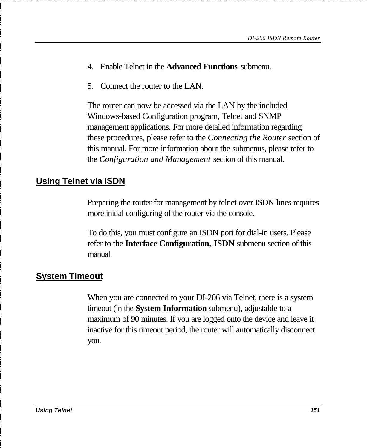- 4. Enable Telnet in the **Advanced Functions** submenu.
- 5. Connect the router to the LAN.

The router can now be accessed via the LAN by the included Windows-based Configuration program, Telnet and SNMP management applications. For more detailed information regarding these procedures, please refer to the *Connecting the Router* section of this manual. For more information about the submenus, please refer to the *Configuration and Management* section of this manual.

#### **Using Telnet via ISDN**

Preparing the router for management by telnet over ISDN lines requires more initial configuring of the router via the console.

To do this, you must configure an ISDN port for dial-in users. Please refer to the **Interface Configuration, ISDN** submenu section of this manual.

#### **System Timeout**

When you are connected to your DI-206 via Telnet, there is a system timeout (in the **System Information** submenu), adjustable to a maximum of 90 minutes. If you are logged onto the device and leave it inactive for this timeout period, the router will automatically disconnect you.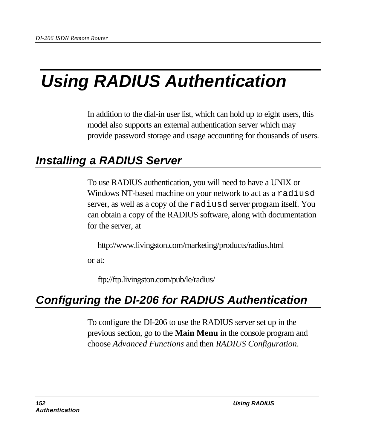# *Using RADIUS Authentication*

In addition to the dial-in user list, which can hold up to eight users, this model also supports an external authentication server which may provide password storage and usage accounting for thousands of users.

## *Installing a RADIUS Server*

To use RADIUS authentication, you will need to have a UNIX or Windows NT-based machine on your network to act as a radiusd server, as well as a copy of the radiusd server program itself. You can obtain a copy of the RADIUS software, along with documentation for the server, at

http://www.livingston.com/marketing/products/radius.html

or at:

ftp://ftp.livingston.com/pub/le/radius/

## *Configuring the DI-206 for RADIUS Authentication*

To configure the DI-206 to use the RADIUS server set up in the previous section, go to the **Main Menu** in the console program and choose *Advanced Functions* and then *RADIUS Configuration*.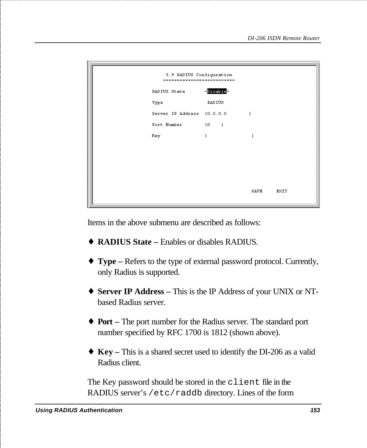| 5.9 RADIUS Configuration<br>--------------------------- |              |      |      |  |
|---------------------------------------------------------|--------------|------|------|--|
| <disable><br/>RADIUS State</disable>                    |              |      |      |  |
| Type                                                    | RADIUS       |      |      |  |
| Server IP Address [0.0.0.0                              |              | 1    |      |  |
| Port Number [0]                                         |              |      |      |  |
| Key                                                     | $\mathbf{I}$ | 1    |      |  |
|                                                         |              |      |      |  |
|                                                         |              |      |      |  |
|                                                         |              |      |      |  |
|                                                         |              |      |      |  |
|                                                         |              | SAVE | EXIT |  |

Items in the above submenu are described as follows:

- ♦ **RADIUS State –** Enables or disables RADIUS.
- ♦ **Type –** Refers to the type of external password protocol. Currently, only Radius is supported.
- ♦ **Server IP Address –** This is the IP Address of your UNIX or NTbased Radius server.
- ♦ **Port –** The port number for the Radius server. The standard port number specified by RFC 1700 is 1812 (shown above).
- ♦ **Key –** This is a shared secret used to identify the DI-206 as a valid Radius client.

The Key password should be stored in the client file in the RADIUS server's /etc/raddb directory. Lines of the form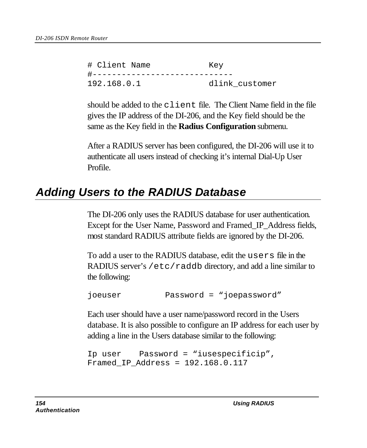# Client Name Key #----------------------------- 192.168.0.1 dlink\_customer

should be added to the client file. The Client Name field in the file gives the IP address of the DI-206, and the Key field should be the same as the Key field in the **Radius Configuration** submenu.

After a RADIUS server has been configured, the DI-206 will use it to authenticate all users instead of checking it's internal Dial-Up User Profile.

## *Adding Users to the RADIUS Database*

The DI-206 only uses the RADIUS database for user authentication. Except for the User Name, Password and Framed\_IP\_Address fields, most standard RADIUS attribute fields are ignored by the DI-206.

To add a user to the RADIUS database, edit the users file in the RADIUS server's /etc/raddb directory, and add a line similar to the following:

joeuser Password = "joepassword"

Each user should have a user name/password record in the Users database. It is also possible to configure an IP address for each user by adding a line in the Users database similar to the following:

```
Ip user Password = "iusespecificip",
Framed_IP_Address = 192.168.0.117
```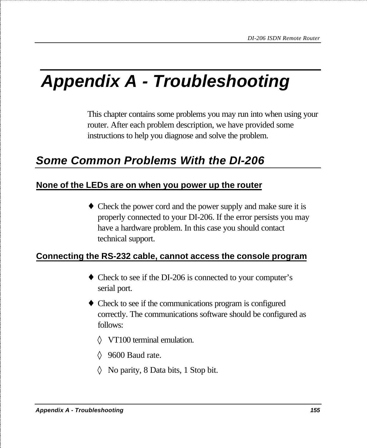# *Appendix A - Troubleshooting*

This chapter contains some problems you may run into when using your router. After each problem description, we have provided some instructions to help you diagnose and solve the problem.

## *Some Common Problems With the DI-206*

#### **None of the LEDs are on when you power up the router**

• Check the power cord and the power supply and make sure it is properly connected to your DI-206. If the error persists you may have a hardware problem. In this case you should contact technical support.

#### **Connecting the RS-232 cable, cannot access the console program**

- ♦ Check to see if the DI-206 is connected to your computer's serial port.
- ♦ Check to see if the communications program is configured correctly. The communications software should be configured as follows:
	- ◊ VT100 terminal emulation.
	- ◊ 9600 Baud rate.
	- ◊ No parity, 8 Data bits, 1 Stop bit.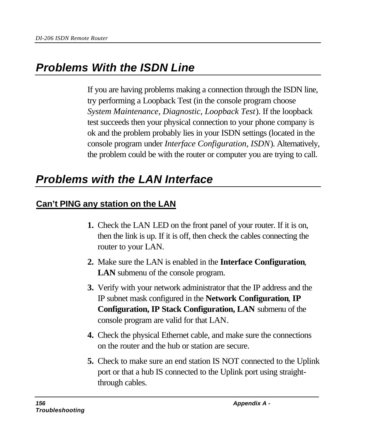## *Problems With the ISDN Line*

If you are having problems making a connection through the ISDN line, try performing a Loopback Test (in the console program choose *System Maintenance, Diagnostic, Loopback Test*). If the loopback test succeeds then your physical connection to your phone company is ok and the problem probably lies in your ISDN settings (located in the console program under *Interface Configuration, ISDN*). Alternatively, the problem could be with the router or computer you are trying to call.

## *Problems with the LAN Interface*

### **Can't PING any station on the LAN**

- **1.** Check the LAN LED on the front panel of your router. If it is on, then the link is up. If it is off, then check the cables connecting the router to your LAN.
- **2.** Make sure the LAN is enabled in the **Interface Configuration***,* **LAN** submenu of the console program.
- **3.** Verify with your network administrator that the IP address and the IP subnet mask configured in the **Network Configuration***,* **IP Configuration, IP Stack Configuration, LAN** submenu of the console program are valid for that LAN.
- **4.** Check the physical Ethernet cable, and make sure the connections on the router and the hub or station are secure.
- **5.** Check to make sure an end station IS NOT connected to the Uplink port or that a hub IS connected to the Uplink port using straightthrough cables.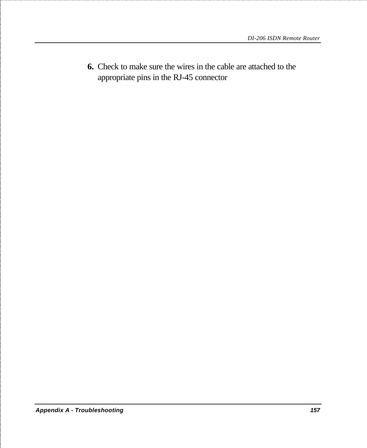**6.** Check to make sure the wires in the cable are attached to the appropriate pins in the RJ-45 connector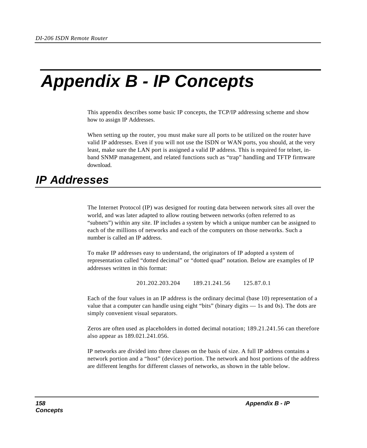## *Appendix B - IP Concepts*

This appendix describes some basic IP concepts, the TCP/IP addressing scheme and show how to assign IP Addresses.

When setting up the router, you must make sure all ports to be utilized on the router have valid IP addresses. Even if you will not use the ISDN or WAN ports, you should, at the very least, make sure the LAN port is assigned a valid IP address. This is required for telnet, inband SNMP management, and related functions such as "trap" handling and TFTP firmware download.

## *IP Addresses*

The Internet Protocol (IP) was designed for routing data between network sites all over the world, and was later adapted to allow routing between networks (often referred to as "subnets") within any site. IP includes a system by which a unique number can be assigned to each of the millions of networks and each of the computers on those networks. Such a number is called an IP address.

To make IP addresses easy to understand, the originators of IP adopted a system of representation called "dotted decimal" or "dotted quad" notation. Below are examples of IP addresses written in this format:

201.202.203.204 189.21.241.56 125.87.0.1

Each of the four values in an IP address is the ordinary decimal (base 10) representation of a value that a computer can handle using eight "bits" (binary digits — 1s and 0s). The dots are simply convenient visual separators.

Zeros are often used as placeholders in dotted decimal notation; 189.21.241.56 can therefore also appear as 189.021.241.056.

IP networks are divided into three classes on the basis of size. A full IP address contains a network portion and a "host" (device) portion. The network and host portions of the address are different lengths for different classes of networks, as shown in the table below.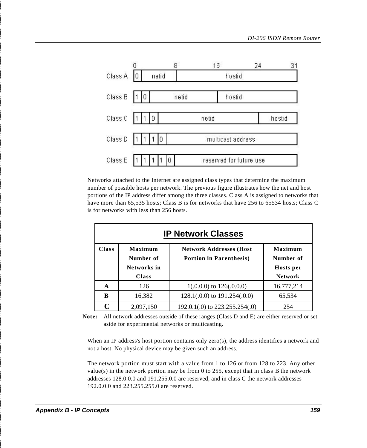

Networks attached to the Internet are assigned class types that determine the maximum number of possible hosts per network. The previous figure illustrates how the net and host portions of the IP address differ among the three classes. Class A is assigned to networks that have more than 65,535 hosts; Class B is for networks that have 256 to 65534 hosts; Class C is for networks with less than 256 hosts.

|              | <b>IP Network Classes</b>                           |                                                                    |                                                     |  |  |  |
|--------------|-----------------------------------------------------|--------------------------------------------------------------------|-----------------------------------------------------|--|--|--|
| <b>Class</b> | Maximum<br>Number of<br>Networks in<br><b>Class</b> | <b>Network Addresses (Host</b> )<br><b>Portion in Parenthesis)</b> | Maximum<br>Number of<br>Hosts per<br><b>Network</b> |  |  |  |
| A            | 126                                                 | $1(.0.0.0)$ to $126(.0.0.0)$                                       | 16,777,214                                          |  |  |  |
| B            | 16,382                                              | $128.1(.0.0)$ to $191.254(.0.0)$                                   | 65,534                                              |  |  |  |
|              | 2.097.150                                           | 192.0.1(.0) to 223.255.254(.0)                                     | 254                                                 |  |  |  |

**Note:** All network addresses outside of these ranges (Class D and E) are either reserved or set aside for experimental networks or multicasting.

When an IP address's host portion contains only zero(s), the address identifies a network and not a host. No physical device may be given such an address.

The network portion must start with a value from 1 to 126 or from 128 to 223. Any other value(s) in the network portion may be from 0 to 255, except that in class B the network addresses 128.0.0.0 and 191.255.0.0 are reserved, and in class C the network addresses 192.0.0.0 and 223.255.255.0 are reserved.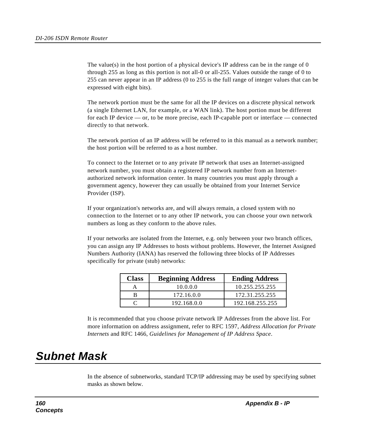The value(s) in the host portion of a physical device's IP address can be in the range of 0 through 255 as long as this portion is not all-0 or all-255. Values outside the range of 0 to 255 can never appear in an IP address (0 to 255 is the full range of integer values that can be expressed with eight bits).

The network portion must be the same for all the IP devices on a discrete physical network (a single Ethernet LAN, for example, or a WAN link). The host portion must be different for each IP device — or, to be more precise, each IP-capable port or interface — connected directly to that network.

The network portion of an IP address will be referred to in this manual as a network number; the host portion will be referred to as a host number.

To connect to the Internet or to any private IP network that uses an Internet-assigned network number, you must obtain a registered IP network number from an Internetauthorized network information center. In many countries you must apply through a government agency, however they can usually be obtained from your Internet Service Provider (ISP).

If your organization's networks are, and will always remain, a closed system with no connection to the Internet or to any other IP network, you can choose your own network numbers as long as they conform to the above rules.

If your networks are isolated from the Internet, e.g. only between your two branch offices, you can assign any IP Addresses to hosts without problems. However, the Internet Assigned Numbers Authority (IANA) has reserved the following three blocks of IP Addresses specifically for private (stub) networks:

| <b>Class</b> | <b>Beginning Address</b> | <b>Ending Address</b> |
|--------------|--------------------------|-----------------------|
|              | 10.0.0.0                 | 10.255.255.255        |
|              | 172.16.0.0               | 172.31.255.255        |
|              | 192.168.0.0              | 192.168.255.255       |

It is recommended that you choose private network IP Addresses from the above list. For more information on address assignment, refer to RFC 1597, *Address Allocation for Private Internets* and RFC 1466, *Guidelines for Management of IP Address Space*.

## *Subnet Mask*

In the absence of subnetworks, standard TCP/IP addressing may be used by specifying subnet masks as shown below.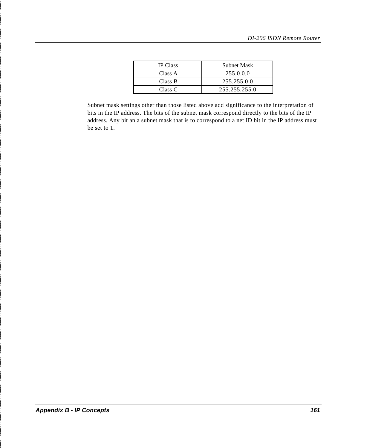| <b>IP</b> Class | <b>Subnet Mask</b> |
|-----------------|--------------------|
| Class A         | 255.0.0.0          |
| Class B         | 255.255.0.0        |
| Class C         | 255.255.255.0      |

Subnet mask settings other than those listed above add significance to the interpretation of bits in the IP address. The bits of the subnet mask correspond directly to the bits of the IP address. Any bit an a subnet mask that is to correspond to a net ID bit in the IP address must be set to 1.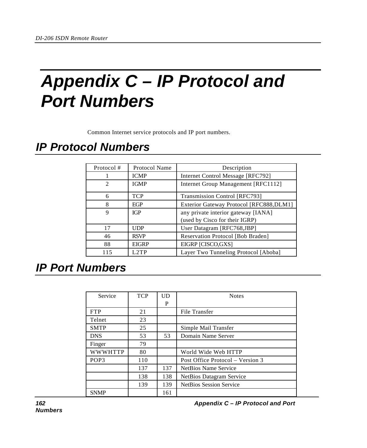## *Appendix C – IP Protocol and Port Numbers*

Common Internet service protocols and IP port numbers.

## *IP Protocol Numbers*

| Protocol #     | Protocol Name | Description                                                           |
|----------------|---------------|-----------------------------------------------------------------------|
|                | <b>ICMP</b>   | Internet Control Message [RFC792]                                     |
| $\mathfrak{D}$ | <b>IGMP</b>   | Internet Group Management [RFC1112]                                   |
| 6              | <b>TCP</b>    | Transmission Control [RFC793]                                         |
| 8              | EGP           | Exterior Gateway Protocol [RFC888,DLM1]                               |
| 9              | IGP           | any private interior gateway [IANA]<br>(used by Cisco for their IGRP) |
| 17             | <b>UDP</b>    | User Datagram [RFC768,JBP]                                            |
| 46             | <b>RSVP</b>   | Reservation Protocol [Bob Braden]                                     |
| 88             | <b>EIGRP</b>  | EIGRP [CISCO, GXS]                                                    |
| 115            | $1.2$ TP      | Layer Two Tunneling Protocol [Aboba]                                  |

## *IP Port Numbers*

| Service          | <b>TCP</b> | UD  | <b>Notes</b>                     |
|------------------|------------|-----|----------------------------------|
|                  |            | P   |                                  |
| <b>FTP</b>       | 21         |     | File Transfer                    |
| Telnet           | 23         |     |                                  |
| <b>SMTP</b>      | 25         |     | Simple Mail Transfer             |
| <b>DNS</b>       | 53         | 53  | Domain Name Server               |
| Finger           | 79         |     |                                  |
| <b>WWWHTTP</b>   | 80         |     | World Wide Web HTTP              |
| POP <sub>3</sub> | 110        |     | Post Office Protocol – Version 3 |
|                  | 137        | 137 | NetBios Name Service             |
|                  | 138        | 138 | NetBios Datagram Service         |
|                  | 139        | 139 | <b>NetBios Session Service</b>   |
| <b>SNMP</b>      |            | 161 |                                  |

*162 Appendix C – IP Protocol and Port*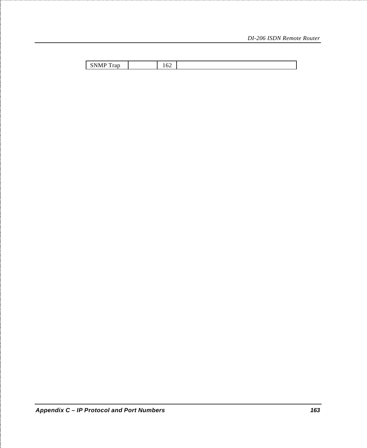| $-$<br>$-1$<br>$\sim$<br>n<br>$.$ was<br>n<br>riad<br>$\mathbf{v}$ | 1 V 4<br>$ -$ |  |
|--------------------------------------------------------------------|---------------|--|
|                                                                    |               |  |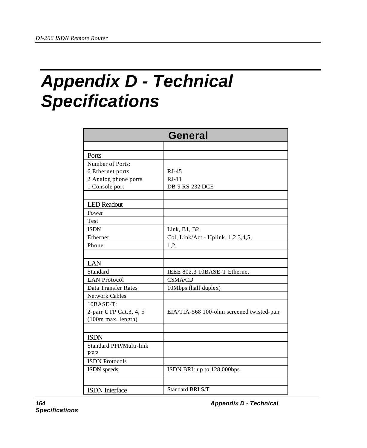## *Appendix D - Technical Specifications*

| <b>General</b>          |                                           |  |
|-------------------------|-------------------------------------------|--|
|                         |                                           |  |
| Ports                   |                                           |  |
| Number of Ports:        |                                           |  |
| 6 Ethernet ports        | $RJ-45$                                   |  |
| 2 Analog phone ports    | $RJ-11$                                   |  |
| 1 Console port          | <b>DB-9 RS-232 DCE</b>                    |  |
|                         |                                           |  |
| <b>LED</b> Readout      |                                           |  |
| Power                   |                                           |  |
| Test                    |                                           |  |
| <b>ISDN</b>             | Link, B1, B2                              |  |
| Ethernet                | Col, Link/Act - Uplink, 1,2,3,4,5,        |  |
| Phone                   | 1,2                                       |  |
|                         |                                           |  |
| LAN                     |                                           |  |
| Standard                | IEEE 802.3 10BASE-T Ethernet              |  |
| <b>LAN Protocol</b>     | <b>CSMA/CD</b>                            |  |
| Data Transfer Rates     | 10Mbps (half duplex)                      |  |
| <b>Network Cables</b>   |                                           |  |
| 10BASE-T:               |                                           |  |
| 2-pair UTP Cat.3, 4, 5  | EIA/TIA-568 100-ohm screened twisted-pair |  |
| (100m max. length)      |                                           |  |
|                         |                                           |  |
| <b>ISDN</b>             |                                           |  |
| Standard PPP/Multi-link |                                           |  |
| PPP                     |                                           |  |
| <b>ISDN</b> Protocols   |                                           |  |
| ISDN speeds             | ISDN BRI: up to 128,000bps                |  |
|                         |                                           |  |
| <b>ISDN</b> Interface   | Standard BRI S/T                          |  |

*164 Appendix D - Technical*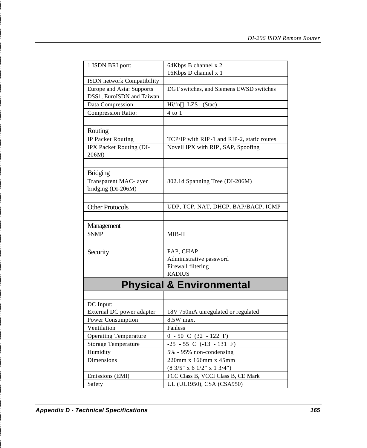| 1 ISDN BRI port:             | 64Kbps B channel x 2                       |  |
|------------------------------|--------------------------------------------|--|
|                              | 16Kbps D channel x 1                       |  |
| ISDN network Compatibility   |                                            |  |
| Europe and Asia: Supports    | DGT switches, and Siemens EWSD switches    |  |
| DSS1, EuroISDN and Taiwan    |                                            |  |
| Data Compression             | $Hi/fn^{TM} LZS$ (Stac)                    |  |
| Compression Ratio:           | 4 to 1                                     |  |
|                              |                                            |  |
| Routing                      |                                            |  |
| IP Packet Routing            | TCP/IP with RIP-1 and RIP-2, static routes |  |
| IPX Packet Routing (DI-      | Novell IPX with RIP, SAP, Spoofing         |  |
| 206M)                        |                                            |  |
|                              |                                            |  |
| <b>Bridging</b>              |                                            |  |
| Transparent MAC-layer        | 802.1d Spanning Tree (DI-206M)             |  |
| bridging (DI-206M)           |                                            |  |
|                              |                                            |  |
| <b>Other Protocols</b>       | UDP, TCP, NAT, DHCP, BAP/BACP, ICMP        |  |
|                              |                                            |  |
| Management                   |                                            |  |
| <b>SNMP</b>                  | MIB-II                                     |  |
|                              |                                            |  |
| Security                     | PAP, CHAP                                  |  |
|                              | Administrative password                    |  |
|                              | Firewall filtering                         |  |
|                              | <b>RADIUS</b>                              |  |
|                              |                                            |  |
|                              | <b>Physical &amp; Environmental</b>        |  |
|                              |                                            |  |
| DC Input:                    |                                            |  |
| External DC power adapter    | 18V 750mA unregulated or regulated         |  |
| Power Consumption            | 8.5W max.                                  |  |
| Ventilation                  | Fanless                                    |  |
| <b>Operating Temperature</b> | $0 - 50$ C (32 - 122 F)                    |  |
| Storage Temperature          | $-25 - 55$ C $(-13 - 131)$ F)              |  |
| Humidity                     | 5% - 95% non-condensing                    |  |
| Dimensions                   | 220mm x 166mm x 45mm                       |  |
|                              | $(8\;3/5" \times 6\;1/2" \times 1\;3/4")$  |  |
| Emissions (EMI)              | FCC Class B, VCCI Class B, CE Mark         |  |
| Safety                       | UL (UL1950), CSA (CSA950)                  |  |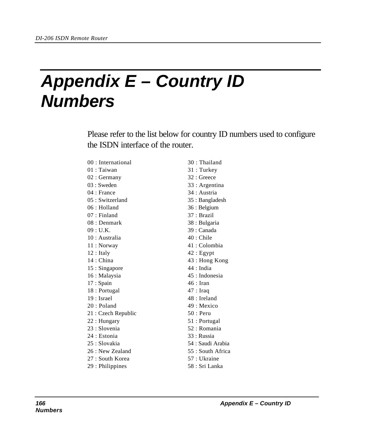## *Appendix E – Country ID Numbers*

Please refer to the list below for country ID numbers used to configure the ISDN interface of the router.

| 00 : International  | 30 : Thailand     |
|---------------------|-------------------|
| $01:$ Taiwan        | 31: Turkey        |
| 02 : Germany        | 32 : Greece       |
| $03:$ Sweden        | 33 : Argentina    |
| $04:$ France        | 34 : Austria      |
| 05 : Switzerland    | 35 : Bangladesh   |
| 06 : Holland        | 36 : Belgium      |
| 07 : Finland        | 37 : Brazil       |
| 08 : Denmark        | 38 : Bulgaria     |
| 09: U.K.            | 39 : Canada       |
| 10 : Australia      | 40 : Chile        |
| 11 : Norway         | 41: Colombia      |
| $12:$ Italy         | $42:$ Egypt       |
| 14 : China          | 43 : Hong Kong    |
| 15 : Singapore      | $44:$ India       |
| 16 : Malaysia       | 45 : Indonesia    |
| 17 : Spain          | $46:$ Iran        |
| 18 : Portugal       | $47:$ Iraq        |
| 19 : Israel         | 48 : Ireland      |
| 20 : Poland         | 49 : Mexico       |
| 21 : Czech Republic | $50:$ Peru        |
| 22 : Hungary        | 51 : Portugal     |
| 23 : Slovenia       | 52 : Romania      |
| 24 : Estonia        | 33 : Russia       |
| 25 : Slovakia       | 54 : Saudi Arabia |
| 26 : New Zealand    | 55 : South Africa |
| 27 : South Korea    | 57 : Ukraine      |
| 29 : Philippines    | 58 : Sri Lanka    |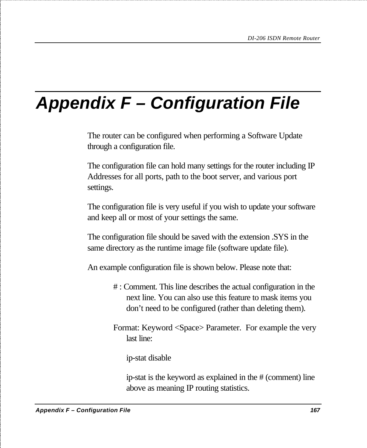## *Appendix F – Configuration File*

The router can be configured when performing a Software Update through a configuration file.

The configuration file can hold many settings for the router including IP Addresses for all ports, path to the boot server, and various port settings.

The configuration file is very useful if you wish to update your software and keep all or most of your settings the same.

The configuration file should be saved with the extension .SYS in the same directory as the runtime image file (software update file).

An example configuration file is shown below. Please note that:

- # : Comment. This line describes the actual configuration in the next line. You can also use this feature to mask items you don't need to be configured (rather than deleting them).
- Format: Keyword <Space> Parameter. For example the very last line:

ip-stat disable

ip-stat is the keyword as explained in the # (comment) line above as meaning IP routing statistics.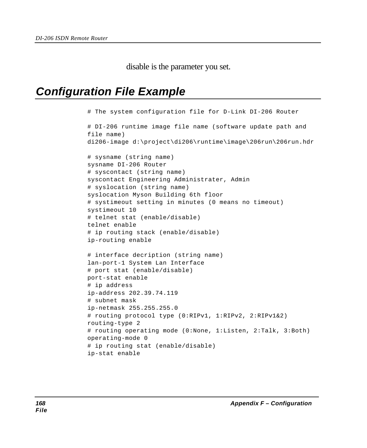disable is the parameter you set.

## *Configuration File Example*

```
# The system configuration file for D-Link DI-206 Router
# DI-206 runtime image file name (software update path and
file name)
di206-image d:\project\di206\runtime\image\206run\206run.hdr
# sysname (string name)
sysname DI-206 Router
# syscontact (string name)
syscontact Engineering Administrater, Admin
# syslocation (string name)
syslocation Myson Building 6th floor
# systimeout setting in minutes (0 means no timeout)
systimeout 10
# telnet stat (enable/disable)
telnet enable
# ip routing stack (enable/disable)
ip-routing enable
# interface decription (string name)
lan-port-1 System Lan Interface
# port stat (enable/disable)
port-stat enable
# ip address
ip-address 202.39.74.119
# subnet mask
ip-netmask 255.255.255.0
# routing protocol type (0:RIPv1, 1:RIPv2, 2:RIPv1&2)
routing-type 2
# routing operating mode (0:None, 1:Listen, 2:Talk, 3:Both)
operating-mode 0
# ip routing stat (enable/disable)
ip-stat enable
```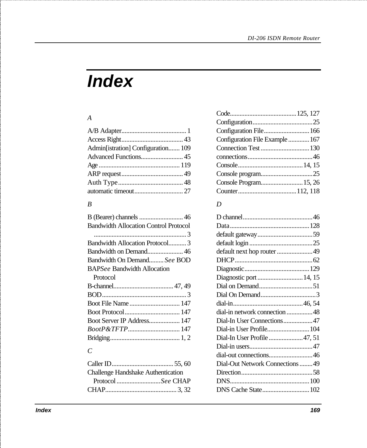# *Index*

#### *A*

| Admin[istration] Configuration 109 |  |
|------------------------------------|--|
|                                    |  |
|                                    |  |
|                                    |  |
|                                    |  |
|                                    |  |
|                                    |  |

#### *B*

| <b>Bandwidth Allocation Control Protocol</b> |  |
|----------------------------------------------|--|
|                                              |  |
| Bandwidth Allocation Protocol3               |  |
| Bandwidth on Demand 46                       |  |
| Bandwidth On DemandSee BOD                   |  |
| <b>BAPSee Bandwidth Allocation</b>           |  |
| Protocol                                     |  |
|                                              |  |
|                                              |  |
| Boot File Name  147                          |  |
|                                              |  |
| Boot Server IP Address 147                   |  |
| <i>BootP&amp;TFTP</i> 147                    |  |
|                                              |  |
|                                              |  |

#### *C*

| Challenge Handshake Authentication |  |
|------------------------------------|--|
| Protocol See CHAP                  |  |
|                                    |  |

| Configuration File 166          |  |
|---------------------------------|--|
| Configuration File Example  167 |  |
|                                 |  |
|                                 |  |
|                                 |  |
|                                 |  |
| Console Program 15, 26          |  |
|                                 |  |

#### *D*

| default next hop router 49       |  |
|----------------------------------|--|
|                                  |  |
|                                  |  |
| Diagnostic port  14, 15          |  |
|                                  |  |
|                                  |  |
|                                  |  |
| dial-in network connection 48    |  |
| Dial-In User Connections47       |  |
| Dial-in User Profile 104         |  |
| Dial-In User Profile 47, 51      |  |
|                                  |  |
| dial-out connections46           |  |
| Dial-Out Network Connections  49 |  |
|                                  |  |
|                                  |  |
| DNS Cache State 102              |  |
|                                  |  |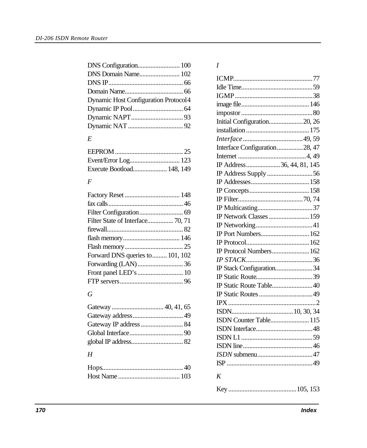| DNS Domain Name 102                  |  |
|--------------------------------------|--|
|                                      |  |
|                                      |  |
| Dynamic Host Configuration Protocol4 |  |
|                                      |  |
|                                      |  |
|                                      |  |

#### *E*

| Execute Bootload 148, 149 |  |
|---------------------------|--|

#### *F*

| Filter State of Interface 70, 71 |  |
|----------------------------------|--|
|                                  |  |
|                                  |  |
|                                  |  |
| Forward DNS queries to  101, 102 |  |
|                                  |  |
|                                  |  |
|                                  |  |

#### *G*

#### *H*

#### *I*

| Initial Configuration20, 26   |
|-------------------------------|
|                               |
|                               |
| Interface Configuration28, 47 |
|                               |
| IP Address36, 44, 81, 145     |
|                               |
|                               |
|                               |
|                               |
|                               |
| IP Network Classes  159       |
|                               |
| IP Port Numbers 162           |
|                               |
| IP Protocol Numbers 162       |
|                               |
| IP Stack Configuration34      |
|                               |
| IP Static Route Table40       |
|                               |
|                               |
|                               |
| ISDN Counter Table 115        |
|                               |
|                               |
|                               |
|                               |
|                               |
| K                             |
|                               |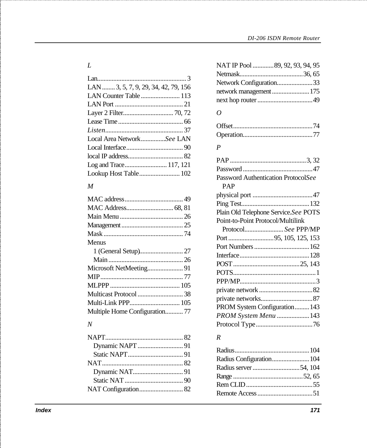| LAN  3, 5, 7, 9, 29, 34, 42, 79, 156 |  |
|--------------------------------------|--|
| LAN Counter Table  113               |  |
|                                      |  |
|                                      |  |
|                                      |  |
|                                      |  |
| Local Area NetworkSee LAN            |  |
|                                      |  |
|                                      |  |
| Log and Trace 117, 121               |  |
| Lookup Host Table 102                |  |

#### *M*

| Menus                         |  |
|-------------------------------|--|
|                               |  |
|                               |  |
| Microsoft NetMeeting 91       |  |
|                               |  |
|                               |  |
|                               |  |
|                               |  |
| Multiple Home Configuration77 |  |
|                               |  |

#### *N*

| LAN  3, 5, 7, 9, 29, 34, 42, 79, 156<br>0<br>Local Area NetworkSee LAN<br>$\boldsymbol{P}$<br>Log and Trace 117, 121<br>Lookup Host Table 102<br>Password Authentication ProtocolSee<br>PAP<br>M<br>Plain Old Telephone Service.See POTS<br>Point-to-Point Protocol/Multilink<br>ProtocolSee PPP/MP<br>Menus<br>PROM System Configuration 143<br>Multiple Home Configuration 77<br>PROM System Menu  143<br>$\boldsymbol{N}$<br>$\boldsymbol{R}$<br>Radius Configuration 104<br>Index | L | NAT IP Pool  89, 92, 93, 94, 95 |
|---------------------------------------------------------------------------------------------------------------------------------------------------------------------------------------------------------------------------------------------------------------------------------------------------------------------------------------------------------------------------------------------------------------------------------------------------------------------------------------|---|---------------------------------|
|                                                                                                                                                                                                                                                                                                                                                                                                                                                                                       |   |                                 |
|                                                                                                                                                                                                                                                                                                                                                                                                                                                                                       |   | Network Configuration33         |
|                                                                                                                                                                                                                                                                                                                                                                                                                                                                                       |   | network management  175         |
|                                                                                                                                                                                                                                                                                                                                                                                                                                                                                       |   |                                 |
|                                                                                                                                                                                                                                                                                                                                                                                                                                                                                       |   |                                 |
|                                                                                                                                                                                                                                                                                                                                                                                                                                                                                       |   |                                 |
|                                                                                                                                                                                                                                                                                                                                                                                                                                                                                       |   |                                 |
|                                                                                                                                                                                                                                                                                                                                                                                                                                                                                       |   |                                 |
|                                                                                                                                                                                                                                                                                                                                                                                                                                                                                       |   |                                 |
|                                                                                                                                                                                                                                                                                                                                                                                                                                                                                       |   |                                 |
|                                                                                                                                                                                                                                                                                                                                                                                                                                                                                       |   |                                 |
|                                                                                                                                                                                                                                                                                                                                                                                                                                                                                       |   |                                 |
|                                                                                                                                                                                                                                                                                                                                                                                                                                                                                       |   |                                 |
|                                                                                                                                                                                                                                                                                                                                                                                                                                                                                       |   |                                 |
|                                                                                                                                                                                                                                                                                                                                                                                                                                                                                       |   |                                 |
|                                                                                                                                                                                                                                                                                                                                                                                                                                                                                       |   |                                 |
|                                                                                                                                                                                                                                                                                                                                                                                                                                                                                       |   |                                 |
|                                                                                                                                                                                                                                                                                                                                                                                                                                                                                       |   |                                 |
|                                                                                                                                                                                                                                                                                                                                                                                                                                                                                       |   |                                 |
|                                                                                                                                                                                                                                                                                                                                                                                                                                                                                       |   |                                 |
|                                                                                                                                                                                                                                                                                                                                                                                                                                                                                       |   |                                 |
|                                                                                                                                                                                                                                                                                                                                                                                                                                                                                       |   |                                 |
|                                                                                                                                                                                                                                                                                                                                                                                                                                                                                       |   |                                 |
|                                                                                                                                                                                                                                                                                                                                                                                                                                                                                       |   |                                 |
|                                                                                                                                                                                                                                                                                                                                                                                                                                                                                       |   |                                 |
|                                                                                                                                                                                                                                                                                                                                                                                                                                                                                       |   |                                 |
|                                                                                                                                                                                                                                                                                                                                                                                                                                                                                       |   |                                 |
|                                                                                                                                                                                                                                                                                                                                                                                                                                                                                       |   |                                 |
|                                                                                                                                                                                                                                                                                                                                                                                                                                                                                       |   |                                 |
|                                                                                                                                                                                                                                                                                                                                                                                                                                                                                       |   |                                 |
|                                                                                                                                                                                                                                                                                                                                                                                                                                                                                       |   |                                 |
|                                                                                                                                                                                                                                                                                                                                                                                                                                                                                       |   |                                 |
|                                                                                                                                                                                                                                                                                                                                                                                                                                                                                       |   |                                 |
|                                                                                                                                                                                                                                                                                                                                                                                                                                                                                       |   |                                 |
|                                                                                                                                                                                                                                                                                                                                                                                                                                                                                       |   |                                 |
|                                                                                                                                                                                                                                                                                                                                                                                                                                                                                       |   |                                 |
|                                                                                                                                                                                                                                                                                                                                                                                                                                                                                       |   |                                 |
|                                                                                                                                                                                                                                                                                                                                                                                                                                                                                       |   |                                 |
|                                                                                                                                                                                                                                                                                                                                                                                                                                                                                       |   | 171                             |

#### *R*

| Radius Configuration 104 |  |
|--------------------------|--|
| Radius server 54, 104    |  |
|                          |  |
|                          |  |
|                          |  |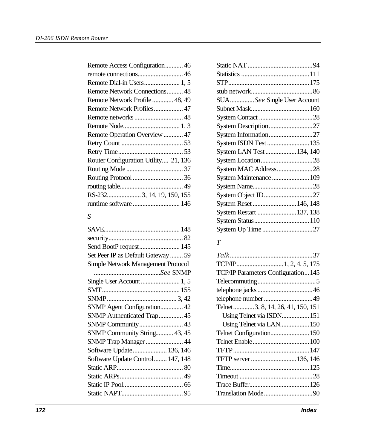| Remote Access Configuration46        |
|--------------------------------------|
|                                      |
| Remote Dial-in Users 1, 5            |
| Remote Network Connections 48        |
| Remote Network Profile  48, 49       |
| Remote Network Profiles47            |
|                                      |
|                                      |
| Remote Operation Overview 47         |
|                                      |
|                                      |
| Router Configuration Utility 21, 136 |
|                                      |
|                                      |
|                                      |
| RS-232 3, 14, 19, 150, 155           |
|                                      |

#### *S*

| Send BootP request 145             |  |
|------------------------------------|--|
| Set Peer IP as Default Gateway  59 |  |
| Simple Network Management Protocol |  |
|                                    |  |
| Single User Account  1, 5          |  |
|                                    |  |
|                                    |  |
| SNMP Agent Configuration 42        |  |
| SNMP Authenticated Trap 45         |  |
|                                    |  |
| SNMP Community String 43, 45       |  |
| SNMP Trap Manager  44              |  |
| Software Update 136, 146           |  |
| Software Update Control 147, 148   |  |
|                                    |  |
|                                    |  |
|                                    |  |
|                                    |  |

| SUASee Single User Account |  |
|----------------------------|--|
|                            |  |
|                            |  |
| System Description27       |  |
|                            |  |
| System ISDN Test  135      |  |
| System LAN Test  134, 140  |  |
|                            |  |
| System MAC Address28       |  |
| System Maintenance  109    |  |
|                            |  |
|                            |  |
| System Reset  146, 148     |  |
| System Restart  137, 138   |  |
|                            |  |
| System Up Time 27          |  |
|                            |  |

#### *T*

| TCP/IP Parameters Configuration145 |  |
|------------------------------------|--|
|                                    |  |
|                                    |  |
|                                    |  |
| Telnet3, 8, 14, 26, 41, 150, 151   |  |
| Using Telnet via ISDN 151          |  |
| Using Telnet via LAN 150           |  |
|                                    |  |
|                                    |  |
|                                    |  |
| TFTP server  136, 146              |  |
|                                    |  |
|                                    |  |
|                                    |  |
|                                    |  |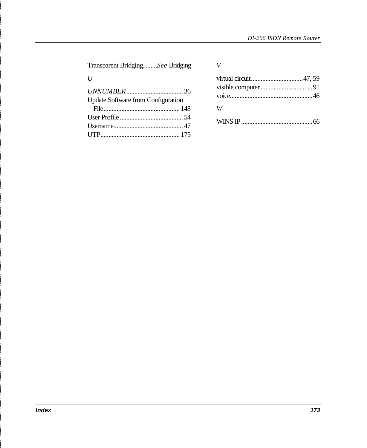Transparent Bridging.........*See* Bridging

*U*

| <b>Update Software from Configuration</b> |  |
|-------------------------------------------|--|
|                                           |  |
|                                           |  |
|                                           |  |
|                                           |  |

*V*

| W |  |
|---|--|
|   |  |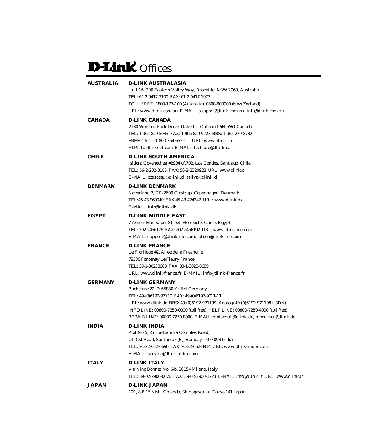## D-Link Offices

| <b>AUSTRALIA</b> | <b>D-LINK AUSTRALASIA</b><br>Unit 16, 390 Eastern Valley Way, Roseville, NSW 2069, Australia<br>TEL: 61-2-9417-7100 FAX: 61-2-9417-1077<br>TOLL FREE: 1800-177-100 (Australia), 0800-900900 (New Zealand)                                                                                                                                                    |
|------------------|--------------------------------------------------------------------------------------------------------------------------------------------------------------------------------------------------------------------------------------------------------------------------------------------------------------------------------------------------------------|
|                  | URL: www.dlink.com.au E-MAIL: support@dlink.com.au, info@dlink.com.au                                                                                                                                                                                                                                                                                        |
| CANADA           | <b>D-LINK CANADA</b><br>2180 Winston Park Drive, Oakville, Ontario L6H 5W1 Canada<br>TEL: 1-905-829-5033 FAX: 1-905-829-5223 BBS: 1-965-279-8732<br>FREE CALL: 1-800-354-6522<br>URL: www.dlink.ca<br>FTP: ftp.dlinknet.com E-MAIL: techsup@dlink.ca                                                                                                         |
| <b>CHILE</b>     | <b>D-LINK SOUTH AMERICA</b><br>Isidora Goyenechea #2934 of.702, Las Condes, Santiago, Chile<br>TEL: 56-2-232-3185 FAX: 56-2-2320923 URL: www.dlink.cl<br>E-MAIL: ccasassu@dlink.cl, tsilva@dlink.cl                                                                                                                                                          |
| <b>DENMARK</b>   | <b>D-LINK DENMARK</b><br>Naverland 2, DK-2600 Glostrup, Copenhagen, Denmark<br>TEL:45-43-969040 FAX:45-43-424347 URL: www.dlink.dk<br>E-MAIL: info@dlink.dk                                                                                                                                                                                                  |
| <b>EGYPT</b>     | <b>D-LINK MIDDLE EAST</b><br>7 Assem Ebn Sabet Street, Heliopolis Cairo, Egypt<br>TEL: 202-2456176 FAX: 202-2456192 URL: www.dlink-me.com<br>E-MAIL: support@dlink-me.com, fateen@dlink-me.com                                                                                                                                                               |
| <b>FRANCE</b>    | <b>D-LINK FRANCE</b><br>Le Florilege #2, Allee de la Fresnerie<br>78330 Fontenay Le Fleury France<br>TEL: 33-1-30238688 FAX: 33-1-3023-8689<br>URL: www.dlink-france.fr E-MAIL: info@dlink-france.fr                                                                                                                                                         |
| <b>GERMANY</b>   | <b>D-LINK GERMANY</b><br>Bachstrae 22, D-65830 Kriftel Germany<br>TEL: 49-(0)6192-97110 FAX: 49-(0)6192-9711-11<br>URL: www.dlink.de BBS: 49-(0)6192-971199 (Analog) 49-(0)6192-971198 (ISDN)<br>INFO LINE: 00800-7250-0000 (toll free) HELP LINE: 00800-7250-4000 (toll free)<br>REPAIR LINE: 00800-7250-8000 E-MAIL: mbischoff@dlink.de, mboerner@dlink.de |
| <b>INDIA</b>     | <b>D-LINK INDIA</b><br>Plot No.5, Kurla-Bandra Complex Road,<br>Off Cst Road, Santacruz (E), Bombay - 400 098 India<br>TEL: 91-22-652-6696 FAX: 91-22-652-8914 URL: www.dlink-india.com<br>E-MAIL: service@dlink.india.com                                                                                                                                   |
| <b>ITALY</b>     | <b>D-LINK ITALY</b><br>Via Nino Bonnet No. 6/b, 20154 Milano, Italy<br>TEL: 39-02-2900-0676 FAX: 39-02-2900-1723 E-MAIL: info@dlink.it URL: www.dlink.it                                                                                                                                                                                                     |
| <b>JAPAN</b>     | <b>D-LINK JAPAN</b><br>10F, 8-8-15 Nishi-Gotanda, Shinagawa-ku, Tokyo 141 Japan                                                                                                                                                                                                                                                                              |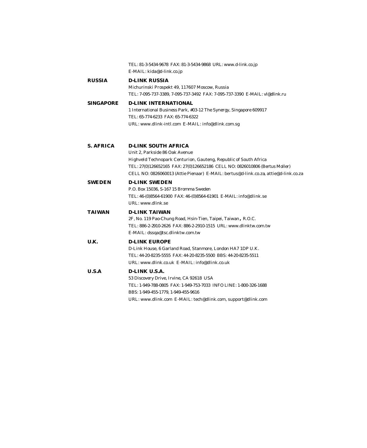|                  | TEL: 81-3-5434-9678 FAX: 81-3-5434-9868 URL: www.d-link.co.jp<br>E-MAIL: kida@d-link.co.jp                                                                                                                                                                                                             |
|------------------|--------------------------------------------------------------------------------------------------------------------------------------------------------------------------------------------------------------------------------------------------------------------------------------------------------|
| RUSSIA           | <b>D-LINK RUSSIA</b><br>Michurinski Prospekt 49, 117607 Moscow, Russia<br>TEL: 7-095-737-3389, 7-095-737-3492 FAX: 7-095-737-3390 E-MAIL: yl@dlink.ru                                                                                                                                                  |
| <b>SINGAPORE</b> | <b>D-LINK INTERNATIONAL</b><br>1 International Business Park, #03-12 The Synergy, Singapore 609917<br>TEL: 65-774-6233 FAX: 65-774-6322<br>URL: www.dlink-intl.com E-MAIL: info@dlink.com.sg                                                                                                           |
| <b>S. AFRICA</b> | <b>D-LINK SOUTH AFRICA</b><br>Unit 2. Parkside 86 Oak Avenue<br>Highveld Technopark Centurion, Gauteng, Republic of South Africa<br>TEL: 27(0)126652165 FAX: 27(0)126652186 CELL NO: 0826010806 (Bertus Moller)<br>CELL NO: 0826060013 (Attie Pienaar) E-MAIL: bertus@d-link.co.za, attie@d-link.co.za |
| SWEDEN           | <b>D-LINK SWEDEN</b><br>P.O. Box 15036, S-167 15 Bromma Sweden<br>TEL: 46-(0)8564-61900 FAX: 46-(0)8564-61901 E-MAIL: info@dlink.se<br>URL: www.dlink.se                                                                                                                                               |
| TAIWAN           | <b>D-LINK TAIWAN</b><br>2F, No. 119 Pao-Chung Road, Hsin-Tien, Taipei, Taiwan, R.O.C.<br>TEL: 886-2-2910-2626 FAX: 886-2-2910-1515 URL: www.dlinktw.com.tw<br>E-MAIL: dssqa@tsc.dlinktw.com.tw                                                                                                         |
| U.K.             | <b>D-LINK EUROPE</b><br>D-Link House, 6 Garland Road, Stanmore, London HA7 1DP U.K.<br>TEL: 44-20-8235-5555 FAX: 44-20-8235-5500 BBS: 44-20-8235-5511<br>URL: www.dlink.co.uk E-MAIL: info@dlink.co.uk                                                                                                 |
| <b>U.S.A</b>     | D-LINK U.S.A.<br>53 Discovery Drive, Irvine, CA 92618 USA<br>TEL: 1-949-788-0805 FAX: 1-949-753-7033 INFO LINE: 1-800-326-1688<br>BBS: 1-949-455-1779, 1-949-455-9616<br>URL: www.dlink.com E-MAIL: tech@dlink.com, support@dlink.com                                                                  |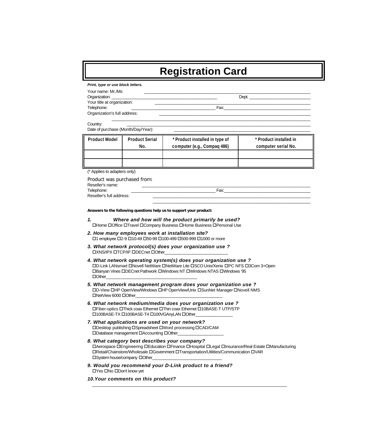### **Registration Card**

*Print, type or use block letters.*

| Your name: Mr./Ms            |       |
|------------------------------|-------|
| Organization:                | Dept. |
| Your title at organization:  |       |
| Telephone:                   | Fax:  |
| Organization's full address: |       |

 $\_$  ,  $\_$  ,  $\_$  ,  $\_$  ,  $\_$  ,  $\_$  ,  $\_$  ,  $\_$  ,  $\_$  ,  $\_$  ,  $\_$  ,  $\_$  ,  $\_$  ,  $\_$  ,  $\_$  ,  $\_$  ,  $\_$  ,  $\_$  ,  $\_$  ,  $\_$  ,  $\_$  ,  $\_$  ,  $\_$  ,  $\_$  ,  $\_$  ,  $\_$  ,  $\_$  ,  $\_$  ,  $\_$  ,  $\_$  ,  $\_$  ,  $\_$  ,  $\_$  ,  $\_$  ,  $\_$  ,  $\_$  ,  $\_$  ,

 $\text{Country:}$ 

| Date of purchase (Month/Day/Year): |                              |                                                               |                                               |  |
|------------------------------------|------------------------------|---------------------------------------------------------------|-----------------------------------------------|--|
| <b>Product Model</b>               | <b>Product Serial</b><br>No. | * Product installed in type of<br>computer (e.g., Compaq 486) | * Product installed in<br>computer serial No. |  |
|                                    |                              |                                                               |                                               |  |
|                                    |                              |                                                               |                                               |  |

(\* Applies to adapters only)

| Product was purchased from:<br>Reseller's name: |      |
|-------------------------------------------------|------|
| Telephone:                                      | Fax: |
| Reseller's full address:                        |      |
|                                                 |      |

**Answers to the following questions help us to support your product:**

- *1. Where and how will the product primarily be used?* OHome OOffice OTravel OCompany Business OHome Business OPersonal Use
- *2. How many employees work at installation site?* □1 employee □2-9 □10-49 □50-99 □100-499 □500-999 □1000 or more
- *3. What network protocol(s) does your organization use ?* **OXNS/IPX OTCP/IP ODECnet OOther**
- *4. What network operating system(s) does your organization use ?* **OD-Link LANsmart ONovell NetWare ONetWare Lite OSCO Unix/Xenix OPC NFS O3Com 3+Open □Banyan Vines □DECnet Pathwork □Windows NT □Windows NTAS □Windows '95**  $\Box$  Other
- *5. What network management program does your organization use ?*  $\Box D\text{-}\mathsf{View}\ \Box \textsf{HP}\ \textsf{Open}\textsf{View}\ \textsf{Windows}\ \Box \textsf{HP}\ \textsf{Open}\textsf{View}\ \textsf{Unix}\ \Box \textsf{SumNet}\ \textsf{Manager}\ \Box \textsf{Nowell}\ \textsf{NMS}$ □NetView 6000 □Other
- *6. What network medium/media does your organization use ?* **□Fiber-optics □Thick coax Ethernet □Thin coax Ethernet □10BASE-T UTP/STP** □100BASE-TX □100BASE-T4 □100VGAnyLAN □Other\_
- *7. What applications are used on your network?* □Desktop publishing □Spreadsheet □Word processing □CAD/CAM □Database management □Accounting □Other
- *8. What category best describes your company?* DAerospace DEngineering DEducation DFinance DHospital DLegal DInsurance/Real Estate DManufacturing **□Retail/Chainstore/Wholesale □Government □Transportation/Utilities/Communication □VAR**  $\square$ System house/company  $\square$  Other\_

\_\_\_\_\_\_\_\_\_\_\_\_\_\_\_\_\_\_\_\_\_\_\_\_\_\_\_\_\_\_\_\_\_\_\_\_\_\_\_\_\_\_\_\_\_\_\_\_\_\_\_\_\_\_\_\_\_\_\_\_\_\_\_\_\_\_\_\_\_\_\_\_\_\_\_\_\_\_\_\_\_\_\_\_\_\_\_\_\_\_

*9. Would you recommend your D-Link product to a friend?* □Yes □No □Don't know yet

*10.Your comments on this product?*